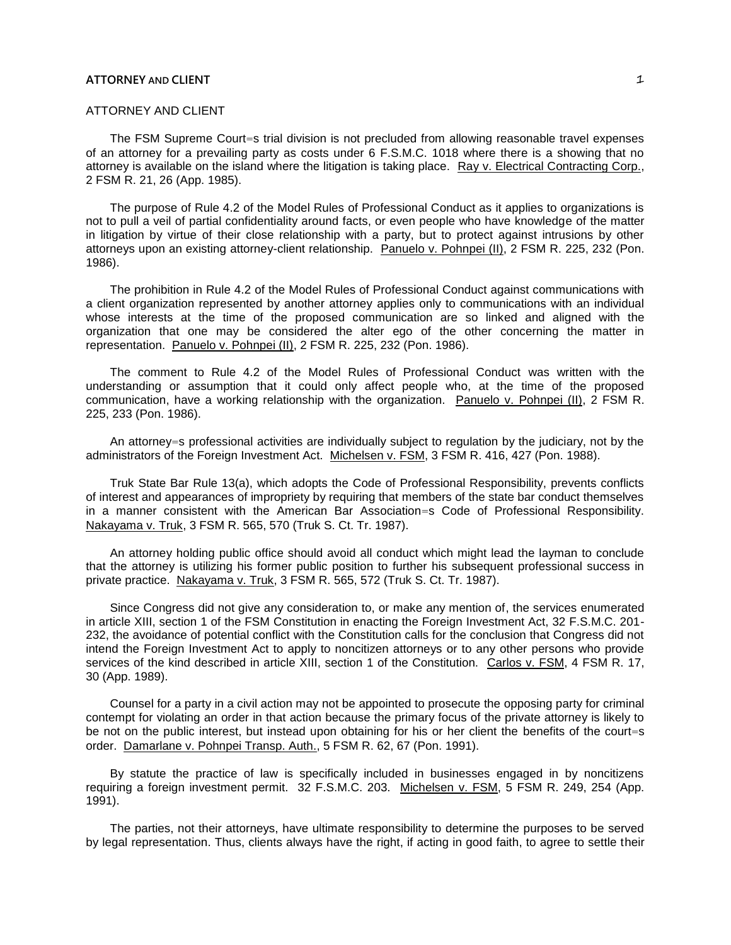# **ATTORNEY** AND **CLIENT**  $\mathcal{I}$

### ATTORNEY AND CLIENT

The FSM Supreme Court=s trial division is not precluded from allowing reasonable travel expenses of an attorney for a prevailing party as costs under 6 F.S.M.C. 1018 where there is a showing that no attorney is available on the island where the litigation is taking place. Ray v. Electrical Contracting Corp., 2 FSM R. 21, 26 (App. 1985).

The purpose of Rule 4.2 of the Model Rules of Professional Conduct as it applies to organizations is not to pull a veil of partial confidentiality around facts, or even people who have knowledge of the matter in litigation by virtue of their close relationship with a party, but to protect against intrusions by other attorneys upon an existing attorney-client relationship. Panuelo v. Pohnpei (II), 2 FSM R. 225, 232 (Pon. 1986).

The prohibition in Rule 4.2 of the Model Rules of Professional Conduct against communications with a client organization represented by another attorney applies only to communications with an individual whose interests at the time of the proposed communication are so linked and aligned with the organization that one may be considered the alter ego of the other concerning the matter in representation. Panuelo v. Pohnpei (II), 2 FSM R. 225, 232 (Pon. 1986).

The comment to Rule 4.2 of the Model Rules of Professional Conduct was written with the understanding or assumption that it could only affect people who, at the time of the proposed communication, have a working relationship with the organization. Panuelo v. Pohnpei (II), 2 FSM R. 225, 233 (Pon. 1986).

An attorney=s professional activities are individually subject to regulation by the judiciary, not by the administrators of the Foreign Investment Act. Michelsen v. FSM, 3 FSM R. 416, 427 (Pon. 1988).

Truk State Bar Rule 13(a), which adopts the Code of Professional Responsibility, prevents conflicts of interest and appearances of impropriety by requiring that members of the state bar conduct themselves in a manner consistent with the American Bar Association=s Code of Professional Responsibility. Nakayama v. Truk, 3 FSM R. 565, 570 (Truk S. Ct. Tr. 1987).

An attorney holding public office should avoid all conduct which might lead the layman to conclude that the attorney is utilizing his former public position to further his subsequent professional success in private practice. Nakayama v. Truk, 3 FSM R. 565, 572 (Truk S. Ct. Tr. 1987).

Since Congress did not give any consideration to, or make any mention of, the services enumerated in article XIII, section 1 of the FSM Constitution in enacting the Foreign Investment Act, 32 F.S.M.C. 201- 232, the avoidance of potential conflict with the Constitution calls for the conclusion that Congress did not intend the Foreign Investment Act to apply to noncitizen attorneys or to any other persons who provide services of the kind described in article XIII, section 1 of the Constitution. Carlos v. FSM, 4 FSM R. 17, 30 (App. 1989).

Counsel for a party in a civil action may not be appointed to prosecute the opposing party for criminal contempt for violating an order in that action because the primary focus of the private attorney is likely to be not on the public interest, but instead upon obtaining for his or her client the benefits of the court=s order. Damarlane v. Pohnpei Transp. Auth., 5 FSM R. 62, 67 (Pon. 1991).

By statute the practice of law is specifically included in businesses engaged in by noncitizens requiring a foreign investment permit. 32 F.S.M.C. 203. Michelsen v. FSM, 5 FSM R. 249, 254 (App. 1991).

The parties, not their attorneys, have ultimate responsibility to determine the purposes to be served by legal representation. Thus, clients always have the right, if acting in good faith, to agree to settle their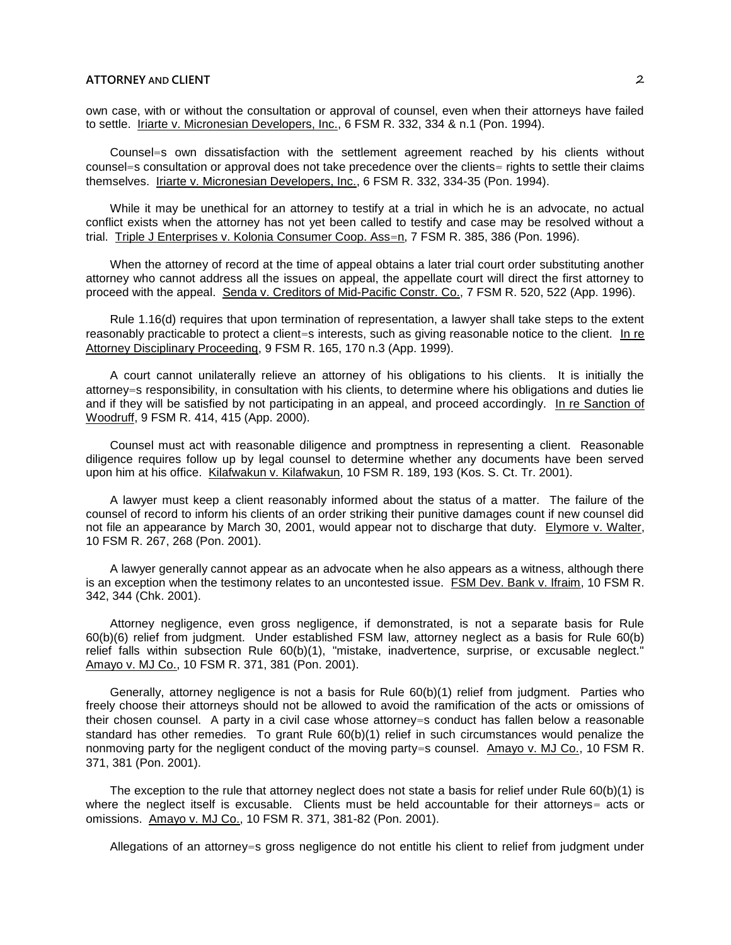own case, with or without the consultation or approval of counsel, even when their attorneys have failed to settle. Iriarte v. Micronesian Developers, Inc., 6 FSM R. 332, 334 & n.1 (Pon. 1994).

Counsel=s own dissatisfaction with the settlement agreement reached by his clients without counsel=s consultation or approval does not take precedence over the clients= rights to settle their claims themselves. Iriarte v. Micronesian Developers, Inc., 6 FSM R. 332, 334-35 (Pon. 1994).

While it may be unethical for an attorney to testify at a trial in which he is an advocate, no actual conflict exists when the attorney has not yet been called to testify and case may be resolved without a trial. Triple J Enterprises v. Kolonia Consumer Coop. Ass=n, 7 FSM R. 385, 386 (Pon. 1996).

When the attorney of record at the time of appeal obtains a later trial court order substituting another attorney who cannot address all the issues on appeal, the appellate court will direct the first attorney to proceed with the appeal. Senda v. Creditors of Mid-Pacific Constr. Co., 7 FSM R. 520, 522 (App. 1996).

Rule 1.16(d) requires that upon termination of representation, a lawyer shall take steps to the extent reasonably practicable to protect a client=s interests, such as giving reasonable notice to the client. In re Attorney Disciplinary Proceeding, 9 FSM R. 165, 170 n.3 (App. 1999).

A court cannot unilaterally relieve an attorney of his obligations to his clients. It is initially the attorney=s responsibility, in consultation with his clients, to determine where his obligations and duties lie and if they will be satisfied by not participating in an appeal, and proceed accordingly. In re Sanction of Woodruff, 9 FSM R. 414, 415 (App. 2000).

Counsel must act with reasonable diligence and promptness in representing a client. Reasonable diligence requires follow up by legal counsel to determine whether any documents have been served upon him at his office. Kilafwakun v. Kilafwakun, 10 FSM R. 189, 193 (Kos. S. Ct. Tr. 2001).

A lawyer must keep a client reasonably informed about the status of a matter. The failure of the counsel of record to inform his clients of an order striking their punitive damages count if new counsel did not file an appearance by March 30, 2001, would appear not to discharge that duty. Elymore v. Walter, 10 FSM R. 267, 268 (Pon. 2001).

A lawyer generally cannot appear as an advocate when he also appears as a witness, although there is an exception when the testimony relates to an uncontested issue. FSM Dev. Bank v. Ifraim, 10 FSM R. 342, 344 (Chk. 2001).

Attorney negligence, even gross negligence, if demonstrated, is not a separate basis for Rule 60(b)(6) relief from judgment. Under established FSM law, attorney neglect as a basis for Rule 60(b) relief falls within subsection Rule 60(b)(1), "mistake, inadvertence, surprise, or excusable neglect." Amayo v. MJ Co., 10 FSM R. 371, 381 (Pon. 2001).

Generally, attorney negligence is not a basis for Rule 60(b)(1) relief from judgment. Parties who freely choose their attorneys should not be allowed to avoid the ramification of the acts or omissions of their chosen counsel. A party in a civil case whose attorney=s conduct has fallen below a reasonable standard has other remedies. To grant Rule 60(b)(1) relief in such circumstances would penalize the nonmoving party for the negligent conduct of the moving party=s counsel. Amayo v. MJ Co., 10 FSM R. 371, 381 (Pon. 2001).

The exception to the rule that attorney neglect does not state a basis for relief under Rule 60(b)(1) is where the neglect itself is excusable. Clients must be held accountable for their attorneys= acts or omissions. Amayo v. MJ Co., 10 FSM R. 371, 381-82 (Pon. 2001).

Allegations of an attorney=s gross negligence do not entitle his client to relief from judgment under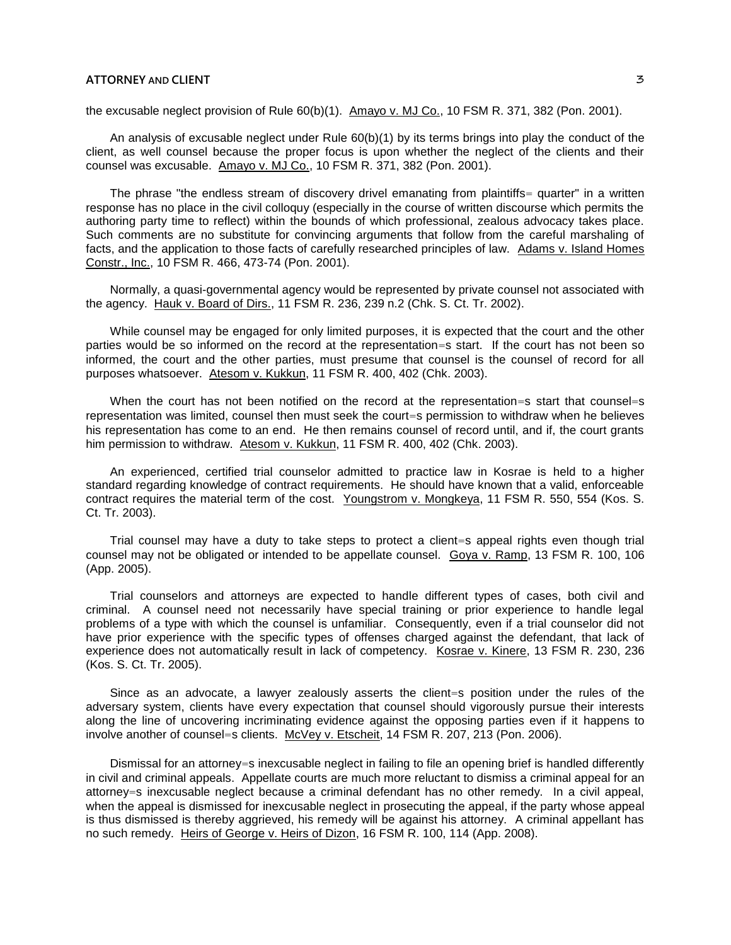the excusable neglect provision of Rule 60(b)(1). Amayo v. MJ Co., 10 FSM R. 371, 382 (Pon. 2001).

An analysis of excusable neglect under Rule 60(b)(1) by its terms brings into play the conduct of the client, as well counsel because the proper focus is upon whether the neglect of the clients and their counsel was excusable. Amayo v. MJ Co., 10 FSM R. 371, 382 (Pon. 2001).

The phrase "the endless stream of discovery drivel emanating from plaintiffs= quarter" in a written response has no place in the civil colloquy (especially in the course of written discourse which permits the authoring party time to reflect) within the bounds of which professional, zealous advocacy takes place. Such comments are no substitute for convincing arguments that follow from the careful marshaling of facts, and the application to those facts of carefully researched principles of law. Adams v. Island Homes Constr., Inc., 10 FSM R. 466, 473-74 (Pon. 2001).

Normally, a quasi-governmental agency would be represented by private counsel not associated with the agency. Hauk v. Board of Dirs., 11 FSM R. 236, 239 n.2 (Chk. S. Ct. Tr. 2002).

While counsel may be engaged for only limited purposes, it is expected that the court and the other parties would be so informed on the record at the representation=s start. If the court has not been so informed, the court and the other parties, must presume that counsel is the counsel of record for all purposes whatsoever. Atesom v. Kukkun, 11 FSM R. 400, 402 (Chk. 2003).

When the court has not been notified on the record at the representation=s start that counsel=s representation was limited, counsel then must seek the court=s permission to withdraw when he believes his representation has come to an end. He then remains counsel of record until, and if, the court grants him permission to withdraw. Atesom v. Kukkun, 11 FSM R. 400, 402 (Chk. 2003).

An experienced, certified trial counselor admitted to practice law in Kosrae is held to a higher standard regarding knowledge of contract requirements. He should have known that a valid, enforceable contract requires the material term of the cost. Youngstrom v. Mongkeya, 11 FSM R. 550, 554 (Kos. S. Ct. Tr. 2003).

Trial counsel may have a duty to take steps to protect a client=s appeal rights even though trial counsel may not be obligated or intended to be appellate counsel. Goya v. Ramp, 13 FSM R. 100, 106 (App. 2005).

Trial counselors and attorneys are expected to handle different types of cases, both civil and criminal. A counsel need not necessarily have special training or prior experience to handle legal problems of a type with which the counsel is unfamiliar. Consequently, even if a trial counselor did not have prior experience with the specific types of offenses charged against the defendant, that lack of experience does not automatically result in lack of competency. Kosrae v. Kinere, 13 FSM R. 230, 236 (Kos. S. Ct. Tr. 2005).

Since as an advocate, a lawyer zealously asserts the client=s position under the rules of the adversary system, clients have every expectation that counsel should vigorously pursue their interests along the line of uncovering incriminating evidence against the opposing parties even if it happens to involve another of counsel=s clients. McVey v. Etscheit, 14 FSM R. 207, 213 (Pon. 2006).

Dismissal for an attorney=s inexcusable neglect in failing to file an opening brief is handled differently in civil and criminal appeals. Appellate courts are much more reluctant to dismiss a criminal appeal for an attorney=s inexcusable neglect because a criminal defendant has no other remedy. In a civil appeal, when the appeal is dismissed for inexcusable neglect in prosecuting the appeal, if the party whose appeal is thus dismissed is thereby aggrieved, his remedy will be against his attorney. A criminal appellant has no such remedy. Heirs of George v. Heirs of Dizon, 16 FSM R. 100, 114 (App. 2008).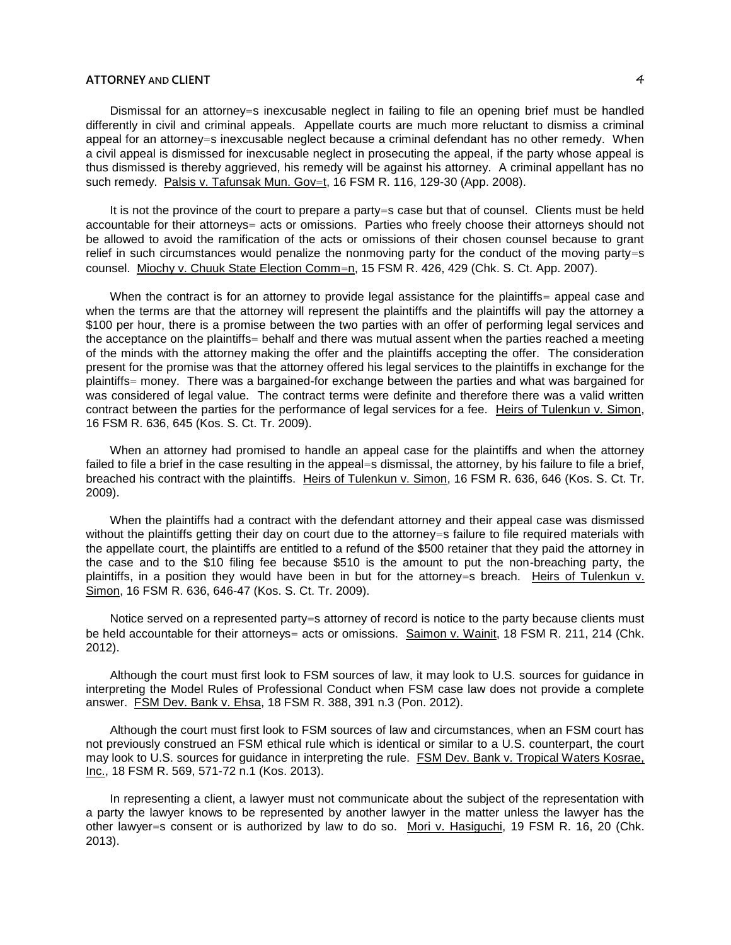Dismissal for an attorney=s inexcusable neglect in failing to file an opening brief must be handled differently in civil and criminal appeals. Appellate courts are much more reluctant to dismiss a criminal appeal for an attorney=s inexcusable neglect because a criminal defendant has no other remedy. When a civil appeal is dismissed for inexcusable neglect in prosecuting the appeal, if the party whose appeal is thus dismissed is thereby aggrieved, his remedy will be against his attorney. A criminal appellant has no such remedy. Palsis v. Tafunsak Mun. Gov=t, 16 FSM R. 116, 129-30 (App. 2008).

It is not the province of the court to prepare a party=s case but that of counsel. Clients must be held accountable for their attorneys= acts or omissions. Parties who freely choose their attorneys should not be allowed to avoid the ramification of the acts or omissions of their chosen counsel because to grant relief in such circumstances would penalize the nonmoving party for the conduct of the moving party=s counsel. Miochy v. Chuuk State Election Comm=n, 15 FSM R. 426, 429 (Chk. S. Ct. App. 2007).

When the contract is for an attorney to provide legal assistance for the plaintiffs= appeal case and when the terms are that the attorney will represent the plaintiffs and the plaintiffs will pay the attorney a \$100 per hour, there is a promise between the two parties with an offer of performing legal services and the acceptance on the plaintiffs= behalf and there was mutual assent when the parties reached a meeting of the minds with the attorney making the offer and the plaintiffs accepting the offer. The consideration present for the promise was that the attorney offered his legal services to the plaintiffs in exchange for the plaintiffs= money. There was a bargained-for exchange between the parties and what was bargained for was considered of legal value. The contract terms were definite and therefore there was a valid written contract between the parties for the performance of legal services for a fee. Heirs of Tulenkun v. Simon, 16 FSM R. 636, 645 (Kos. S. Ct. Tr. 2009).

When an attorney had promised to handle an appeal case for the plaintiffs and when the attorney failed to file a brief in the case resulting in the appeal=s dismissal, the attorney, by his failure to file a brief, breached his contract with the plaintiffs. Heirs of Tulenkun v. Simon, 16 FSM R. 636, 646 (Kos. S. Ct. Tr. 2009).

When the plaintiffs had a contract with the defendant attorney and their appeal case was dismissed without the plaintiffs getting their day on court due to the attorney=s failure to file required materials with the appellate court, the plaintiffs are entitled to a refund of the \$500 retainer that they paid the attorney in the case and to the \$10 filing fee because \$510 is the amount to put the non-breaching party, the plaintiffs, in a position they would have been in but for the attorney=s breach. Heirs of Tulenkun v. Simon, 16 FSM R. 636, 646-47 (Kos. S. Ct. Tr. 2009).

Notice served on a represented party=s attorney of record is notice to the party because clients must be held accountable for their attorneys= acts or omissions. Saimon v. Wainit, 18 FSM R. 211, 214 (Chk. 2012).

Although the court must first look to FSM sources of law, it may look to U.S. sources for guidance in interpreting the Model Rules of Professional Conduct when FSM case law does not provide a complete answer. FSM Dev. Bank v. Ehsa, 18 FSM R. 388, 391 n.3 (Pon. 2012).

Although the court must first look to FSM sources of law and circumstances, when an FSM court has not previously construed an FSM ethical rule which is identical or similar to a U.S. counterpart, the court may look to U.S. sources for guidance in interpreting the rule. FSM Dev. Bank v. Tropical Waters Kosrae, Inc., 18 FSM R. 569, 571-72 n.1 (Kos. 2013).

In representing a client, a lawyer must not communicate about the subject of the representation with a party the lawyer knows to be represented by another lawyer in the matter unless the lawyer has the other lawyer=s consent or is authorized by law to do so. Mori v. Hasiguchi, 19 FSM R. 16, 20 (Chk. 2013).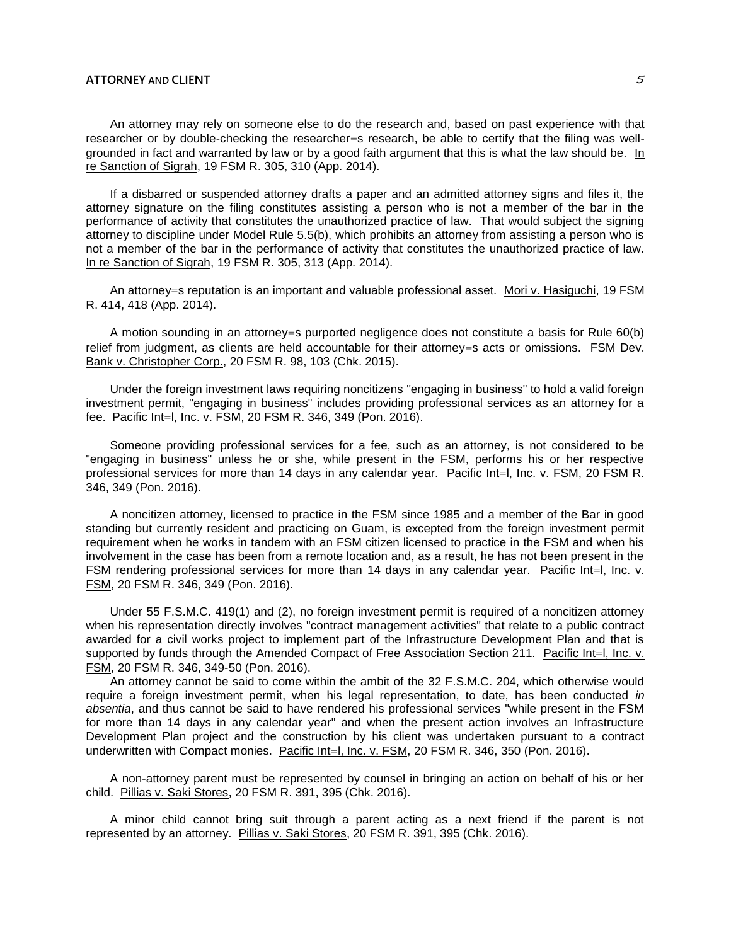An attorney may rely on someone else to do the research and, based on past experience with that researcher or by double-checking the researcher=s research, be able to certify that the filing was wellgrounded in fact and warranted by law or by a good faith argument that this is what the law should be. In re Sanction of Sigrah, 19 FSM R. 305, 310 (App. 2014).

If a disbarred or suspended attorney drafts a paper and an admitted attorney signs and files it, the attorney signature on the filing constitutes assisting a person who is not a member of the bar in the performance of activity that constitutes the unauthorized practice of law. That would subject the signing attorney to discipline under Model Rule 5.5(b), which prohibits an attorney from assisting a person who is not a member of the bar in the performance of activity that constitutes the unauthorized practice of law. In re Sanction of Sigrah, 19 FSM R. 305, 313 (App. 2014).

An attorney=s reputation is an important and valuable professional asset. Mori v. Hasiguchi, 19 FSM R. 414, 418 (App. 2014).

A motion sounding in an attorney=s purported negligence does not constitute a basis for Rule 60(b) relief from judgment, as clients are held accountable for their attorney=s acts or omissions. FSM Dev. Bank v. Christopher Corp., 20 FSM R. 98, 103 (Chk. 2015).

Under the foreign investment laws requiring noncitizens "engaging in business" to hold a valid foreign investment permit, "engaging in business" includes providing professional services as an attorney for a fee. Pacific Int=l, Inc. v. FSM, 20 FSM R. 346, 349 (Pon. 2016).

Someone providing professional services for a fee, such as an attorney, is not considered to be "engaging in business" unless he or she, while present in the FSM, performs his or her respective professional services for more than 14 days in any calendar year. Pacific Int=l, Inc. v. FSM, 20 FSM R. 346, 349 (Pon. 2016).

A noncitizen attorney, licensed to practice in the FSM since 1985 and a member of the Bar in good standing but currently resident and practicing on Guam, is excepted from the foreign investment permit requirement when he works in tandem with an FSM citizen licensed to practice in the FSM and when his involvement in the case has been from a remote location and, as a result, he has not been present in the FSM rendering professional services for more than 14 days in any calendar year. Pacific Int=I, Inc. v. FSM, 20 FSM R. 346, 349 (Pon. 2016).

Under 55 F.S.M.C. 419(1) and (2), no foreign investment permit is required of a noncitizen attorney when his representation directly involves "contract management activities" that relate to a public contract awarded for a civil works project to implement part of the Infrastructure Development Plan and that is supported by funds through the Amended Compact of Free Association Section 211. Pacific Int=I, Inc. v. FSM, 20 FSM R. 346, 349-50 (Pon. 2016).

An attorney cannot be said to come within the ambit of the 32 F.S.M.C. 204, which otherwise would require a foreign investment permit, when his legal representation, to date, has been conducted *in absentia*, and thus cannot be said to have rendered his professional services "while present in the FSM for more than 14 days in any calendar year" and when the present action involves an Infrastructure Development Plan project and the construction by his client was undertaken pursuant to a contract underwritten with Compact monies. Pacific Int=l, Inc. v. FSM, 20 FSM R. 346, 350 (Pon. 2016).

A non-attorney parent must be represented by counsel in bringing an action on behalf of his or her child. Pillias v. Saki Stores, 20 FSM R. 391, 395 (Chk. 2016).

A minor child cannot bring suit through a parent acting as a next friend if the parent is not represented by an attorney. Pillias v. Saki Stores, 20 FSM R. 391, 395 (Chk. 2016).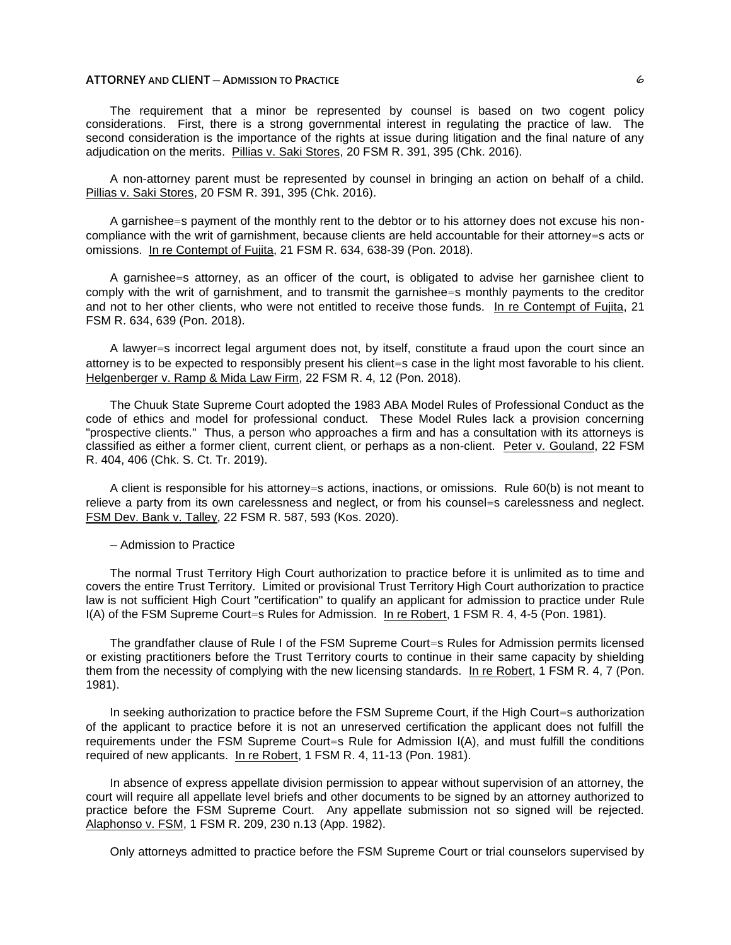The requirement that a minor be represented by counsel is based on two cogent policy considerations. First, there is a strong governmental interest in regulating the practice of law. The second consideration is the importance of the rights at issue during litigation and the final nature of any adjudication on the merits. Pillias v. Saki Stores, 20 FSM R. 391, 395 (Chk. 2016).

A non-attorney parent must be represented by counsel in bringing an action on behalf of a child. Pillias v. Saki Stores, 20 FSM R. 391, 395 (Chk. 2016).

A garnishee=s payment of the monthly rent to the debtor or to his attorney does not excuse his noncompliance with the writ of garnishment, because clients are held accountable for their attorney=s acts or omissions. In re Contempt of Fujita, 21 FSM R. 634, 638-39 (Pon. 2018).

A garnishee=s attorney, as an officer of the court, is obligated to advise her garnishee client to comply with the writ of garnishment, and to transmit the garnishee=s monthly payments to the creditor and not to her other clients, who were not entitled to receive those funds. In re Contempt of Fujita, 21 FSM R. 634, 639 (Pon. 2018).

A lawyer=s incorrect legal argument does not, by itself, constitute a fraud upon the court since an attorney is to be expected to responsibly present his client=s case in the light most favorable to his client. Helgenberger v. Ramp & Mida Law Firm, 22 FSM R. 4, 12 (Pon. 2018).

The Chuuk State Supreme Court adopted the 1983 ABA Model Rules of Professional Conduct as the code of ethics and model for professional conduct. These Model Rules lack a provision concerning "prospective clients." Thus, a person who approaches a firm and has a consultation with its attorneys is classified as either a former client, current client, or perhaps as a non-client. Peter v. Gouland, 22 FSM R. 404, 406 (Chk. S. Ct. Tr. 2019).

A client is responsible for his attorney=s actions, inactions, or omissions. Rule 60(b) is not meant to relieve a party from its own carelessness and neglect, or from his counsel=s carelessness and neglect. FSM Dev. Bank v. Talley, 22 FSM R. 587, 593 (Kos. 2020).

─ Admission to Practice

The normal Trust Territory High Court authorization to practice before it is unlimited as to time and covers the entire Trust Territory. Limited or provisional Trust Territory High Court authorization to practice law is not sufficient High Court "certification" to qualify an applicant for admission to practice under Rule I(A) of the FSM Supreme Court=s Rules for Admission. In re Robert, 1 FSM R. 4, 4-5 (Pon. 1981).

The grandfather clause of Rule I of the FSM Supreme Court=s Rules for Admission permits licensed or existing practitioners before the Trust Territory courts to continue in their same capacity by shielding them from the necessity of complying with the new licensing standards. In re Robert, 1 FSM R. 4, 7 (Pon. 1981).

In seeking authorization to practice before the FSM Supreme Court, if the High Court=s authorization of the applicant to practice before it is not an unreserved certification the applicant does not fulfill the requirements under the FSM Supreme Court=s Rule for Admission I(A), and must fulfill the conditions required of new applicants. In re Robert, 1 FSM R. 4, 11-13 (Pon. 1981).

In absence of express appellate division permission to appear without supervision of an attorney, the court will require all appellate level briefs and other documents to be signed by an attorney authorized to practice before the FSM Supreme Court. Any appellate submission not so signed will be rejected. Alaphonso v. FSM, 1 FSM R. 209, 230 n.13 (App. 1982).

Only attorneys admitted to practice before the FSM Supreme Court or trial counselors supervised by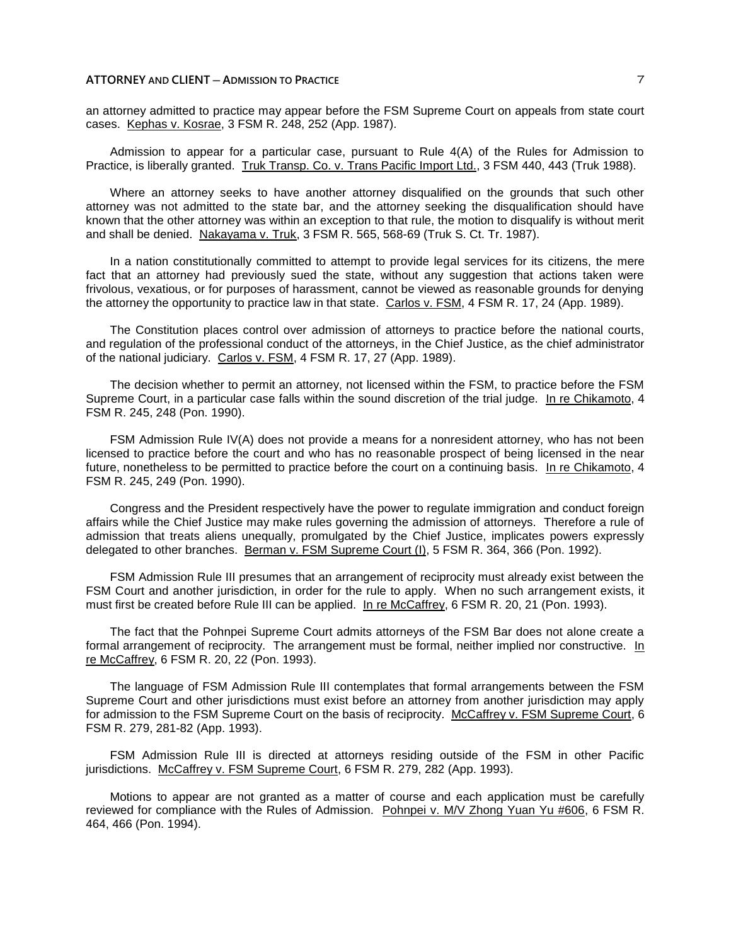an attorney admitted to practice may appear before the FSM Supreme Court on appeals from state court cases. Kephas v. Kosrae, 3 FSM R. 248, 252 (App. 1987).

Admission to appear for a particular case, pursuant to Rule 4(A) of the Rules for Admission to Practice, is liberally granted. Truk Transp. Co. v. Trans Pacific Import Ltd., 3 FSM 440, 443 (Truk 1988).

Where an attorney seeks to have another attorney disqualified on the grounds that such other attorney was not admitted to the state bar, and the attorney seeking the disqualification should have known that the other attorney was within an exception to that rule, the motion to disqualify is without merit and shall be denied. Nakayama v. Truk, 3 FSM R. 565, 568-69 (Truk S. Ct. Tr. 1987).

In a nation constitutionally committed to attempt to provide legal services for its citizens, the mere fact that an attorney had previously sued the state, without any suggestion that actions taken were frivolous, vexatious, or for purposes of harassment, cannot be viewed as reasonable grounds for denying the attorney the opportunity to practice law in that state. Carlos v. FSM, 4 FSM R. 17, 24 (App. 1989).

The Constitution places control over admission of attorneys to practice before the national courts, and regulation of the professional conduct of the attorneys, in the Chief Justice, as the chief administrator of the national judiciary. Carlos v. FSM, 4 FSM R. 17, 27 (App. 1989).

The decision whether to permit an attorney, not licensed within the FSM, to practice before the FSM Supreme Court, in a particular case falls within the sound discretion of the trial judge. In re Chikamoto, 4 FSM R. 245, 248 (Pon. 1990).

FSM Admission Rule IV(A) does not provide a means for a nonresident attorney, who has not been licensed to practice before the court and who has no reasonable prospect of being licensed in the near future, nonetheless to be permitted to practice before the court on a continuing basis. In re Chikamoto, 4 FSM R. 245, 249 (Pon. 1990).

Congress and the President respectively have the power to regulate immigration and conduct foreign affairs while the Chief Justice may make rules governing the admission of attorneys. Therefore a rule of admission that treats aliens unequally, promulgated by the Chief Justice, implicates powers expressly delegated to other branches. Berman v. FSM Supreme Court (I), 5 FSM R. 364, 366 (Pon. 1992).

FSM Admission Rule III presumes that an arrangement of reciprocity must already exist between the FSM Court and another jurisdiction, in order for the rule to apply. When no such arrangement exists, it must first be created before Rule III can be applied. In re McCaffrey, 6 FSM R. 20, 21 (Pon. 1993).

The fact that the Pohnpei Supreme Court admits attorneys of the FSM Bar does not alone create a formal arrangement of reciprocity. The arrangement must be formal, neither implied nor constructive. In re McCaffrey, 6 FSM R. 20, 22 (Pon. 1993).

The language of FSM Admission Rule III contemplates that formal arrangements between the FSM Supreme Court and other jurisdictions must exist before an attorney from another jurisdiction may apply for admission to the FSM Supreme Court on the basis of reciprocity. McCaffrey v. FSM Supreme Court, 6 FSM R. 279, 281-82 (App. 1993).

FSM Admission Rule III is directed at attorneys residing outside of the FSM in other Pacific jurisdictions. McCaffrey v. FSM Supreme Court, 6 FSM R. 279, 282 (App. 1993).

Motions to appear are not granted as a matter of course and each application must be carefully reviewed for compliance with the Rules of Admission. Pohnpei v. M/V Zhong Yuan Yu #606, 6 FSM R. 464, 466 (Pon. 1994).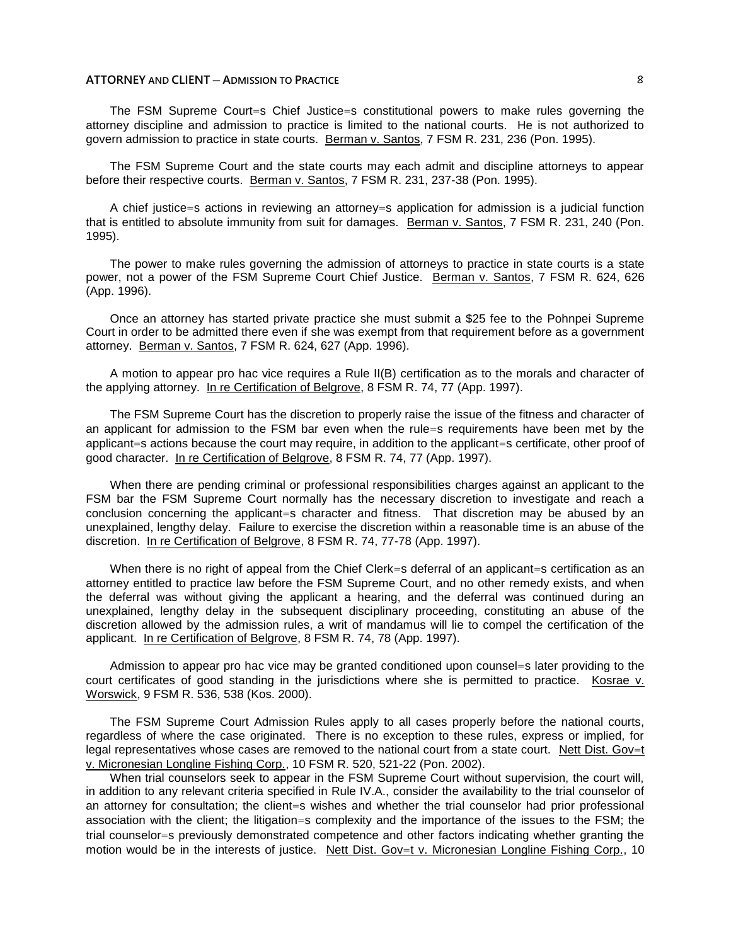The FSM Supreme Court=s Chief Justice=s constitutional powers to make rules governing the attorney discipline and admission to practice is limited to the national courts. He is not authorized to govern admission to practice in state courts. Berman v. Santos, 7 FSM R. 231, 236 (Pon. 1995).

The FSM Supreme Court and the state courts may each admit and discipline attorneys to appear before their respective courts. Berman v. Santos, 7 FSM R. 231, 237-38 (Pon. 1995).

A chief justice=s actions in reviewing an attorney=s application for admission is a judicial function that is entitled to absolute immunity from suit for damages. Berman v. Santos, 7 FSM R. 231, 240 (Pon. 1995).

The power to make rules governing the admission of attorneys to practice in state courts is a state power, not a power of the FSM Supreme Court Chief Justice. Berman v. Santos, 7 FSM R. 624, 626 (App. 1996).

Once an attorney has started private practice she must submit a \$25 fee to the Pohnpei Supreme Court in order to be admitted there even if she was exempt from that requirement before as a government attorney. Berman v. Santos, 7 FSM R. 624, 627 (App. 1996).

A motion to appear pro hac vice requires a Rule II(B) certification as to the morals and character of the applying attorney. In re Certification of Belgrove, 8 FSM R. 74, 77 (App. 1997).

The FSM Supreme Court has the discretion to properly raise the issue of the fitness and character of an applicant for admission to the FSM bar even when the rule=s requirements have been met by the applicant=s actions because the court may require, in addition to the applicant=s certificate, other proof of good character. In re Certification of Belgrove, 8 FSM R. 74, 77 (App. 1997).

When there are pending criminal or professional responsibilities charges against an applicant to the FSM bar the FSM Supreme Court normally has the necessary discretion to investigate and reach a conclusion concerning the applicant=s character and fitness. That discretion may be abused by an unexplained, lengthy delay. Failure to exercise the discretion within a reasonable time is an abuse of the discretion. In re Certification of Belgrove, 8 FSM R. 74, 77-78 (App. 1997).

When there is no right of appeal from the Chief Clerk=s deferral of an applicant=s certification as an attorney entitled to practice law before the FSM Supreme Court, and no other remedy exists, and when the deferral was without giving the applicant a hearing, and the deferral was continued during an unexplained, lengthy delay in the subsequent disciplinary proceeding, constituting an abuse of the discretion allowed by the admission rules, a writ of mandamus will lie to compel the certification of the applicant. In re Certification of Belgrove, 8 FSM R. 74, 78 (App. 1997).

Admission to appear pro hac vice may be granted conditioned upon counsel=s later providing to the court certificates of good standing in the jurisdictions where she is permitted to practice. Kosrae v. Worswick, 9 FSM R. 536, 538 (Kos. 2000).

The FSM Supreme Court Admission Rules apply to all cases properly before the national courts, regardless of where the case originated. There is no exception to these rules, express or implied, for legal representatives whose cases are removed to the national court from a state court. Nett Dist. Gov=t v. Micronesian Longline Fishing Corp., 10 FSM R. 520, 521-22 (Pon. 2002).

When trial counselors seek to appear in the FSM Supreme Court without supervision, the court will, in addition to any relevant criteria specified in Rule IV.A., consider the availability to the trial counselor of an attorney for consultation; the client=s wishes and whether the trial counselor had prior professional association with the client; the litigation=s complexity and the importance of the issues to the FSM; the trial counselor=s previously demonstrated competence and other factors indicating whether granting the motion would be in the interests of justice. Nett Dist. Gov=t v. Micronesian Longline Fishing Corp., 10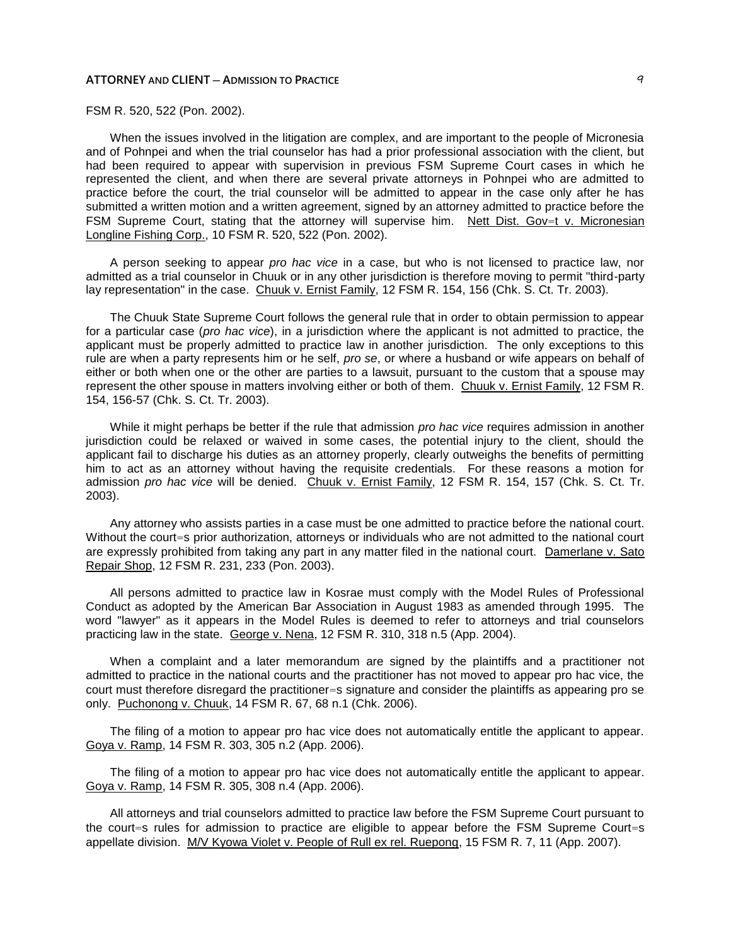FSM R. 520, 522 (Pon. 2002).

When the issues involved in the litigation are complex, and are important to the people of Micronesia and of Pohnpei and when the trial counselor has had a prior professional association with the client, but had been required to appear with supervision in previous FSM Supreme Court cases in which he represented the client, and when there are several private attorneys in Pohnpei who are admitted to practice before the court, the trial counselor will be admitted to appear in the case only after he has submitted a written motion and a written agreement, signed by an attorney admitted to practice before the FSM Supreme Court, stating that the attorney will supervise him. Nett Dist. Gov=t v. Micronesian Longline Fishing Corp., 10 FSM R. 520, 522 (Pon. 2002).

A person seeking to appear *pro hac vice* in a case, but who is not licensed to practice law, nor admitted as a trial counselor in Chuuk or in any other jurisdiction is therefore moving to permit "third-party lay representation" in the case. Chuuk v. Ernist Family, 12 FSM R. 154, 156 (Chk. S. Ct. Tr. 2003).

The Chuuk State Supreme Court follows the general rule that in order to obtain permission to appear for a particular case (*pro hac vice*), in a jurisdiction where the applicant is not admitted to practice, the applicant must be properly admitted to practice law in another jurisdiction. The only exceptions to this rule are when a party represents him or he self, *pro se*, or where a husband or wife appears on behalf of either or both when one or the other are parties to a lawsuit, pursuant to the custom that a spouse may represent the other spouse in matters involving either or both of them. Chuuk v. Ernist Family, 12 FSM R. 154, 156-57 (Chk. S. Ct. Tr. 2003).

While it might perhaps be better if the rule that admission *pro hac vice* requires admission in another jurisdiction could be relaxed or waived in some cases, the potential injury to the client, should the applicant fail to discharge his duties as an attorney properly, clearly outweighs the benefits of permitting him to act as an attorney without having the requisite credentials. For these reasons a motion for admission *pro hac vice* will be denied. Chuuk v. Ernist Family, 12 FSM R. 154, 157 (Chk. S. Ct. Tr. 2003).

Any attorney who assists parties in a case must be one admitted to practice before the national court. Without the court=s prior authorization, attorneys or individuals who are not admitted to the national court are expressly prohibited from taking any part in any matter filed in the national court. Damerlane v. Sato Repair Shop, 12 FSM R. 231, 233 (Pon. 2003).

All persons admitted to practice law in Kosrae must comply with the Model Rules of Professional Conduct as adopted by the American Bar Association in August 1983 as amended through 1995. The word "lawyer" as it appears in the Model Rules is deemed to refer to attorneys and trial counselors practicing law in the state. George v. Nena, 12 FSM R. 310, 318 n.5 (App. 2004).

When a complaint and a later memorandum are signed by the plaintiffs and a practitioner not admitted to practice in the national courts and the practitioner has not moved to appear pro hac vice, the court must therefore disregard the practitioner=s signature and consider the plaintiffs as appearing pro se only. Puchonong v. Chuuk, 14 FSM R. 67, 68 n.1 (Chk. 2006).

The filing of a motion to appear pro hac vice does not automatically entitle the applicant to appear. Goya v. Ramp, 14 FSM R. 303, 305 n.2 (App. 2006).

The filing of a motion to appear pro hac vice does not automatically entitle the applicant to appear. Goya v. Ramp, 14 FSM R. 305, 308 n.4 (App. 2006).

All attorneys and trial counselors admitted to practice law before the FSM Supreme Court pursuant to the court=s rules for admission to practice are eligible to appear before the FSM Supreme Court=s appellate division. M/V Kyowa Violet v. People of Rull ex rel. Ruepong, 15 FSM R. 7, 11 (App. 2007).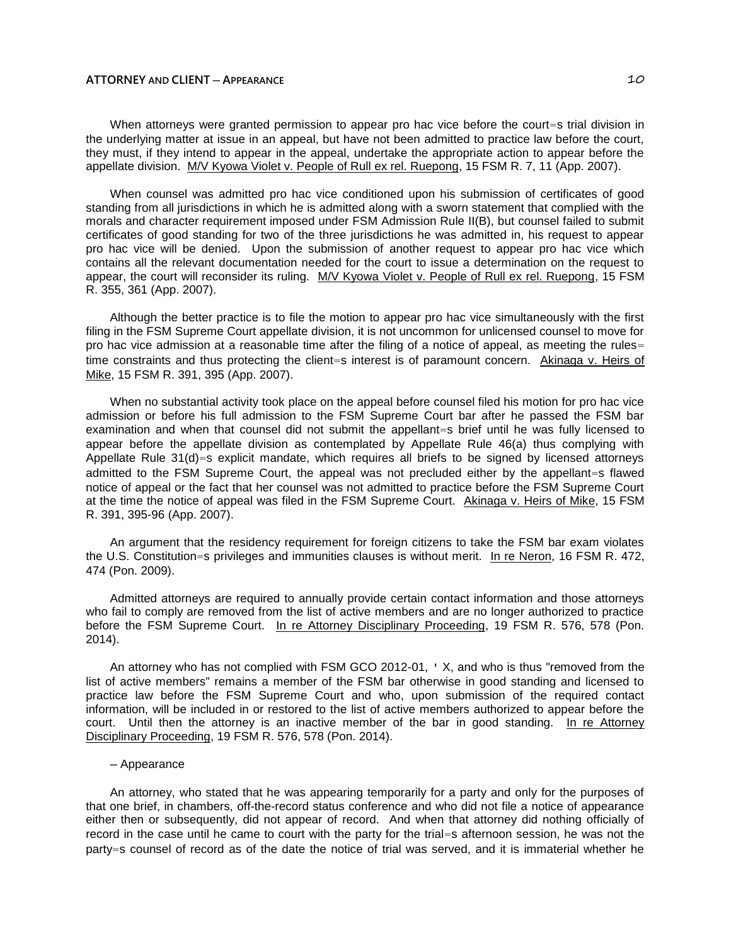## **ATTORNEY AND CLIENT ─ APPEARANCE** 10

When attorneys were granted permission to appear pro hac vice before the court=s trial division in the underlying matter at issue in an appeal, but have not been admitted to practice law before the court, they must, if they intend to appear in the appeal, undertake the appropriate action to appear before the appellate division. M/V Kyowa Violet v. People of Rull ex rel. Ruepong, 15 FSM R. 7, 11 (App. 2007).

When counsel was admitted pro hac vice conditioned upon his submission of certificates of good standing from all jurisdictions in which he is admitted along with a sworn statement that complied with the morals and character requirement imposed under FSM Admission Rule II(B), but counsel failed to submit certificates of good standing for two of the three jurisdictions he was admitted in, his request to appear pro hac vice will be denied. Upon the submission of another request to appear pro hac vice which contains all the relevant documentation needed for the court to issue a determination on the request to appear, the court will reconsider its ruling. M/V Kyowa Violet v. People of Rull ex rel. Ruepong, 15 FSM R. 355, 361 (App. 2007).

Although the better practice is to file the motion to appear pro hac vice simultaneously with the first filing in the FSM Supreme Court appellate division, it is not uncommon for unlicensed counsel to move for pro hac vice admission at a reasonable time after the filing of a notice of appeal, as meeting the rules= time constraints and thus protecting the client=s interest is of paramount concern. Akinaga v. Heirs of Mike, 15 FSM R. 391, 395 (App. 2007).

When no substantial activity took place on the appeal before counsel filed his motion for pro hac vice admission or before his full admission to the FSM Supreme Court bar after he passed the FSM bar examination and when that counsel did not submit the appellant=s brief until he was fully licensed to appear before the appellate division as contemplated by Appellate Rule 46(a) thus complying with Appellate Rule 31(d)=s explicit mandate, which requires all briefs to be signed by licensed attorneys admitted to the FSM Supreme Court, the appeal was not precluded either by the appellant=s flawed notice of appeal or the fact that her counsel was not admitted to practice before the FSM Supreme Court at the time the notice of appeal was filed in the FSM Supreme Court. Akinaga v. Heirs of Mike, 15 FSM R. 391, 395-96 (App. 2007).

An argument that the residency requirement for foreign citizens to take the FSM bar exam violates the U.S. Constitution=s privileges and immunities clauses is without merit. In re Neron, 16 FSM R. 472, 474 (Pon. 2009).

Admitted attorneys are required to annually provide certain contact information and those attorneys who fail to comply are removed from the list of active members and are no longer authorized to practice before the FSM Supreme Court. In re Attorney Disciplinary Proceeding, 19 FSM R. 576, 578 (Pon. 2014).

An attorney who has not complied with FSM GCO 2012-01, ' X, and who is thus "removed from the list of active members" remains a member of the FSM bar otherwise in good standing and licensed to practice law before the FSM Supreme Court and who, upon submission of the required contact information, will be included in or restored to the list of active members authorized to appear before the court. Until then the attorney is an inactive member of the bar in good standing. In re Attorney Disciplinary Proceeding, 19 FSM R. 576, 578 (Pon. 2014).

#### ─ Appearance

An attorney, who stated that he was appearing temporarily for a party and only for the purposes of that one brief, in chambers, off-the-record status conference and who did not file a notice of appearance either then or subsequently, did not appear of record. And when that attorney did nothing officially of record in the case until he came to court with the party for the trial=s afternoon session, he was not the party=s counsel of record as of the date the notice of trial was served, and it is immaterial whether he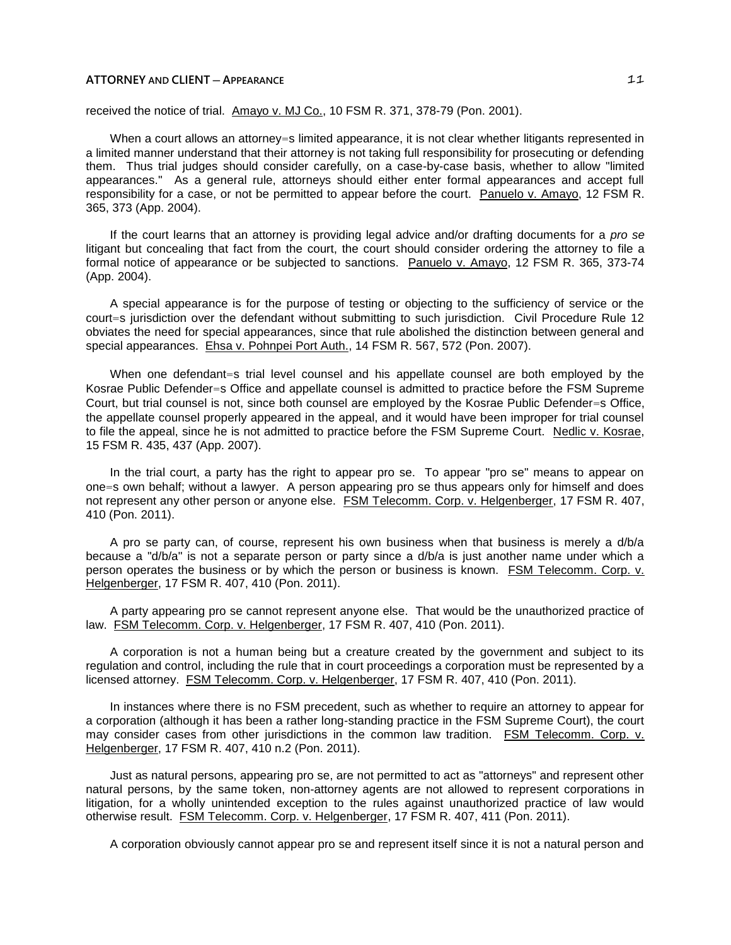### **ATTORNEY AND CLIENT ─ APPEARANCE** 11

received the notice of trial. Amayo v. MJ Co., 10 FSM R. 371, 378-79 (Pon. 2001).

When a court allows an attorney=s limited appearance, it is not clear whether litigants represented in a limited manner understand that their attorney is not taking full responsibility for prosecuting or defending them. Thus trial judges should consider carefully, on a case-by-case basis, whether to allow "limited appearances." As a general rule, attorneys should either enter formal appearances and accept full responsibility for a case, or not be permitted to appear before the court. Panuelo v. Amayo, 12 FSM R. 365, 373 (App. 2004).

If the court learns that an attorney is providing legal advice and/or drafting documents for a *pro se* litigant but concealing that fact from the court, the court should consider ordering the attorney to file a formal notice of appearance or be subjected to sanctions. Panuelo v. Amayo, 12 FSM R. 365, 373-74 (App. 2004).

A special appearance is for the purpose of testing or objecting to the sufficiency of service or the court=s jurisdiction over the defendant without submitting to such jurisdiction. Civil Procedure Rule 12 obviates the need for special appearances, since that rule abolished the distinction between general and special appearances. Ehsa v. Pohnpei Port Auth., 14 FSM R. 567, 572 (Pon. 2007).

When one defendant=s trial level counsel and his appellate counsel are both employed by the Kosrae Public Defender=s Office and appellate counsel is admitted to practice before the FSM Supreme Court, but trial counsel is not, since both counsel are employed by the Kosrae Public Defender=s Office, the appellate counsel properly appeared in the appeal, and it would have been improper for trial counsel to file the appeal, since he is not admitted to practice before the FSM Supreme Court. Nedlic v. Kosrae, 15 FSM R. 435, 437 (App. 2007).

In the trial court, a party has the right to appear pro se. To appear "pro se" means to appear on one=s own behalf; without a lawyer. A person appearing pro se thus appears only for himself and does not represent any other person or anyone else. FSM Telecomm. Corp. v. Helgenberger, 17 FSM R. 407, 410 (Pon. 2011).

A pro se party can, of course, represent his own business when that business is merely a d/b/a because a "d/b/a" is not a separate person or party since a d/b/a is just another name under which a person operates the business or by which the person or business is known. FSM Telecomm. Corp. v. Helgenberger, 17 FSM R. 407, 410 (Pon. 2011).

A party appearing pro se cannot represent anyone else. That would be the unauthorized practice of law. FSM Telecomm. Corp. v. Helgenberger, 17 FSM R. 407, 410 (Pon. 2011).

A corporation is not a human being but a creature created by the government and subject to its regulation and control, including the rule that in court proceedings a corporation must be represented by a licensed attorney. FSM Telecomm. Corp. v. Helgenberger, 17 FSM R. 407, 410 (Pon. 2011).

In instances where there is no FSM precedent, such as whether to require an attorney to appear for a corporation (although it has been a rather long-standing practice in the FSM Supreme Court), the court may consider cases from other jurisdictions in the common law tradition. FSM Telecomm. Corp. v. Helgenberger, 17 FSM R. 407, 410 n.2 (Pon. 2011).

Just as natural persons, appearing pro se, are not permitted to act as "attorneys" and represent other natural persons, by the same token, non-attorney agents are not allowed to represent corporations in litigation, for a wholly unintended exception to the rules against unauthorized practice of law would otherwise result. FSM Telecomm. Corp. v. Helgenberger, 17 FSM R. 407, 411 (Pon. 2011).

A corporation obviously cannot appear pro se and represent itself since it is not a natural person and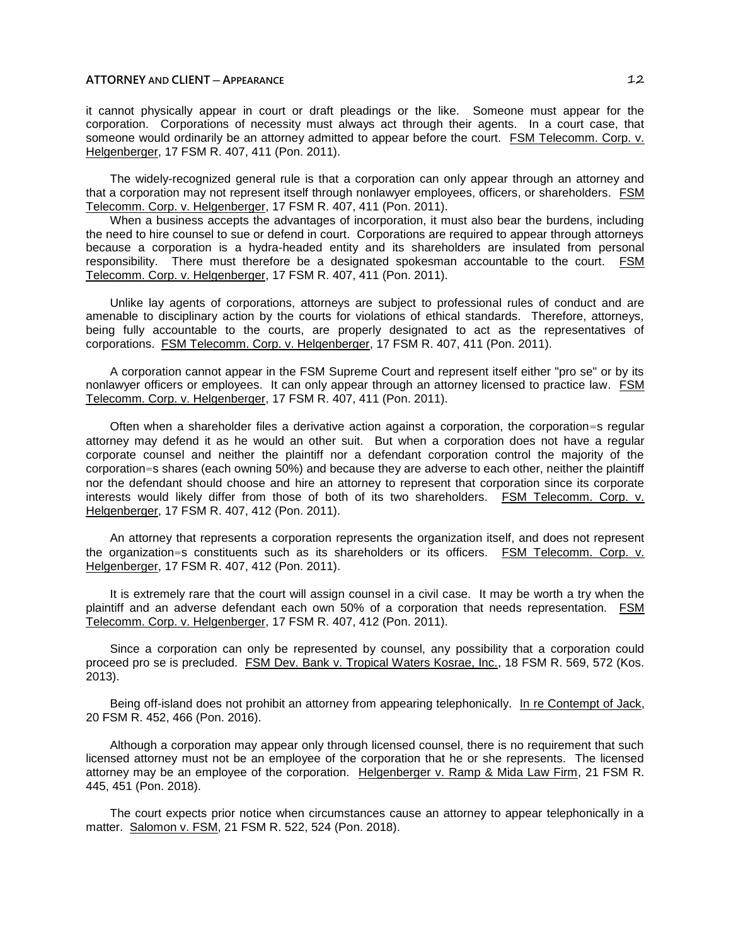### **ATTORNEY AND CLIENT ─ APPEARANCE** 12

it cannot physically appear in court or draft pleadings or the like. Someone must appear for the corporation. Corporations of necessity must always act through their agents. In a court case, that someone would ordinarily be an attorney admitted to appear before the court. FSM Telecomm. Corp. v. Helgenberger, 17 FSM R. 407, 411 (Pon. 2011).

The widely-recognized general rule is that a corporation can only appear through an attorney and that a corporation may not represent itself through nonlawyer employees, officers, or shareholders. FSM Telecomm. Corp. v. Helgenberger, 17 FSM R. 407, 411 (Pon. 2011).

When a business accepts the advantages of incorporation, it must also bear the burdens, including the need to hire counsel to sue or defend in court. Corporations are required to appear through attorneys because a corporation is a hydra-headed entity and its shareholders are insulated from personal responsibility. There must therefore be a designated spokesman accountable to the court. FSM Telecomm. Corp. v. Helgenberger, 17 FSM R. 407, 411 (Pon. 2011).

Unlike lay agents of corporations, attorneys are subject to professional rules of conduct and are amenable to disciplinary action by the courts for violations of ethical standards. Therefore, attorneys, being fully accountable to the courts, are properly designated to act as the representatives of corporations. FSM Telecomm. Corp. v. Helgenberger, 17 FSM R. 407, 411 (Pon. 2011).

A corporation cannot appear in the FSM Supreme Court and represent itself either "pro se" or by its nonlawyer officers or employees. It can only appear through an attorney licensed to practice law. FSM Telecomm. Corp. v. Helgenberger, 17 FSM R. 407, 411 (Pon. 2011).

Often when a shareholder files a derivative action against a corporation, the corporation=s regular attorney may defend it as he would an other suit. But when a corporation does not have a regular corporate counsel and neither the plaintiff nor a defendant corporation control the majority of the corporation=s shares (each owning 50%) and because they are adverse to each other, neither the plaintiff nor the defendant should choose and hire an attorney to represent that corporation since its corporate interests would likely differ from those of both of its two shareholders. FSM Telecomm. Corp. v. Helgenberger, 17 FSM R. 407, 412 (Pon. 2011).

An attorney that represents a corporation represents the organization itself, and does not represent the organization=s constituents such as its shareholders or its officers. FSM Telecomm. Corp. v. Helgenberger, 17 FSM R. 407, 412 (Pon. 2011).

It is extremely rare that the court will assign counsel in a civil case. It may be worth a try when the plaintiff and an adverse defendant each own 50% of a corporation that needs representation. FSM Telecomm. Corp. v. Helgenberger, 17 FSM R. 407, 412 (Pon. 2011).

Since a corporation can only be represented by counsel, any possibility that a corporation could proceed pro se is precluded. FSM Dev. Bank v. Tropical Waters Kosrae, Inc., 18 FSM R. 569, 572 (Kos. 2013).

Being off-island does not prohibit an attorney from appearing telephonically. In re Contempt of Jack, 20 FSM R. 452, 466 (Pon. 2016).

Although a corporation may appear only through licensed counsel, there is no requirement that such licensed attorney must not be an employee of the corporation that he or she represents. The licensed attorney may be an employee of the corporation. Helgenberger v. Ramp & Mida Law Firm, 21 FSM R. 445, 451 (Pon. 2018).

The court expects prior notice when circumstances cause an attorney to appear telephonically in a matter. Salomon v. FSM, 21 FSM R. 522, 524 (Pon. 2018).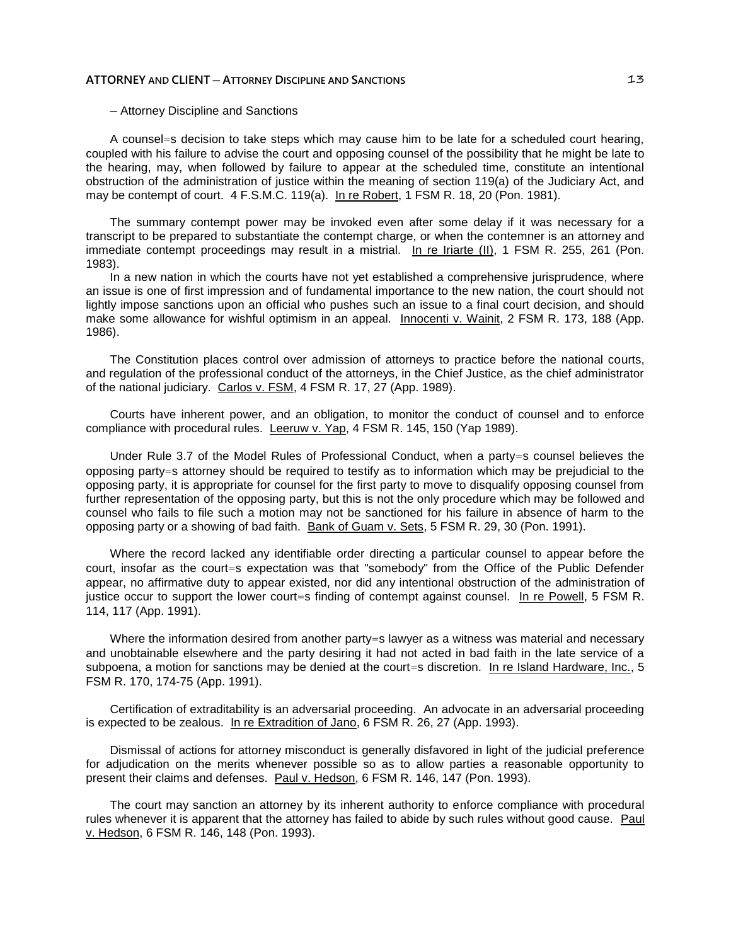#### ─ Attorney Discipline and Sanctions

A counsel=s decision to take steps which may cause him to be late for a scheduled court hearing, coupled with his failure to advise the court and opposing counsel of the possibility that he might be late to the hearing, may, when followed by failure to appear at the scheduled time, constitute an intentional obstruction of the administration of justice within the meaning of section 119(a) of the Judiciary Act, and may be contempt of court. 4 F.S.M.C. 119(a). In re Robert, 1 FSM R. 18, 20 (Pon. 1981).

The summary contempt power may be invoked even after some delay if it was necessary for a transcript to be prepared to substantiate the contempt charge, or when the contemner is an attorney and immediate contempt proceedings may result in a mistrial. In re Iriarte (II), 1 FSM R. 255, 261 (Pon. 1983).

In a new nation in which the courts have not yet established a comprehensive jurisprudence, where an issue is one of first impression and of fundamental importance to the new nation, the court should not lightly impose sanctions upon an official who pushes such an issue to a final court decision, and should make some allowance for wishful optimism in an appeal. Innocenti v. Wainit, 2 FSM R. 173, 188 (App. 1986).

The Constitution places control over admission of attorneys to practice before the national courts, and regulation of the professional conduct of the attorneys, in the Chief Justice, as the chief administrator of the national judiciary. Carlos v. FSM, 4 FSM R. 17, 27 (App. 1989).

Courts have inherent power, and an obligation, to monitor the conduct of counsel and to enforce compliance with procedural rules. Leeruw v. Yap, 4 FSM R. 145, 150 (Yap 1989).

Under Rule 3.7 of the Model Rules of Professional Conduct, when a party=s counsel believes the opposing party=s attorney should be required to testify as to information which may be prejudicial to the opposing party, it is appropriate for counsel for the first party to move to disqualify opposing counsel from further representation of the opposing party, but this is not the only procedure which may be followed and counsel who fails to file such a motion may not be sanctioned for his failure in absence of harm to the opposing party or a showing of bad faith. Bank of Guam v. Sets, 5 FSM R. 29, 30 (Pon. 1991).

Where the record lacked any identifiable order directing a particular counsel to appear before the court, insofar as the court=s expectation was that "somebody" from the Office of the Public Defender appear, no affirmative duty to appear existed, nor did any intentional obstruction of the administration of justice occur to support the lower court=s finding of contempt against counsel. In re Powell, 5 FSM R. 114, 117 (App. 1991).

Where the information desired from another party=s lawyer as a witness was material and necessary and unobtainable elsewhere and the party desiring it had not acted in bad faith in the late service of a subpoena, a motion for sanctions may be denied at the court=s discretion. In re Island Hardware, Inc., 5 FSM R. 170, 174-75 (App. 1991).

Certification of extraditability is an adversarial proceeding. An advocate in an adversarial proceeding is expected to be zealous. In re Extradition of Jano, 6 FSM R. 26, 27 (App. 1993).

Dismissal of actions for attorney misconduct is generally disfavored in light of the judicial preference for adjudication on the merits whenever possible so as to allow parties a reasonable opportunity to present their claims and defenses. Paul v. Hedson, 6 FSM R. 146, 147 (Pon. 1993).

The court may sanction an attorney by its inherent authority to enforce compliance with procedural rules whenever it is apparent that the attorney has failed to abide by such rules without good cause. Paul v. Hedson, 6 FSM R. 146, 148 (Pon. 1993).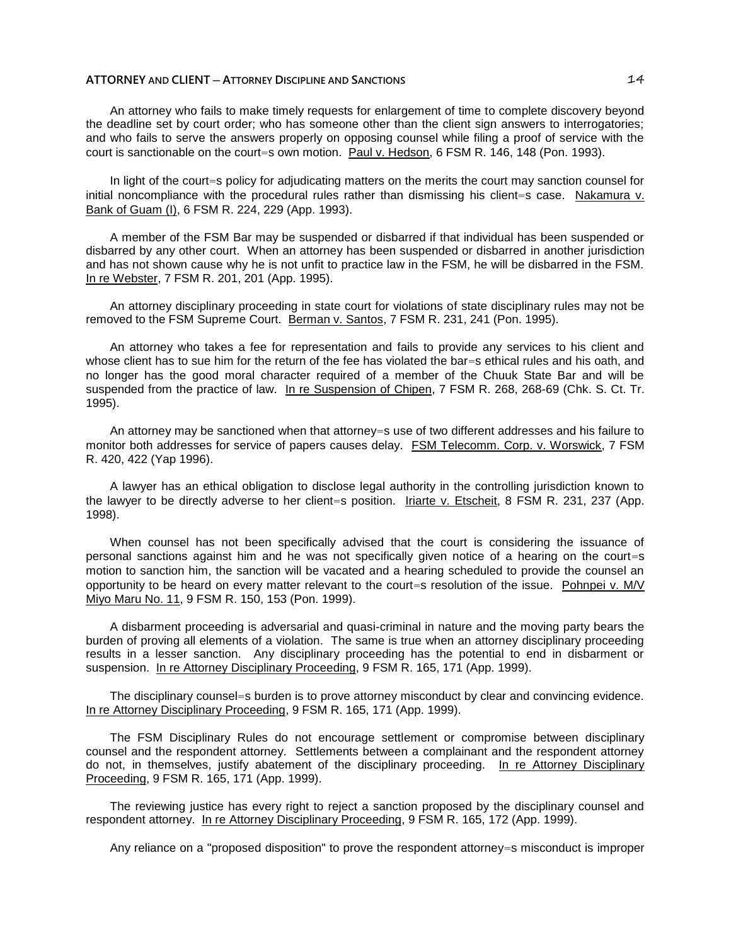An attorney who fails to make timely requests for enlargement of time to complete discovery beyond the deadline set by court order; who has someone other than the client sign answers to interrogatories; and who fails to serve the answers properly on opposing counsel while filing a proof of service with the court is sanctionable on the court=s own motion. Paul v. Hedson, 6 FSM R. 146, 148 (Pon. 1993).

In light of the court=s policy for adjudicating matters on the merits the court may sanction counsel for initial noncompliance with the procedural rules rather than dismissing his client=s case. Nakamura v. Bank of Guam (I), 6 FSM R. 224, 229 (App. 1993).

A member of the FSM Bar may be suspended or disbarred if that individual has been suspended or disbarred by any other court. When an attorney has been suspended or disbarred in another jurisdiction and has not shown cause why he is not unfit to practice law in the FSM, he will be disbarred in the FSM. In re Webster, 7 FSM R. 201, 201 (App. 1995).

An attorney disciplinary proceeding in state court for violations of state disciplinary rules may not be removed to the FSM Supreme Court. Berman v. Santos, 7 FSM R. 231, 241 (Pon. 1995).

An attorney who takes a fee for representation and fails to provide any services to his client and whose client has to sue him for the return of the fee has violated the bar=s ethical rules and his oath, and no longer has the good moral character required of a member of the Chuuk State Bar and will be suspended from the practice of law. In re Suspension of Chipen, 7 FSM R. 268, 268-69 (Chk. S. Ct. Tr. 1995).

An attorney may be sanctioned when that attorney=s use of two different addresses and his failure to monitor both addresses for service of papers causes delay. FSM Telecomm. Corp. v. Worswick, 7 FSM R. 420, 422 (Yap 1996).

A lawyer has an ethical obligation to disclose legal authority in the controlling jurisdiction known to the lawyer to be directly adverse to her client=s position. Iriarte v. Etscheit, 8 FSM R. 231, 237 (App. 1998).

When counsel has not been specifically advised that the court is considering the issuance of personal sanctions against him and he was not specifically given notice of a hearing on the court=s motion to sanction him, the sanction will be vacated and a hearing scheduled to provide the counsel an opportunity to be heard on every matter relevant to the court=s resolution of the issue. Pohnpei v. M/V Miyo Maru No. 11, 9 FSM R. 150, 153 (Pon. 1999).

A disbarment proceeding is adversarial and quasi-criminal in nature and the moving party bears the burden of proving all elements of a violation. The same is true when an attorney disciplinary proceeding results in a lesser sanction. Any disciplinary proceeding has the potential to end in disbarment or suspension. In re Attorney Disciplinary Proceeding, 9 FSM R. 165, 171 (App. 1999).

The disciplinary counsel=s burden is to prove attorney misconduct by clear and convincing evidence. In re Attorney Disciplinary Proceeding, 9 FSM R. 165, 171 (App. 1999).

The FSM Disciplinary Rules do not encourage settlement or compromise between disciplinary counsel and the respondent attorney. Settlements between a complainant and the respondent attorney do not, in themselves, justify abatement of the disciplinary proceeding. In re Attorney Disciplinary Proceeding, 9 FSM R. 165, 171 (App. 1999).

The reviewing justice has every right to reject a sanction proposed by the disciplinary counsel and respondent attorney. In re Attorney Disciplinary Proceeding, 9 FSM R. 165, 172 (App. 1999).

Any reliance on a "proposed disposition" to prove the respondent attorney=s misconduct is improper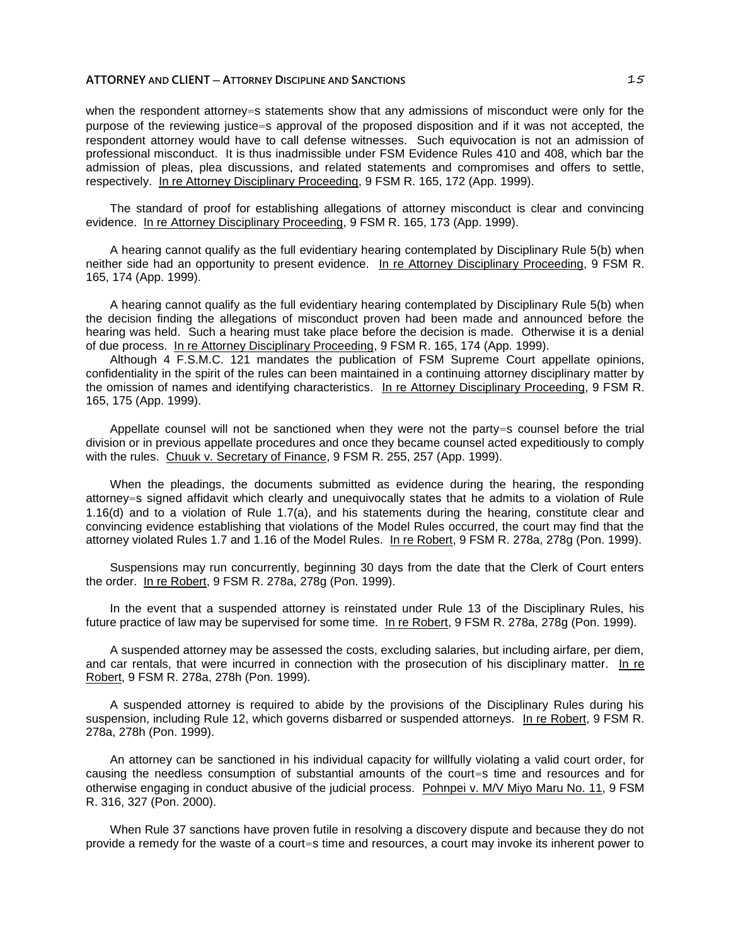when the respondent attorney=s statements show that any admissions of misconduct were only for the purpose of the reviewing justice=s approval of the proposed disposition and if it was not accepted, the respondent attorney would have to call defense witnesses. Such equivocation is not an admission of professional misconduct. It is thus inadmissible under FSM Evidence Rules 410 and 408, which bar the admission of pleas, plea discussions, and related statements and compromises and offers to settle, respectively. In re Attorney Disciplinary Proceeding, 9 FSM R. 165, 172 (App. 1999).

The standard of proof for establishing allegations of attorney misconduct is clear and convincing evidence. In re Attorney Disciplinary Proceeding, 9 FSM R. 165, 173 (App. 1999).

A hearing cannot qualify as the full evidentiary hearing contemplated by Disciplinary Rule 5(b) when neither side had an opportunity to present evidence. In re Attorney Disciplinary Proceeding, 9 FSM R. 165, 174 (App. 1999).

A hearing cannot qualify as the full evidentiary hearing contemplated by Disciplinary Rule 5(b) when the decision finding the allegations of misconduct proven had been made and announced before the hearing was held. Such a hearing must take place before the decision is made. Otherwise it is a denial of due process. In re Attorney Disciplinary Proceeding, 9 FSM R. 165, 174 (App. 1999).

Although 4 F.S.M.C. 121 mandates the publication of FSM Supreme Court appellate opinions, confidentiality in the spirit of the rules can been maintained in a continuing attorney disciplinary matter by the omission of names and identifying characteristics. In re Attorney Disciplinary Proceeding, 9 FSM R. 165, 175 (App. 1999).

Appellate counsel will not be sanctioned when they were not the party=s counsel before the trial division or in previous appellate procedures and once they became counsel acted expeditiously to comply with the rules. Chuuk v. Secretary of Finance, 9 FSM R. 255, 257 (App. 1999).

When the pleadings, the documents submitted as evidence during the hearing, the responding attorney=s signed affidavit which clearly and unequivocally states that he admits to a violation of Rule 1.16(d) and to a violation of Rule 1.7(a), and his statements during the hearing, constitute clear and convincing evidence establishing that violations of the Model Rules occurred, the court may find that the attorney violated Rules 1.7 and 1.16 of the Model Rules. In re Robert, 9 FSM R. 278a, 278g (Pon. 1999).

Suspensions may run concurrently, beginning 30 days from the date that the Clerk of Court enters the order. In re Robert, 9 FSM R. 278a, 278g (Pon. 1999).

In the event that a suspended attorney is reinstated under Rule 13 of the Disciplinary Rules, his future practice of law may be supervised for some time. In re Robert, 9 FSM R. 278a, 278g (Pon. 1999).

A suspended attorney may be assessed the costs, excluding salaries, but including airfare, per diem, and car rentals, that were incurred in connection with the prosecution of his disciplinary matter. In re Robert, 9 FSM R. 278a, 278h (Pon. 1999).

A suspended attorney is required to abide by the provisions of the Disciplinary Rules during his suspension, including Rule 12, which governs disbarred or suspended attorneys. In re Robert, 9 FSM R. 278a, 278h (Pon. 1999).

An attorney can be sanctioned in his individual capacity for willfully violating a valid court order, for causing the needless consumption of substantial amounts of the court=s time and resources and for otherwise engaging in conduct abusive of the judicial process. Pohnpei v. M/V Miyo Maru No. 11, 9 FSM R. 316, 327 (Pon. 2000).

When Rule 37 sanctions have proven futile in resolving a discovery dispute and because they do not provide a remedy for the waste of a court=s time and resources, a court may invoke its inherent power to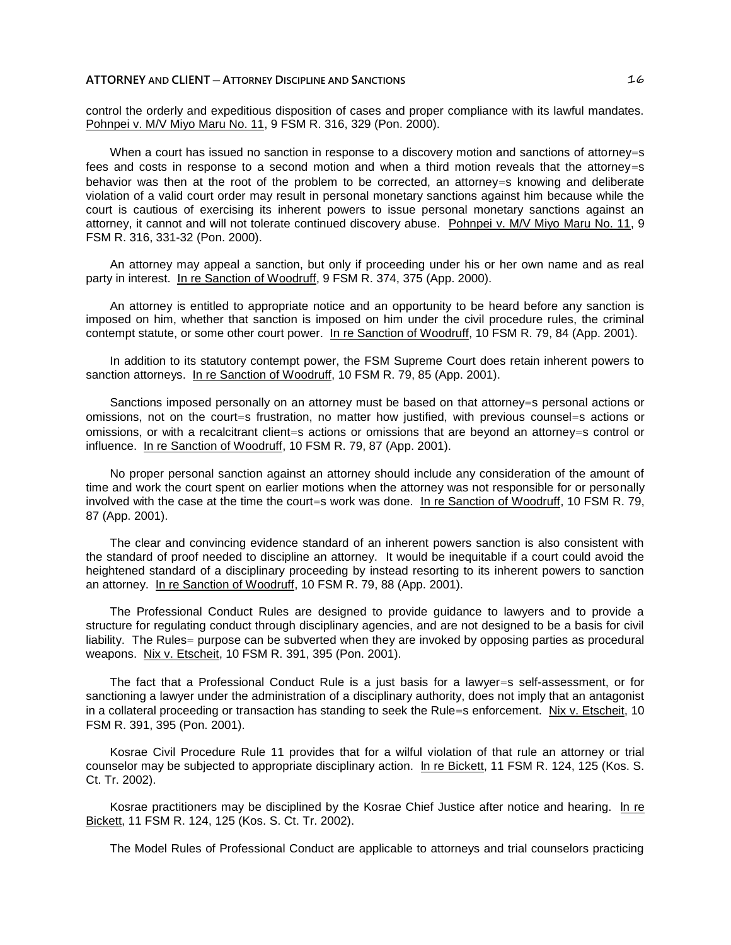control the orderly and expeditious disposition of cases and proper compliance with its lawful mandates. Pohnpei v. M/V Miyo Maru No. 11, 9 FSM R. 316, 329 (Pon. 2000).

When a court has issued no sanction in response to a discovery motion and sanctions of attorney=s fees and costs in response to a second motion and when a third motion reveals that the attorney=s behavior was then at the root of the problem to be corrected, an attorney=s knowing and deliberate violation of a valid court order may result in personal monetary sanctions against him because while the court is cautious of exercising its inherent powers to issue personal monetary sanctions against an attorney, it cannot and will not tolerate continued discovery abuse. Pohnpei v. M/V Miyo Maru No. 11, 9 FSM R. 316, 331-32 (Pon. 2000).

An attorney may appeal a sanction, but only if proceeding under his or her own name and as real party in interest. In re Sanction of Woodruff, 9 FSM R. 374, 375 (App. 2000).

An attorney is entitled to appropriate notice and an opportunity to be heard before any sanction is imposed on him, whether that sanction is imposed on him under the civil procedure rules, the criminal contempt statute, or some other court power. In re Sanction of Woodruff, 10 FSM R. 79, 84 (App. 2001).

In addition to its statutory contempt power, the FSM Supreme Court does retain inherent powers to sanction attorneys. In re Sanction of Woodruff, 10 FSM R. 79, 85 (App. 2001).

Sanctions imposed personally on an attorney must be based on that attorney=s personal actions or omissions, not on the court=s frustration, no matter how justified, with previous counsel=s actions or omissions, or with a recalcitrant client=s actions or omissions that are beyond an attorney=s control or influence. In re Sanction of Woodruff, 10 FSM R. 79, 87 (App. 2001).

No proper personal sanction against an attorney should include any consideration of the amount of time and work the court spent on earlier motions when the attorney was not responsible for or personally involved with the case at the time the court=s work was done. In re Sanction of Woodruff, 10 FSM R. 79, 87 (App. 2001).

The clear and convincing evidence standard of an inherent powers sanction is also consistent with the standard of proof needed to discipline an attorney. It would be inequitable if a court could avoid the heightened standard of a disciplinary proceeding by instead resorting to its inherent powers to sanction an attorney. In re Sanction of Woodruff, 10 FSM R. 79, 88 (App. 2001).

The Professional Conduct Rules are designed to provide guidance to lawyers and to provide a structure for regulating conduct through disciplinary agencies, and are not designed to be a basis for civil liability. The Rules= purpose can be subverted when they are invoked by opposing parties as procedural weapons. Nix v. Etscheit, 10 FSM R. 391, 395 (Pon. 2001).

The fact that a Professional Conduct Rule is a just basis for a lawyer=s self-assessment, or for sanctioning a lawyer under the administration of a disciplinary authority, does not imply that an antagonist in a collateral proceeding or transaction has standing to seek the Rule=s enforcement. Nix v. Etscheit, 10 FSM R. 391, 395 (Pon. 2001).

Kosrae Civil Procedure Rule 11 provides that for a wilful violation of that rule an attorney or trial counselor may be subjected to appropriate disciplinary action. ln re Bickett, 11 FSM R. 124, 125 (Kos. S. Ct. Tr. 2002).

Kosrae practitioners may be disciplined by the Kosrae Chief Justice after notice and hearing. In re Bickett, 11 FSM R. 124, 125 (Kos. S. Ct. Tr. 2002).

The Model Rules of Professional Conduct are applicable to attorneys and trial counselors practicing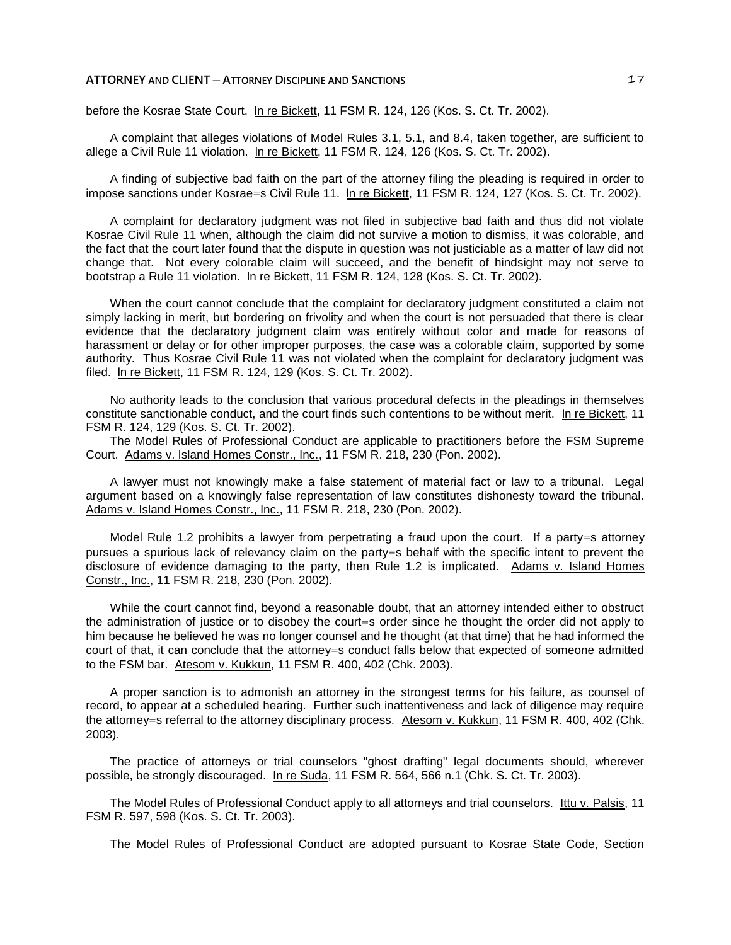before the Kosrae State Court. ln re Bickett, 11 FSM R. 124, 126 (Kos. S. Ct. Tr. 2002).

A complaint that alleges violations of Model Rules 3.1, 5.1, and 8.4, taken together, are sufficient to allege a Civil Rule 11 violation. In re Bickett, 11 FSM R. 124, 126 (Kos. S. Ct. Tr. 2002).

A finding of subjective bad faith on the part of the attorney filing the pleading is required in order to impose sanctions under Kosrae=s Civil Rule 11. ln re Bickett, 11 FSM R. 124, 127 (Kos. S. Ct. Tr. 2002).

A complaint for declaratory judgment was not filed in subjective bad faith and thus did not violate Kosrae Civil Rule 11 when, although the claim did not survive a motion to dismiss, it was colorable, and the fact that the court later found that the dispute in question was not justiciable as a matter of law did not change that. Not every colorable claim will succeed, and the benefit of hindsight may not serve to bootstrap a Rule 11 violation. In re Bickett, 11 FSM R. 124, 128 (Kos. S. Ct. Tr. 2002).

When the court cannot conclude that the complaint for declaratory judgment constituted a claim not simply lacking in merit, but bordering on frivolity and when the court is not persuaded that there is clear evidence that the declaratory judgment claim was entirely without color and made for reasons of harassment or delay or for other improper purposes, the case was a colorable claim, supported by some authority. Thus Kosrae Civil Rule 11 was not violated when the complaint for declaratory judgment was filed. ln re Bickett, 11 FSM R. 124, 129 (Kos. S. Ct. Tr. 2002).

No authority leads to the conclusion that various procedural defects in the pleadings in themselves constitute sanctionable conduct, and the court finds such contentions to be without merit. ln re Bickett, 11 FSM R. 124, 129 (Kos. S. Ct. Tr. 2002).

The Model Rules of Professional Conduct are applicable to practitioners before the FSM Supreme Court. Adams v. Island Homes Constr., Inc., 11 FSM R. 218, 230 (Pon. 2002).

A lawyer must not knowingly make a false statement of material fact or law to a tribunal. Legal argument based on a knowingly false representation of law constitutes dishonesty toward the tribunal. Adams v. Island Homes Constr., Inc., 11 FSM R. 218, 230 (Pon. 2002).

Model Rule 1.2 prohibits a lawyer from perpetrating a fraud upon the court. If a party=s attorney pursues a spurious lack of relevancy claim on the party=s behalf with the specific intent to prevent the disclosure of evidence damaging to the party, then Rule 1.2 is implicated. Adams v. Island Homes Constr., Inc., 11 FSM R. 218, 230 (Pon. 2002).

While the court cannot find, beyond a reasonable doubt, that an attorney intended either to obstruct the administration of justice or to disobey the court=s order since he thought the order did not apply to him because he believed he was no longer counsel and he thought (at that time) that he had informed the court of that, it can conclude that the attorney=s conduct falls below that expected of someone admitted to the FSM bar. Atesom v. Kukkun, 11 FSM R. 400, 402 (Chk. 2003).

A proper sanction is to admonish an attorney in the strongest terms for his failure, as counsel of record, to appear at a scheduled hearing. Further such inattentiveness and lack of diligence may require the attorney=s referral to the attorney disciplinary process. Atesom v. Kukkun, 11 FSM R. 400, 402 (Chk. 2003).

The practice of attorneys or trial counselors "ghost drafting" legal documents should, wherever possible, be strongly discouraged. In re Suda, 11 FSM R. 564, 566 n.1 (Chk. S. Ct. Tr. 2003).

The Model Rules of Professional Conduct apply to all attorneys and trial counselors. Ittu v. Palsis, 11 FSM R. 597, 598 (Kos. S. Ct. Tr. 2003).

The Model Rules of Professional Conduct are adopted pursuant to Kosrae State Code, Section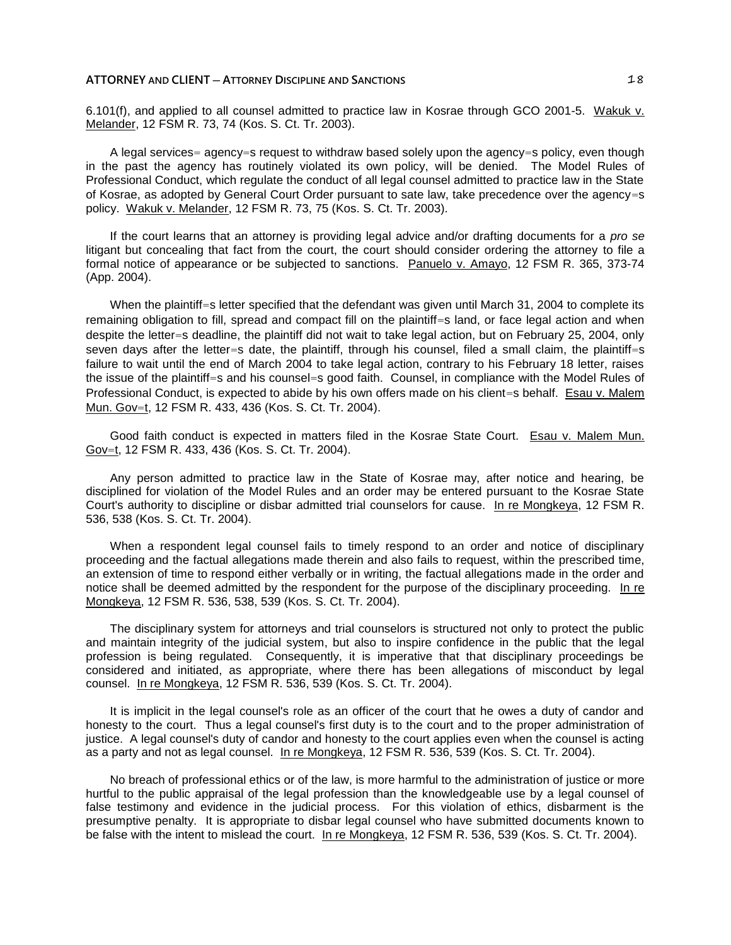6.101(f), and applied to all counsel admitted to practice law in Kosrae through GCO 2001-5. Wakuk v. Melander, 12 FSM R. 73, 74 (Kos. S. Ct. Tr. 2003).

A legal services= agency=s request to withdraw based solely upon the agency=s policy, even though in the past the agency has routinely violated its own policy, will be denied. The Model Rules of Professional Conduct, which regulate the conduct of all legal counsel admitted to practice law in the State of Kosrae, as adopted by General Court Order pursuant to sate law, take precedence over the agency=s policy. Wakuk v. Melander, 12 FSM R. 73, 75 (Kos. S. Ct. Tr. 2003).

If the court learns that an attorney is providing legal advice and/or drafting documents for a *pro se* litigant but concealing that fact from the court, the court should consider ordering the attorney to file a formal notice of appearance or be subjected to sanctions. Panuelo v. Amayo, 12 FSM R. 365, 373-74 (App. 2004).

When the plaintiff=s letter specified that the defendant was given until March 31, 2004 to complete its remaining obligation to fill, spread and compact fill on the plaintiff=s land, or face legal action and when despite the letter=s deadline, the plaintiff did not wait to take legal action, but on February 25, 2004, only seven days after the letter=s date, the plaintiff, through his counsel, filed a small claim, the plaintiff=s failure to wait until the end of March 2004 to take legal action, contrary to his February 18 letter, raises the issue of the plaintiff=s and his counsel=s good faith. Counsel, in compliance with the Model Rules of Professional Conduct, is expected to abide by his own offers made on his client=s behalf. Esau v. Malem Mun. Gov=t, 12 FSM R. 433, 436 (Kos. S. Ct. Tr. 2004).

Good faith conduct is expected in matters filed in the Kosrae State Court. Esau v. Malem Mun. Gov=t, 12 FSM R. 433, 436 (Kos. S. Ct. Tr. 2004).

Any person admitted to practice law in the State of Kosrae may, after notice and hearing, be disciplined for violation of the Model Rules and an order may be entered pursuant to the Kosrae State Court's authority to discipline or disbar admitted trial counselors for cause. In re Mongkeya, 12 FSM R. 536, 538 (Kos. S. Ct. Tr. 2004).

When a respondent legal counsel fails to timely respond to an order and notice of disciplinary proceeding and the factual allegations made therein and also fails to request, within the prescribed time, an extension of time to respond either verbally or in writing, the factual allegations made in the order and notice shall be deemed admitted by the respondent for the purpose of the disciplinary proceeding. In re Mongkeya, 12 FSM R. 536, 538, 539 (Kos. S. Ct. Tr. 2004).

The disciplinary system for attorneys and trial counselors is structured not only to protect the public and maintain integrity of the judicial system, but also to inspire confidence in the public that the legal profession is being regulated. Consequently, it is imperative that that disciplinary proceedings be considered and initiated, as appropriate, where there has been allegations of misconduct by legal counsel. In re Mongkeya, 12 FSM R. 536, 539 (Kos. S. Ct. Tr. 2004).

It is implicit in the legal counsel's role as an officer of the court that he owes a duty of candor and honesty to the court. Thus a legal counsel's first duty is to the court and to the proper administration of justice. A legal counsel's duty of candor and honesty to the court applies even when the counsel is acting as a party and not as legal counsel. In re Mongkeya, 12 FSM R. 536, 539 (Kos. S. Ct. Tr. 2004).

No breach of professional ethics or of the law, is more harmful to the administration of justice or more hurtful to the public appraisal of the legal profession than the knowledgeable use by a legal counsel of false testimony and evidence in the judicial process. For this violation of ethics, disbarment is the presumptive penalty. It is appropriate to disbar legal counsel who have submitted documents known to be false with the intent to mislead the court. In re Mongkeya, 12 FSM R. 536, 539 (Kos. S. Ct. Tr. 2004).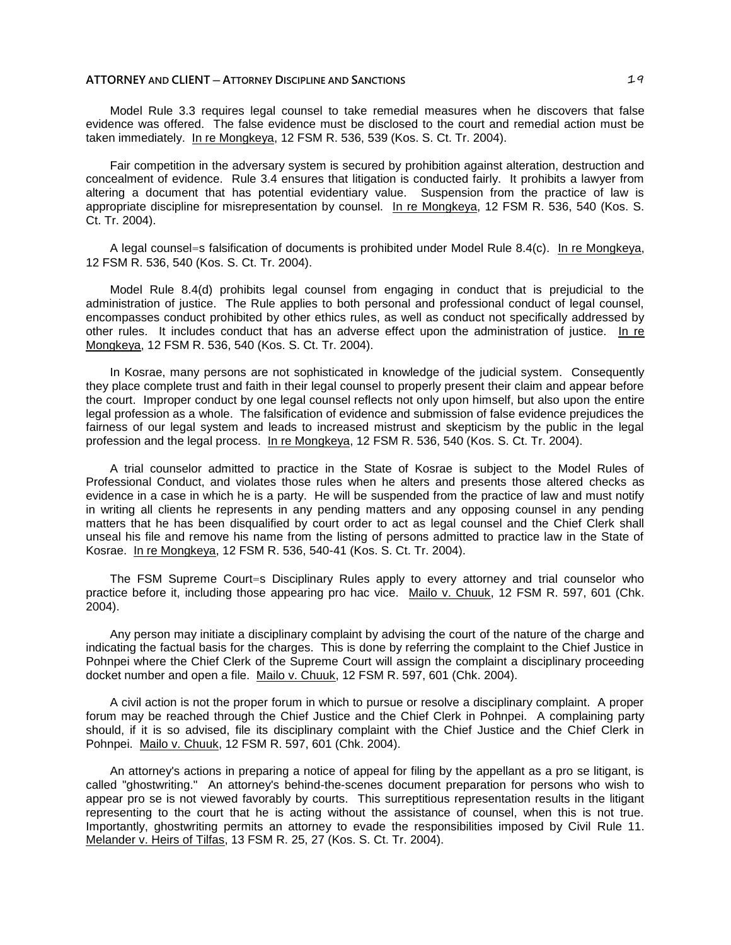Model Rule 3.3 requires legal counsel to take remedial measures when he discovers that false evidence was offered. The false evidence must be disclosed to the court and remedial action must be taken immediately. In re Mongkeya, 12 FSM R. 536, 539 (Kos. S. Ct. Tr. 2004).

Fair competition in the adversary system is secured by prohibition against alteration, destruction and concealment of evidence. Rule 3.4 ensures that litigation is conducted fairly. It prohibits a lawyer from altering a document that has potential evidentiary value. Suspension from the practice of law is appropriate discipline for misrepresentation by counsel. In re Mongkeya, 12 FSM R. 536, 540 (Kos. S. Ct. Tr. 2004).

A legal counsel=s falsification of documents is prohibited under Model Rule 8.4(c). In re Mongkeya, 12 FSM R. 536, 540 (Kos. S. Ct. Tr. 2004).

Model Rule 8.4(d) prohibits legal counsel from engaging in conduct that is prejudicial to the administration of justice. The Rule applies to both personal and professional conduct of legal counsel, encompasses conduct prohibited by other ethics rules, as well as conduct not specifically addressed by other rules. It includes conduct that has an adverse effect upon the administration of justice. In re Mongkeya, 12 FSM R. 536, 540 (Kos. S. Ct. Tr. 2004).

In Kosrae, many persons are not sophisticated in knowledge of the judicial system. Consequently they place complete trust and faith in their legal counsel to properly present their claim and appear before the court. Improper conduct by one legal counsel reflects not only upon himself, but also upon the entire legal profession as a whole. The falsification of evidence and submission of false evidence prejudices the fairness of our legal system and leads to increased mistrust and skepticism by the public in the legal profession and the legal process. In re Mongkeya, 12 FSM R. 536, 540 (Kos. S. Ct. Tr. 2004).

A trial counselor admitted to practice in the State of Kosrae is subject to the Model Rules of Professional Conduct, and violates those rules when he alters and presents those altered checks as evidence in a case in which he is a party. He will be suspended from the practice of law and must notify in writing all clients he represents in any pending matters and any opposing counsel in any pending matters that he has been disqualified by court order to act as legal counsel and the Chief Clerk shall unseal his file and remove his name from the listing of persons admitted to practice law in the State of Kosrae. In re Mongkeya, 12 FSM R. 536, 540-41 (Kos. S. Ct. Tr. 2004).

The FSM Supreme Court=s Disciplinary Rules apply to every attorney and trial counselor who practice before it, including those appearing pro hac vice. Mailo v. Chuuk, 12 FSM R. 597, 601 (Chk. 2004).

Any person may initiate a disciplinary complaint by advising the court of the nature of the charge and indicating the factual basis for the charges. This is done by referring the complaint to the Chief Justice in Pohnpei where the Chief Clerk of the Supreme Court will assign the complaint a disciplinary proceeding docket number and open a file. Mailo v. Chuuk, 12 FSM R. 597, 601 (Chk. 2004).

A civil action is not the proper forum in which to pursue or resolve a disciplinary complaint. A proper forum may be reached through the Chief Justice and the Chief Clerk in Pohnpei. A complaining party should, if it is so advised, file its disciplinary complaint with the Chief Justice and the Chief Clerk in Pohnpei. Mailo v. Chuuk, 12 FSM R. 597, 601 (Chk. 2004).

An attorney's actions in preparing a notice of appeal for filing by the appellant as a pro se litigant, is called "ghostwriting." An attorney's behind-the-scenes document preparation for persons who wish to appear pro se is not viewed favorably by courts. This surreptitious representation results in the litigant representing to the court that he is acting without the assistance of counsel, when this is not true. Importantly, ghostwriting permits an attorney to evade the responsibilities imposed by Civil Rule 11. Melander v. Heirs of Tilfas, 13 FSM R. 25, 27 (Kos. S. Ct. Tr. 2004).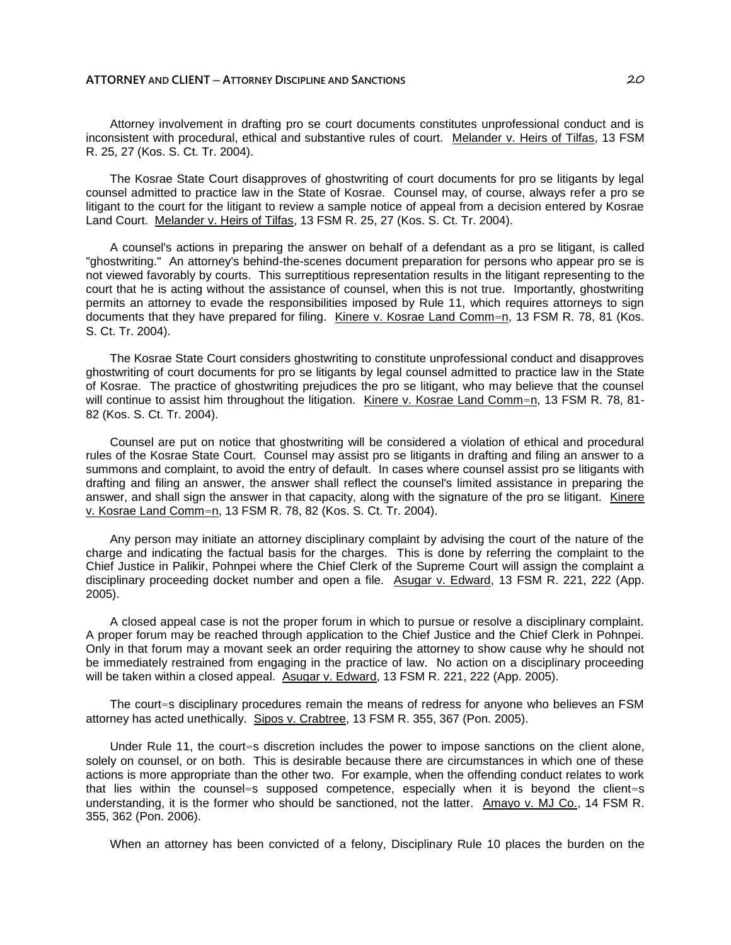Attorney involvement in drafting pro se court documents constitutes unprofessional conduct and is inconsistent with procedural, ethical and substantive rules of court. Melander v. Heirs of Tilfas, 13 FSM R. 25, 27 (Kos. S. Ct. Tr. 2004).

The Kosrae State Court disapproves of ghostwriting of court documents for pro se litigants by legal counsel admitted to practice law in the State of Kosrae. Counsel may, of course, always refer a pro se litigant to the court for the litigant to review a sample notice of appeal from a decision entered by Kosrae Land Court. Melander v. Heirs of Tilfas, 13 FSM R. 25, 27 (Kos. S. Ct. Tr. 2004).

A counsel's actions in preparing the answer on behalf of a defendant as a pro se litigant, is called "ghostwriting." An attorney's behind-the-scenes document preparation for persons who appear pro se is not viewed favorably by courts. This surreptitious representation results in the litigant representing to the court that he is acting without the assistance of counsel, when this is not true. Importantly, ghostwriting permits an attorney to evade the responsibilities imposed by Rule 11, which requires attorneys to sign documents that they have prepared for filing. Kinere v. Kosrae Land Comm=n, 13 FSM R. 78, 81 (Kos. S. Ct. Tr. 2004).

The Kosrae State Court considers ghostwriting to constitute unprofessional conduct and disapproves ghostwriting of court documents for pro se litigants by legal counsel admitted to practice law in the State of Kosrae. The practice of ghostwriting prejudices the pro se litigant, who may believe that the counsel will continue to assist him throughout the litigation. Kinere v. Kosrae Land Comm=n, 13 FSM R. 78, 81-82 (Kos. S. Ct. Tr. 2004).

Counsel are put on notice that ghostwriting will be considered a violation of ethical and procedural rules of the Kosrae State Court. Counsel may assist pro se litigants in drafting and filing an answer to a summons and complaint, to avoid the entry of default. In cases where counsel assist pro se litigants with drafting and filing an answer, the answer shall reflect the counsel's limited assistance in preparing the answer, and shall sign the answer in that capacity, along with the signature of the pro se litigant. Kinere v. Kosrae Land Comm=n, 13 FSM R. 78, 82 (Kos. S. Ct. Tr. 2004).

Any person may initiate an attorney disciplinary complaint by advising the court of the nature of the charge and indicating the factual basis for the charges. This is done by referring the complaint to the Chief Justice in Palikir, Pohnpei where the Chief Clerk of the Supreme Court will assign the complaint a disciplinary proceeding docket number and open a file. Asugar v. Edward, 13 FSM R. 221, 222 (App. 2005).

A closed appeal case is not the proper forum in which to pursue or resolve a disciplinary complaint. A proper forum may be reached through application to the Chief Justice and the Chief Clerk in Pohnpei. Only in that forum may a movant seek an order requiring the attorney to show cause why he should not be immediately restrained from engaging in the practice of law. No action on a disciplinary proceeding will be taken within a closed appeal. Asugar v. Edward, 13 FSM R. 221, 222 (App. 2005).

The court=s disciplinary procedures remain the means of redress for anyone who believes an FSM attorney has acted unethically. Sipos v. Crabtree, 13 FSM R. 355, 367 (Pon. 2005).

Under Rule 11, the court=s discretion includes the power to impose sanctions on the client alone, solely on counsel, or on both. This is desirable because there are circumstances in which one of these actions is more appropriate than the other two. For example, when the offending conduct relates to work that lies within the counsel=s supposed competence, especially when it is beyond the client=s understanding, it is the former who should be sanctioned, not the latter. Amayo v. MJ Co., 14 FSM R. 355, 362 (Pon. 2006).

When an attorney has been convicted of a felony, Disciplinary Rule 10 places the burden on the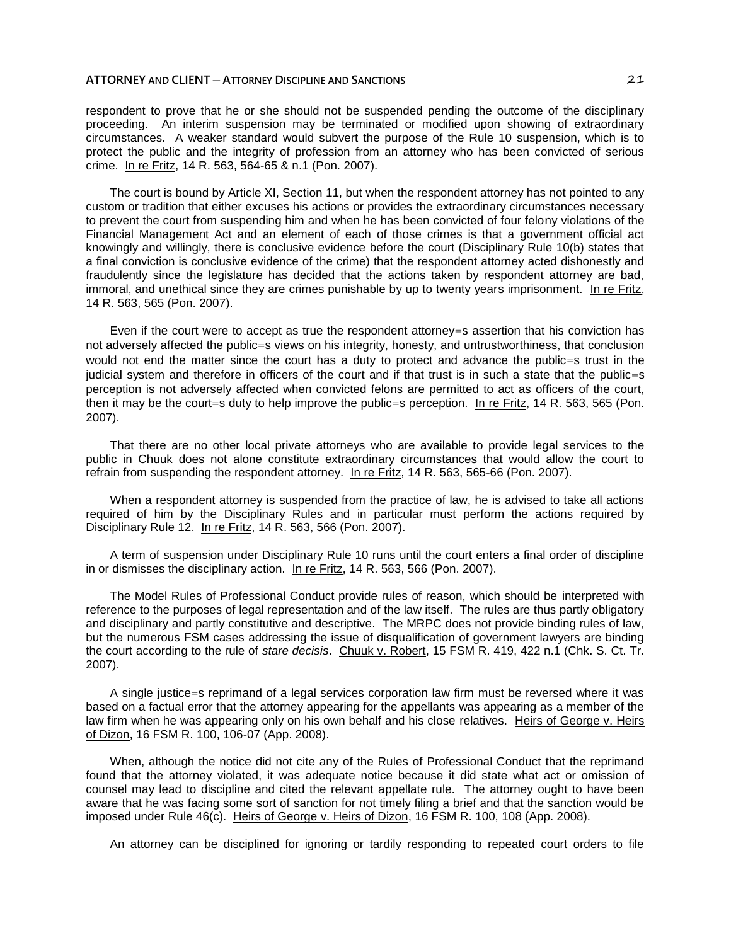respondent to prove that he or she should not be suspended pending the outcome of the disciplinary proceeding. An interim suspension may be terminated or modified upon showing of extraordinary circumstances. A weaker standard would subvert the purpose of the Rule 10 suspension, which is to protect the public and the integrity of profession from an attorney who has been convicted of serious crime. In re Fritz, 14 R. 563, 564-65 & n.1 (Pon. 2007).

The court is bound by Article XI, Section 11, but when the respondent attorney has not pointed to any custom or tradition that either excuses his actions or provides the extraordinary circumstances necessary to prevent the court from suspending him and when he has been convicted of four felony violations of the Financial Management Act and an element of each of those crimes is that a government official act knowingly and willingly, there is conclusive evidence before the court (Disciplinary Rule 10(b) states that a final conviction is conclusive evidence of the crime) that the respondent attorney acted dishonestly and fraudulently since the legislature has decided that the actions taken by respondent attorney are bad, immoral, and unethical since they are crimes punishable by up to twenty years imprisonment. In re Fritz, 14 R. 563, 565 (Pon. 2007).

Even if the court were to accept as true the respondent attorney=s assertion that his conviction has not adversely affected the public=s views on his integrity, honesty, and untrustworthiness, that conclusion would not end the matter since the court has a duty to protect and advance the public=s trust in the judicial system and therefore in officers of the court and if that trust is in such a state that the public=s perception is not adversely affected when convicted felons are permitted to act as officers of the court, then it may be the court=s duty to help improve the public=s perception. In re Fritz, 14 R. 563, 565 (Pon. 2007).

That there are no other local private attorneys who are available to provide legal services to the public in Chuuk does not alone constitute extraordinary circumstances that would allow the court to refrain from suspending the respondent attorney. In re Fritz, 14 R. 563, 565-66 (Pon. 2007).

When a respondent attorney is suspended from the practice of law, he is advised to take all actions required of him by the Disciplinary Rules and in particular must perform the actions required by Disciplinary Rule 12. In re Fritz, 14 R. 563, 566 (Pon. 2007).

A term of suspension under Disciplinary Rule 10 runs until the court enters a final order of discipline in or dismisses the disciplinary action. In re Fritz, 14 R. 563, 566 (Pon. 2007).

The Model Rules of Professional Conduct provide rules of reason, which should be interpreted with reference to the purposes of legal representation and of the law itself. The rules are thus partly obligatory and disciplinary and partly constitutive and descriptive. The MRPC does not provide binding rules of law, but the numerous FSM cases addressing the issue of disqualification of government lawyers are binding the court according to the rule of *stare decisis*. Chuuk v. Robert, 15 FSM R. 419, 422 n.1 (Chk. S. Ct. Tr. 2007).

A single justice=s reprimand of a legal services corporation law firm must be reversed where it was based on a factual error that the attorney appearing for the appellants was appearing as a member of the law firm when he was appearing only on his own behalf and his close relatives. Heirs of George v. Heirs of Dizon, 16 FSM R. 100, 106-07 (App. 2008).

When, although the notice did not cite any of the Rules of Professional Conduct that the reprimand found that the attorney violated, it was adequate notice because it did state what act or omission of counsel may lead to discipline and cited the relevant appellate rule. The attorney ought to have been aware that he was facing some sort of sanction for not timely filing a brief and that the sanction would be imposed under Rule 46(c). Heirs of George v. Heirs of Dizon, 16 FSM R. 100, 108 (App. 2008).

An attorney can be disciplined for ignoring or tardily responding to repeated court orders to file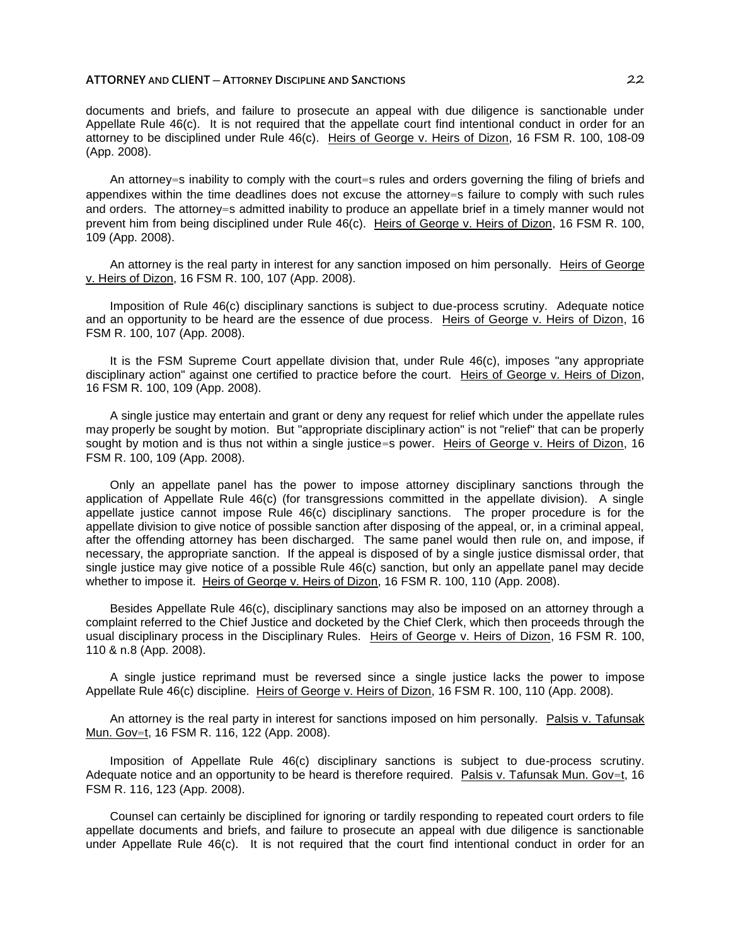documents and briefs, and failure to prosecute an appeal with due diligence is sanctionable under Appellate Rule 46(c). It is not required that the appellate court find intentional conduct in order for an attorney to be disciplined under Rule 46(c). Heirs of George v. Heirs of Dizon, 16 FSM R. 100, 108-09 (App. 2008).

An attorney=s inability to comply with the court=s rules and orders governing the filing of briefs and appendixes within the time deadlines does not excuse the attorney=s failure to comply with such rules and orders. The attorney=s admitted inability to produce an appellate brief in a timely manner would not prevent him from being disciplined under Rule 46(c). Heirs of George v. Heirs of Dizon, 16 FSM R. 100, 109 (App. 2008).

An attorney is the real party in interest for any sanction imposed on him personally. Heirs of George v. Heirs of Dizon, 16 FSM R. 100, 107 (App. 2008).

Imposition of Rule 46(c) disciplinary sanctions is subject to due-process scrutiny. Adequate notice and an opportunity to be heard are the essence of due process. Heirs of George v. Heirs of Dizon, 16 FSM R. 100, 107 (App. 2008).

It is the FSM Supreme Court appellate division that, under Rule 46(c), imposes "any appropriate disciplinary action" against one certified to practice before the court. Heirs of George v. Heirs of Dizon, 16 FSM R. 100, 109 (App. 2008).

A single justice may entertain and grant or deny any request for relief which under the appellate rules may properly be sought by motion. But "appropriate disciplinary action" is not "relief" that can be properly sought by motion and is thus not within a single justice=s power. Heirs of George v. Heirs of Dizon, 16 FSM R. 100, 109 (App. 2008).

Only an appellate panel has the power to impose attorney disciplinary sanctions through the application of Appellate Rule 46(c) (for transgressions committed in the appellate division). A single appellate justice cannot impose Rule 46(c) disciplinary sanctions. The proper procedure is for the appellate division to give notice of possible sanction after disposing of the appeal, or, in a criminal appeal, after the offending attorney has been discharged. The same panel would then rule on, and impose, if necessary, the appropriate sanction. If the appeal is disposed of by a single justice dismissal order, that single justice may give notice of a possible Rule 46(c) sanction, but only an appellate panel may decide whether to impose it. Heirs of George v. Heirs of Dizon, 16 FSM R. 100, 110 (App. 2008).

Besides Appellate Rule 46(c), disciplinary sanctions may also be imposed on an attorney through a complaint referred to the Chief Justice and docketed by the Chief Clerk, which then proceeds through the usual disciplinary process in the Disciplinary Rules. Heirs of George v. Heirs of Dizon, 16 FSM R. 100, 110 & n.8 (App. 2008).

A single justice reprimand must be reversed since a single justice lacks the power to impose Appellate Rule 46(c) discipline. Heirs of George v. Heirs of Dizon, 16 FSM R. 100, 110 (App. 2008).

An attorney is the real party in interest for sanctions imposed on him personally. Palsis v. Tafunsak Mun. Gov=t, 16 FSM R. 116, 122 (App. 2008).

Imposition of Appellate Rule 46(c) disciplinary sanctions is subject to due-process scrutiny. Adequate notice and an opportunity to be heard is therefore required. Palsis v. Tafunsak Mun. Gov=t, 16 FSM R. 116, 123 (App. 2008).

Counsel can certainly be disciplined for ignoring or tardily responding to repeated court orders to file appellate documents and briefs, and failure to prosecute an appeal with due diligence is sanctionable under Appellate Rule 46(c). It is not required that the court find intentional conduct in order for an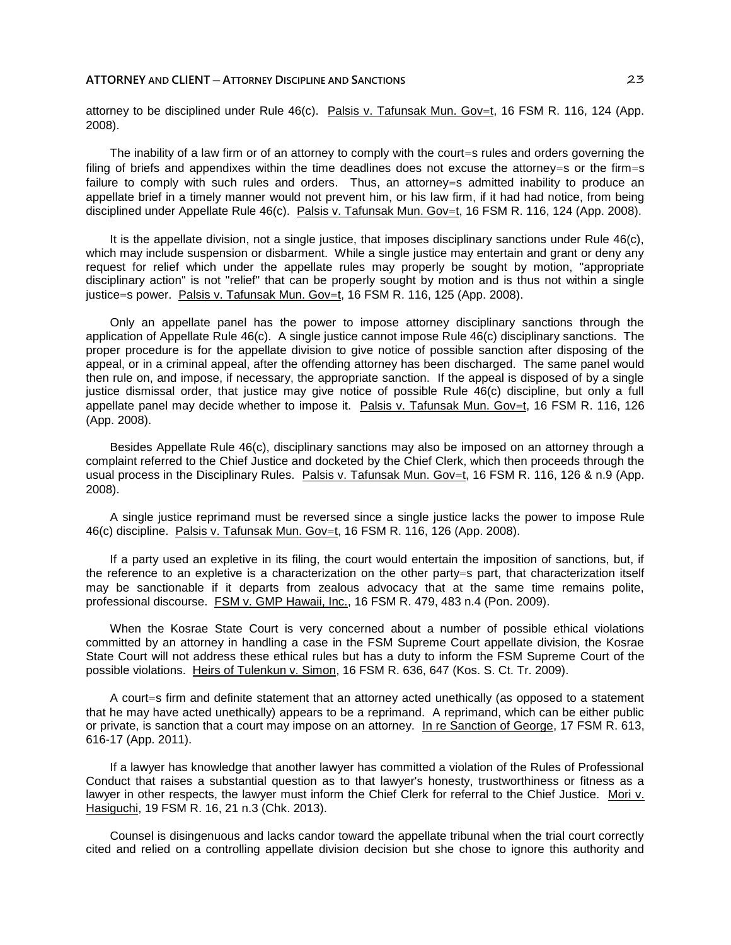attorney to be disciplined under Rule 46(c). Palsis v. Tafunsak Mun. Gov=t, 16 FSM R. 116, 124 (App. 2008).

The inability of a law firm or of an attorney to comply with the court=s rules and orders governing the filing of briefs and appendixes within the time deadlines does not excuse the attorney=s or the firm=s failure to comply with such rules and orders. Thus, an attorney=s admitted inability to produce an appellate brief in a timely manner would not prevent him, or his law firm, if it had had notice, from being disciplined under Appellate Rule 46(c). Palsis v. Tafunsak Mun. Gov=t, 16 FSM R. 116, 124 (App. 2008).

It is the appellate division, not a single justice, that imposes disciplinary sanctions under Rule 46(c), which may include suspension or disbarment. While a single justice may entertain and grant or deny any request for relief which under the appellate rules may properly be sought by motion, "appropriate disciplinary action" is not "relief" that can be properly sought by motion and is thus not within a single justice=s power. Palsis v. Tafunsak Mun. Gov=t, 16 FSM R. 116, 125 (App. 2008).

Only an appellate panel has the power to impose attorney disciplinary sanctions through the application of Appellate Rule 46(c). A single justice cannot impose Rule 46(c) disciplinary sanctions. The proper procedure is for the appellate division to give notice of possible sanction after disposing of the appeal, or in a criminal appeal, after the offending attorney has been discharged. The same panel would then rule on, and impose, if necessary, the appropriate sanction. If the appeal is disposed of by a single justice dismissal order, that justice may give notice of possible Rule 46(c) discipline, but only a full appellate panel may decide whether to impose it. Palsis v. Tafunsak Mun. Gov=t, 16 FSM R. 116, 126 (App. 2008).

Besides Appellate Rule 46(c), disciplinary sanctions may also be imposed on an attorney through a complaint referred to the Chief Justice and docketed by the Chief Clerk, which then proceeds through the usual process in the Disciplinary Rules. Palsis v. Tafunsak Mun. Gov=t, 16 FSM R. 116, 126 & n.9 (App. 2008).

A single justice reprimand must be reversed since a single justice lacks the power to impose Rule 46(c) discipline. Palsis v. Tafunsak Mun. Gov=t, 16 FSM R. 116, 126 (App. 2008).

If a party used an expletive in its filing, the court would entertain the imposition of sanctions, but, if the reference to an expletive is a characterization on the other party=s part, that characterization itself may be sanctionable if it departs from zealous advocacy that at the same time remains polite, professional discourse. FSM v. GMP Hawaii, Inc., 16 FSM R. 479, 483 n.4 (Pon. 2009).

When the Kosrae State Court is very concerned about a number of possible ethical violations committed by an attorney in handling a case in the FSM Supreme Court appellate division, the Kosrae State Court will not address these ethical rules but has a duty to inform the FSM Supreme Court of the possible violations. Heirs of Tulenkun v. Simon, 16 FSM R. 636, 647 (Kos. S. Ct. Tr. 2009).

A court=s firm and definite statement that an attorney acted unethically (as opposed to a statement that he may have acted unethically) appears to be a reprimand. A reprimand, which can be either public or private, is sanction that a court may impose on an attorney. In re Sanction of George, 17 FSM R. 613, 616-17 (App. 2011).

If a lawyer has knowledge that another lawyer has committed a violation of the Rules of Professional Conduct that raises a substantial question as to that lawyer's honesty, trustworthiness or fitness as a lawyer in other respects, the lawyer must inform the Chief Clerk for referral to the Chief Justice. Mori v. Hasiguchi, 19 FSM R. 16, 21 n.3 (Chk. 2013).

Counsel is disingenuous and lacks candor toward the appellate tribunal when the trial court correctly cited and relied on a controlling appellate division decision but she chose to ignore this authority and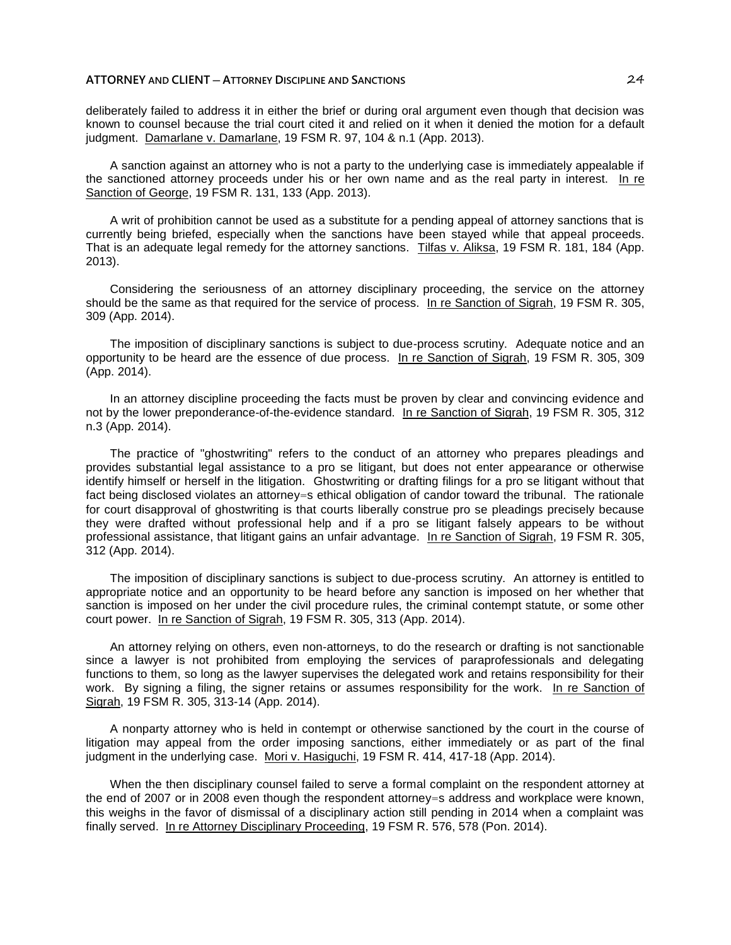deliberately failed to address it in either the brief or during oral argument even though that decision was known to counsel because the trial court cited it and relied on it when it denied the motion for a default judgment. Damarlane v. Damarlane, 19 FSM R. 97, 104 & n.1 (App. 2013).

A sanction against an attorney who is not a party to the underlying case is immediately appealable if the sanctioned attorney proceeds under his or her own name and as the real party in interest. In re Sanction of George, 19 FSM R. 131, 133 (App. 2013).

A writ of prohibition cannot be used as a substitute for a pending appeal of attorney sanctions that is currently being briefed, especially when the sanctions have been stayed while that appeal proceeds. That is an adequate legal remedy for the attorney sanctions. Tilfas v. Aliksa, 19 FSM R. 181, 184 (App. 2013).

Considering the seriousness of an attorney disciplinary proceeding, the service on the attorney should be the same as that required for the service of process. In re Sanction of Sigrah, 19 FSM R. 305, 309 (App. 2014).

The imposition of disciplinary sanctions is subject to due-process scrutiny. Adequate notice and an opportunity to be heard are the essence of due process. In re Sanction of Sigrah, 19 FSM R. 305, 309 (App. 2014).

In an attorney discipline proceeding the facts must be proven by clear and convincing evidence and not by the lower preponderance-of-the-evidence standard. In re Sanction of Sigrah, 19 FSM R. 305, 312 n.3 (App. 2014).

The practice of "ghostwriting" refers to the conduct of an attorney who prepares pleadings and provides substantial legal assistance to a pro se litigant, but does not enter appearance or otherwise identify himself or herself in the litigation. Ghostwriting or drafting filings for a pro se litigant without that fact being disclosed violates an attorney=s ethical obligation of candor toward the tribunal. The rationale for court disapproval of ghostwriting is that courts liberally construe pro se pleadings precisely because they were drafted without professional help and if a pro se litigant falsely appears to be without professional assistance, that litigant gains an unfair advantage. In re Sanction of Sigrah, 19 FSM R. 305, 312 (App. 2014).

The imposition of disciplinary sanctions is subject to due-process scrutiny. An attorney is entitled to appropriate notice and an opportunity to be heard before any sanction is imposed on her whether that sanction is imposed on her under the civil procedure rules, the criminal contempt statute, or some other court power. In re Sanction of Sigrah, 19 FSM R. 305, 313 (App. 2014).

An attorney relying on others, even non-attorneys, to do the research or drafting is not sanctionable since a lawyer is not prohibited from employing the services of paraprofessionals and delegating functions to them, so long as the lawyer supervises the delegated work and retains responsibility for their work. By signing a filing, the signer retains or assumes responsibility for the work. In re Sanction of Sigrah, 19 FSM R. 305, 313-14 (App. 2014).

A nonparty attorney who is held in contempt or otherwise sanctioned by the court in the course of litigation may appeal from the order imposing sanctions, either immediately or as part of the final judgment in the underlying case. Mori v. Hasiguchi, 19 FSM R. 414, 417-18 (App. 2014).

When the then disciplinary counsel failed to serve a formal complaint on the respondent attorney at the end of 2007 or in 2008 even though the respondent attorney=s address and workplace were known, this weighs in the favor of dismissal of a disciplinary action still pending in 2014 when a complaint was finally served. In re Attorney Disciplinary Proceeding, 19 FSM R. 576, 578 (Pon. 2014).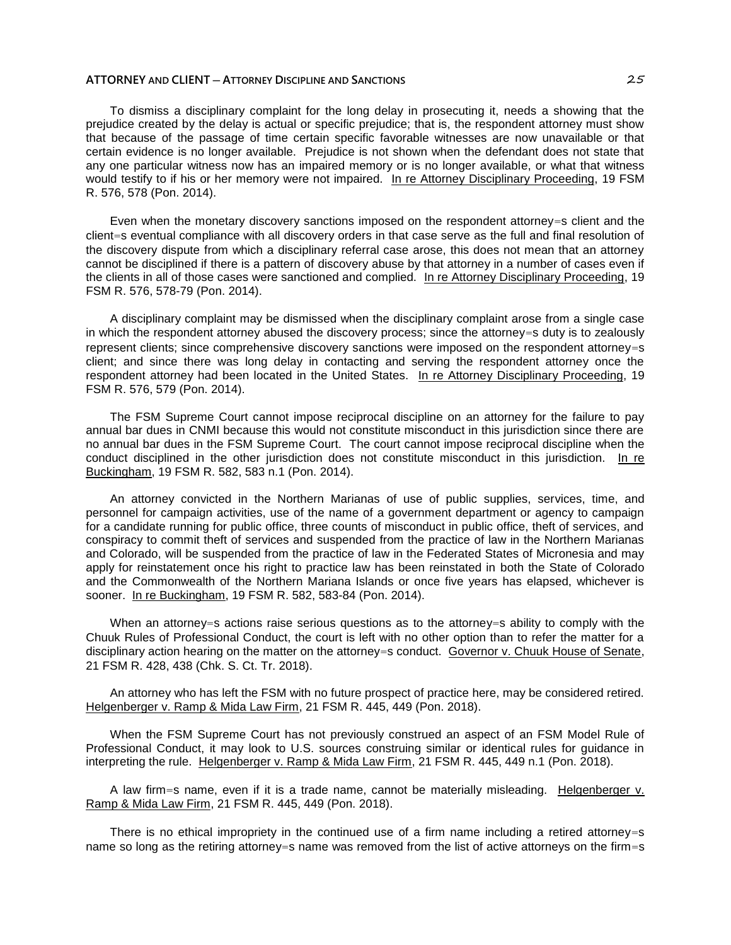To dismiss a disciplinary complaint for the long delay in prosecuting it, needs a showing that the prejudice created by the delay is actual or specific prejudice; that is, the respondent attorney must show that because of the passage of time certain specific favorable witnesses are now unavailable or that certain evidence is no longer available. Prejudice is not shown when the defendant does not state that any one particular witness now has an impaired memory or is no longer available, or what that witness would testify to if his or her memory were not impaired. In re Attorney Disciplinary Proceeding, 19 FSM R. 576, 578 (Pon. 2014).

Even when the monetary discovery sanctions imposed on the respondent attorney=s client and the client=s eventual compliance with all discovery orders in that case serve as the full and final resolution of the discovery dispute from which a disciplinary referral case arose, this does not mean that an attorney cannot be disciplined if there is a pattern of discovery abuse by that attorney in a number of cases even if the clients in all of those cases were sanctioned and complied. In re Attorney Disciplinary Proceeding, 19 FSM R. 576, 578-79 (Pon. 2014).

A disciplinary complaint may be dismissed when the disciplinary complaint arose from a single case in which the respondent attorney abused the discovery process; since the attorney=s duty is to zealously represent clients; since comprehensive discovery sanctions were imposed on the respondent attorney=s client; and since there was long delay in contacting and serving the respondent attorney once the respondent attorney had been located in the United States. In re Attorney Disciplinary Proceeding, 19 FSM R. 576, 579 (Pon. 2014).

The FSM Supreme Court cannot impose reciprocal discipline on an attorney for the failure to pay annual bar dues in CNMI because this would not constitute misconduct in this jurisdiction since there are no annual bar dues in the FSM Supreme Court. The court cannot impose reciprocal discipline when the conduct disciplined in the other jurisdiction does not constitute misconduct in this jurisdiction. In re Buckingham, 19 FSM R. 582, 583 n.1 (Pon. 2014).

An attorney convicted in the Northern Marianas of use of public supplies, services, time, and personnel for campaign activities, use of the name of a government department or agency to campaign for a candidate running for public office, three counts of misconduct in public office, theft of services, and conspiracy to commit theft of services and suspended from the practice of law in the Northern Marianas and Colorado, will be suspended from the practice of law in the Federated States of Micronesia and may apply for reinstatement once his right to practice law has been reinstated in both the State of Colorado and the Commonwealth of the Northern Mariana Islands or once five years has elapsed, whichever is sooner. In re Buckingham, 19 FSM R. 582, 583-84 (Pon. 2014).

When an attorney=s actions raise serious questions as to the attorney=s ability to comply with the Chuuk Rules of Professional Conduct, the court is left with no other option than to refer the matter for a disciplinary action hearing on the matter on the attorney=s conduct. Governor v. Chuuk House of Senate, 21 FSM R. 428, 438 (Chk. S. Ct. Tr. 2018).

An attorney who has left the FSM with no future prospect of practice here, may be considered retired. Helgenberger v. Ramp & Mida Law Firm, 21 FSM R. 445, 449 (Pon. 2018).

When the FSM Supreme Court has not previously construed an aspect of an FSM Model Rule of Professional Conduct, it may look to U.S. sources construing similar or identical rules for guidance in interpreting the rule. Helgenberger v. Ramp & Mida Law Firm, 21 FSM R. 445, 449 n.1 (Pon. 2018).

A law firm=s name, even if it is a trade name, cannot be materially misleading. Helgenberger v. Ramp & Mida Law Firm, 21 FSM R. 445, 449 (Pon. 2018).

There is no ethical impropriety in the continued use of a firm name including a retired attorney=s name so long as the retiring attorney=s name was removed from the list of active attorneys on the firm=s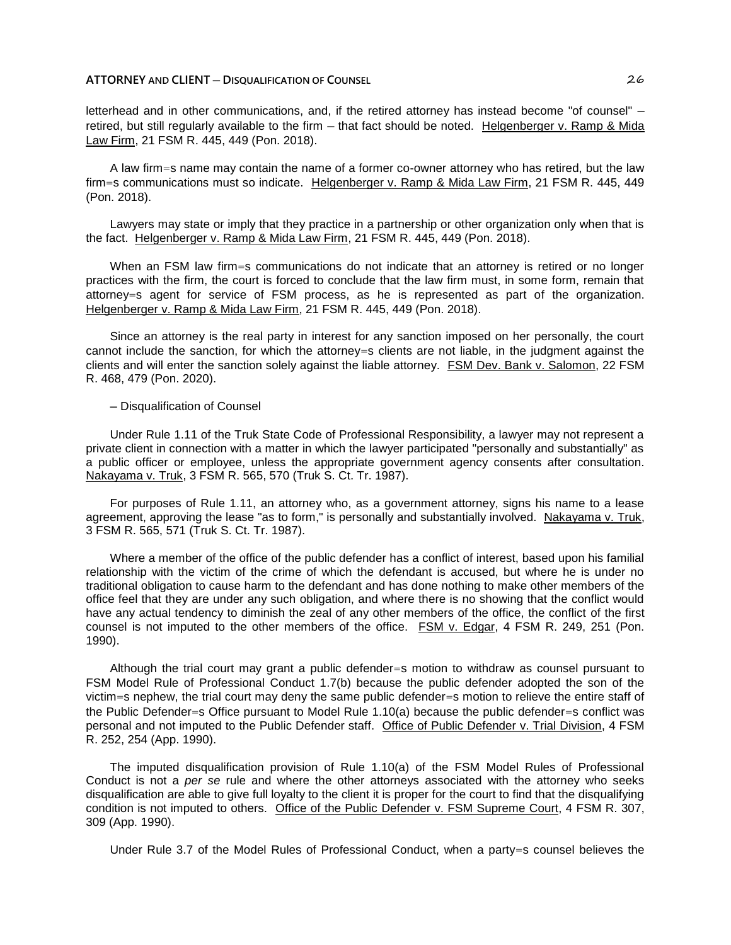letterhead and in other communications, and, if the retired attorney has instead become "of counsel" – retired, but still regularly available to the firm – that fact should be noted. Helgenberger v. Ramp & Mida Law Firm, 21 FSM R. 445, 449 (Pon. 2018).

A law firm=s name may contain the name of a former co-owner attorney who has retired, but the law firm=s communications must so indicate. Helgenberger v. Ramp & Mida Law Firm, 21 FSM R. 445, 449 (Pon. 2018).

Lawyers may state or imply that they practice in a partnership or other organization only when that is the fact. Helgenberger v. Ramp & Mida Law Firm, 21 FSM R. 445, 449 (Pon. 2018).

When an FSM law firm=s communications do not indicate that an attorney is retired or no longer practices with the firm, the court is forced to conclude that the law firm must, in some form, remain that attorney=s agent for service of FSM process, as he is represented as part of the organization. Helgenberger v. Ramp & Mida Law Firm, 21 FSM R. 445, 449 (Pon. 2018).

Since an attorney is the real party in interest for any sanction imposed on her personally, the court cannot include the sanction, for which the attorney=s clients are not liable, in the judgment against the clients and will enter the sanction solely against the liable attorney. FSM Dev. Bank v. Salomon, 22 FSM R. 468, 479 (Pon. 2020).

### ─ Disqualification of Counsel

Under Rule 1.11 of the Truk State Code of Professional Responsibility, a lawyer may not represent a private client in connection with a matter in which the lawyer participated "personally and substantially" as a public officer or employee, unless the appropriate government agency consents after consultation. Nakayama v. Truk, 3 FSM R. 565, 570 (Truk S. Ct. Tr. 1987).

For purposes of Rule 1.11, an attorney who, as a government attorney, signs his name to a lease agreement, approving the lease "as to form," is personally and substantially involved. Nakayama v. Truk, 3 FSM R. 565, 571 (Truk S. Ct. Tr. 1987).

Where a member of the office of the public defender has a conflict of interest, based upon his familial relationship with the victim of the crime of which the defendant is accused, but where he is under no traditional obligation to cause harm to the defendant and has done nothing to make other members of the office feel that they are under any such obligation, and where there is no showing that the conflict would have any actual tendency to diminish the zeal of any other members of the office, the conflict of the first counsel is not imputed to the other members of the office. FSM v. Edgar, 4 FSM R. 249, 251 (Pon. 1990).

Although the trial court may grant a public defender=s motion to withdraw as counsel pursuant to FSM Model Rule of Professional Conduct 1.7(b) because the public defender adopted the son of the victim=s nephew, the trial court may deny the same public defender=s motion to relieve the entire staff of the Public Defender=s Office pursuant to Model Rule 1.10(a) because the public defender=s conflict was personal and not imputed to the Public Defender staff. Office of Public Defender v. Trial Division, 4 FSM R. 252, 254 (App. 1990).

The imputed disqualification provision of Rule 1.10(a) of the FSM Model Rules of Professional Conduct is not a *per se* rule and where the other attorneys associated with the attorney who seeks disqualification are able to give full loyalty to the client it is proper for the court to find that the disqualifying condition is not imputed to others. Office of the Public Defender v. FSM Supreme Court, 4 FSM R. 307, 309 (App. 1990).

Under Rule 3.7 of the Model Rules of Professional Conduct, when a party=s counsel believes the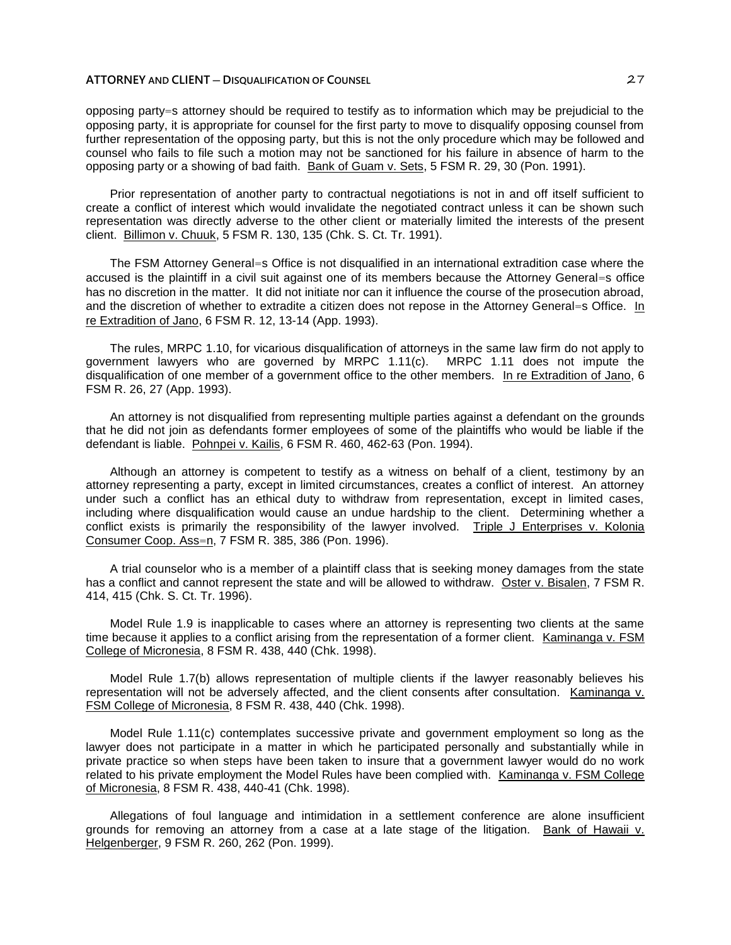opposing party=s attorney should be required to testify as to information which may be prejudicial to the opposing party, it is appropriate for counsel for the first party to move to disqualify opposing counsel from further representation of the opposing party, but this is not the only procedure which may be followed and counsel who fails to file such a motion may not be sanctioned for his failure in absence of harm to the opposing party or a showing of bad faith. Bank of Guam v. Sets, 5 FSM R. 29, 30 (Pon. 1991).

Prior representation of another party to contractual negotiations is not in and off itself sufficient to create a conflict of interest which would invalidate the negotiated contract unless it can be shown such representation was directly adverse to the other client or materially limited the interests of the present client. Billimon v. Chuuk, 5 FSM R. 130, 135 (Chk. S. Ct. Tr. 1991).

The FSM Attorney General=s Office is not disqualified in an international extradition case where the accused is the plaintiff in a civil suit against one of its members because the Attorney General=s office has no discretion in the matter. It did not initiate nor can it influence the course of the prosecution abroad, and the discretion of whether to extradite a citizen does not repose in the Attorney General=s Office. In re Extradition of Jano, 6 FSM R. 12, 13-14 (App. 1993).

The rules, MRPC 1.10, for vicarious disqualification of attorneys in the same law firm do not apply to government lawyers who are governed by MRPC  $1.11(c)$ . MRPC  $1.11$  does not impute the disqualification of one member of a government office to the other members. In re Extradition of Jano, 6 FSM R. 26, 27 (App. 1993).

An attorney is not disqualified from representing multiple parties against a defendant on the grounds that he did not join as defendants former employees of some of the plaintiffs who would be liable if the defendant is liable. Pohnpei v. Kailis, 6 FSM R. 460, 462-63 (Pon. 1994).

Although an attorney is competent to testify as a witness on behalf of a client, testimony by an attorney representing a party, except in limited circumstances, creates a conflict of interest. An attorney under such a conflict has an ethical duty to withdraw from representation, except in limited cases, including where disqualification would cause an undue hardship to the client. Determining whether a conflict exists is primarily the responsibility of the lawyer involved. Triple J Enterprises v. Kolonia Consumer Coop. Ass=n, 7 FSM R. 385, 386 (Pon. 1996).

A trial counselor who is a member of a plaintiff class that is seeking money damages from the state has a conflict and cannot represent the state and will be allowed to withdraw. Oster v. Bisalen, 7 FSM R. 414, 415 (Chk. S. Ct. Tr. 1996).

Model Rule 1.9 is inapplicable to cases where an attorney is representing two clients at the same time because it applies to a conflict arising from the representation of a former client. Kaminanga v. FSM College of Micronesia, 8 FSM R. 438, 440 (Chk. 1998).

Model Rule 1.7(b) allows representation of multiple clients if the lawyer reasonably believes his representation will not be adversely affected, and the client consents after consultation. Kaminanga v. FSM College of Micronesia, 8 FSM R. 438, 440 (Chk. 1998).

Model Rule 1.11(c) contemplates successive private and government employment so long as the lawyer does not participate in a matter in which he participated personally and substantially while in private practice so when steps have been taken to insure that a government lawyer would do no work related to his private employment the Model Rules have been complied with. Kaminanga v. FSM College of Micronesia, 8 FSM R. 438, 440-41 (Chk. 1998).

Allegations of foul language and intimidation in a settlement conference are alone insufficient grounds for removing an attorney from a case at a late stage of the litigation. Bank of Hawaii v. Helgenberger, 9 FSM R. 260, 262 (Pon. 1999).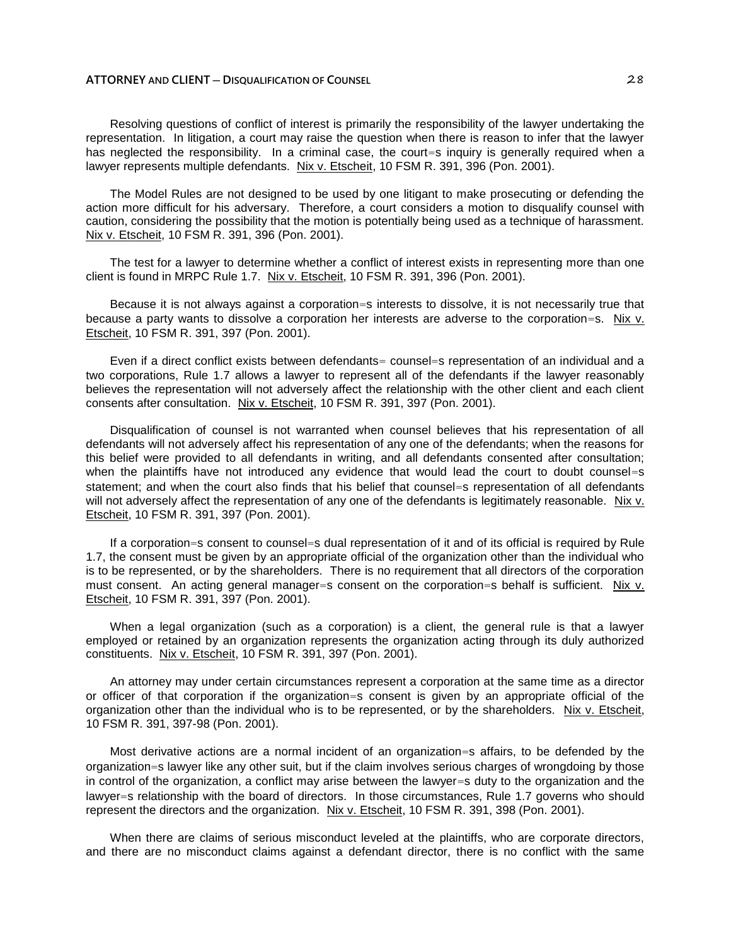Resolving questions of conflict of interest is primarily the responsibility of the lawyer undertaking the representation. In litigation, a court may raise the question when there is reason to infer that the lawyer has neglected the responsibility. In a criminal case, the court=s inquiry is generally required when a lawyer represents multiple defendants. Nix v. Etscheit, 10 FSM R. 391, 396 (Pon. 2001).

The Model Rules are not designed to be used by one litigant to make prosecuting or defending the action more difficult for his adversary. Therefore, a court considers a motion to disqualify counsel with caution, considering the possibility that the motion is potentially being used as a technique of harassment. Nix v. Etscheit, 10 FSM R. 391, 396 (Pon. 2001).

The test for a lawyer to determine whether a conflict of interest exists in representing more than one client is found in MRPC Rule 1.7. Nix v. Etscheit, 10 FSM R. 391, 396 (Pon. 2001).

Because it is not always against a corporation=s interests to dissolve, it is not necessarily true that because a party wants to dissolve a corporation her interests are adverse to the corporation=s. Nix v. Etscheit, 10 FSM R. 391, 397 (Pon. 2001).

Even if a direct conflict exists between defendants= counsel=s representation of an individual and a two corporations, Rule 1.7 allows a lawyer to represent all of the defendants if the lawyer reasonably believes the representation will not adversely affect the relationship with the other client and each client consents after consultation. Nix v. Etscheit, 10 FSM R. 391, 397 (Pon. 2001).

Disqualification of counsel is not warranted when counsel believes that his representation of all defendants will not adversely affect his representation of any one of the defendants; when the reasons for this belief were provided to all defendants in writing, and all defendants consented after consultation; when the plaintiffs have not introduced any evidence that would lead the court to doubt counsel=s statement; and when the court also finds that his belief that counsel=s representation of all defendants will not adversely affect the representation of any one of the defendants is legitimately reasonable. Nix v. Etscheit, 10 FSM R. 391, 397 (Pon. 2001).

If a corporation=s consent to counsel=s dual representation of it and of its official is required by Rule 1.7, the consent must be given by an appropriate official of the organization other than the individual who is to be represented, or by the shareholders. There is no requirement that all directors of the corporation must consent. An acting general manager=s consent on the corporation=s behalf is sufficient. Nix v. Etscheit, 10 FSM R. 391, 397 (Pon. 2001).

When a legal organization (such as a corporation) is a client, the general rule is that a lawyer employed or retained by an organization represents the organization acting through its duly authorized constituents. Nix v. Etscheit, 10 FSM R. 391, 397 (Pon. 2001).

An attorney may under certain circumstances represent a corporation at the same time as a director or officer of that corporation if the organization=s consent is given by an appropriate official of the organization other than the individual who is to be represented, or by the shareholders. Nix v. Etscheit, 10 FSM R. 391, 397-98 (Pon. 2001).

Most derivative actions are a normal incident of an organization=s affairs, to be defended by the organization=s lawyer like any other suit, but if the claim involves serious charges of wrongdoing by those in control of the organization, a conflict may arise between the lawyer=s duty to the organization and the lawyer=s relationship with the board of directors. In those circumstances, Rule 1.7 governs who should represent the directors and the organization. Nix v. Etscheit, 10 FSM R. 391, 398 (Pon. 2001).

When there are claims of serious misconduct leveled at the plaintiffs, who are corporate directors, and there are no misconduct claims against a defendant director, there is no conflict with the same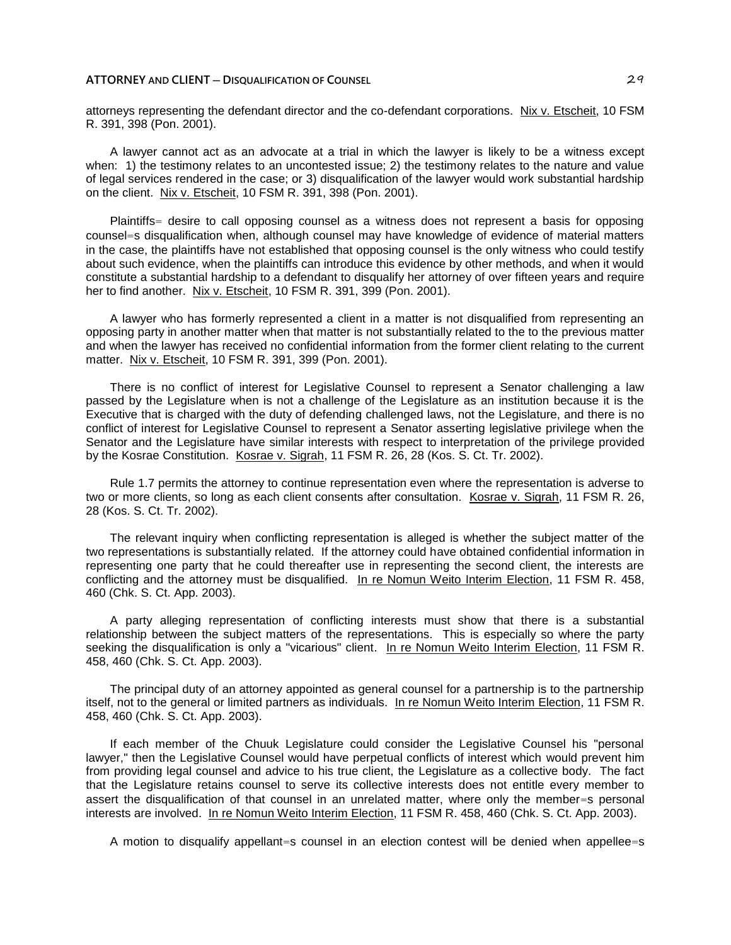attorneys representing the defendant director and the co-defendant corporations. Nix v. Etscheit, 10 FSM R. 391, 398 (Pon. 2001).

A lawyer cannot act as an advocate at a trial in which the lawyer is likely to be a witness except when: 1) the testimony relates to an uncontested issue; 2) the testimony relates to the nature and value of legal services rendered in the case; or 3) disqualification of the lawyer would work substantial hardship on the client. Nix v. Etscheit, 10 FSM R. 391, 398 (Pon. 2001).

Plaintiffs= desire to call opposing counsel as a witness does not represent a basis for opposing counsel=s disqualification when, although counsel may have knowledge of evidence of material matters in the case, the plaintiffs have not established that opposing counsel is the only witness who could testify about such evidence, when the plaintiffs can introduce this evidence by other methods, and when it would constitute a substantial hardship to a defendant to disqualify her attorney of over fifteen years and require her to find another. Nix v. Etscheit, 10 FSM R. 391, 399 (Pon. 2001).

A lawyer who has formerly represented a client in a matter is not disqualified from representing an opposing party in another matter when that matter is not substantially related to the to the previous matter and when the lawyer has received no confidential information from the former client relating to the current matter. Nix v. Etscheit, 10 FSM R. 391, 399 (Pon. 2001).

There is no conflict of interest for Legislative Counsel to represent a Senator challenging a law passed by the Legislature when is not a challenge of the Legislature as an institution because it is the Executive that is charged with the duty of defending challenged laws, not the Legislature, and there is no conflict of interest for Legislative Counsel to represent a Senator asserting legislative privilege when the Senator and the Legislature have similar interests with respect to interpretation of the privilege provided by the Kosrae Constitution. Kosrae v. Sigrah, 11 FSM R. 26, 28 (Kos. S. Ct. Tr. 2002).

Rule 1.7 permits the attorney to continue representation even where the representation is adverse to two or more clients, so long as each client consents after consultation. Kosrae v. Sigrah, 11 FSM R. 26, 28 (Kos. S. Ct. Tr. 2002).

The relevant inquiry when conflicting representation is alleged is whether the subject matter of the two representations is substantially related. If the attorney could have obtained confidential information in representing one party that he could thereafter use in representing the second client, the interests are conflicting and the attorney must be disqualified. In re Nomun Weito Interim Election, 11 FSM R. 458, 460 (Chk. S. Ct. App. 2003).

A party alleging representation of conflicting interests must show that there is a substantial relationship between the subject matters of the representations. This is especially so where the party seeking the disqualification is only a "vicarious" client. In re Nomun Weito Interim Election, 11 FSM R. 458, 460 (Chk. S. Ct. App. 2003).

The principal duty of an attorney appointed as general counsel for a partnership is to the partnership itself, not to the general or limited partners as individuals. In re Nomun Weito Interim Election, 11 FSM R. 458, 460 (Chk. S. Ct. App. 2003).

If each member of the Chuuk Legislature could consider the Legislative Counsel his "personal lawyer," then the Legislative Counsel would have perpetual conflicts of interest which would prevent him from providing legal counsel and advice to his true client, the Legislature as a collective body. The fact that the Legislature retains counsel to serve its collective interests does not entitle every member to assert the disqualification of that counsel in an unrelated matter, where only the member=s personal interests are involved. In re Nomun Weito Interim Election, 11 FSM R. 458, 460 (Chk. S. Ct. App. 2003).

A motion to disqualify appellant=s counsel in an election contest will be denied when appellee=s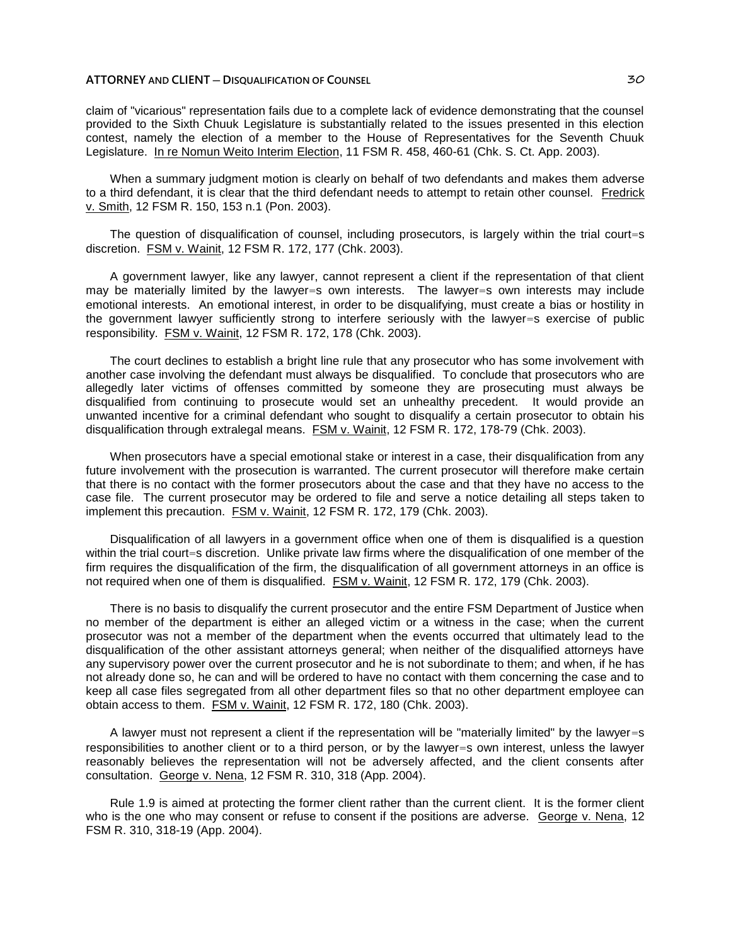claim of "vicarious" representation fails due to a complete lack of evidence demonstrating that the counsel provided to the Sixth Chuuk Legislature is substantially related to the issues presented in this election contest, namely the election of a member to the House of Representatives for the Seventh Chuuk Legislature. In re Nomun Weito Interim Election, 11 FSM R. 458, 460-61 (Chk. S. Ct. App. 2003).

When a summary judgment motion is clearly on behalf of two defendants and makes them adverse to a third defendant, it is clear that the third defendant needs to attempt to retain other counsel. Fredrick v. Smith, 12 FSM R. 150, 153 n.1 (Pon. 2003).

The question of disqualification of counsel, including prosecutors, is largely within the trial court=s discretion. FSM v. Wainit, 12 FSM R. 172, 177 (Chk. 2003).

A government lawyer, like any lawyer, cannot represent a client if the representation of that client may be materially limited by the lawyer=s own interests. The lawyer=s own interests may include emotional interests. An emotional interest, in order to be disqualifying, must create a bias or hostility in the government lawyer sufficiently strong to interfere seriously with the lawyer=s exercise of public responsibility. FSM v. Wainit, 12 FSM R. 172, 178 (Chk. 2003).

The court declines to establish a bright line rule that any prosecutor who has some involvement with another case involving the defendant must always be disqualified. To conclude that prosecutors who are allegedly later victims of offenses committed by someone they are prosecuting must always be disqualified from continuing to prosecute would set an unhealthy precedent. It would provide an unwanted incentive for a criminal defendant who sought to disqualify a certain prosecutor to obtain his disqualification through extralegal means. FSM v. Wainit, 12 FSM R. 172, 178-79 (Chk. 2003).

When prosecutors have a special emotional stake or interest in a case, their disqualification from any future involvement with the prosecution is warranted. The current prosecutor will therefore make certain that there is no contact with the former prosecutors about the case and that they have no access to the case file. The current prosecutor may be ordered to file and serve a notice detailing all steps taken to implement this precaution. FSM v. Wainit, 12 FSM R. 172, 179 (Chk. 2003).

Disqualification of all lawyers in a government office when one of them is disqualified is a question within the trial court=s discretion. Unlike private law firms where the disqualification of one member of the firm requires the disqualification of the firm, the disqualification of all government attorneys in an office is not required when one of them is disqualified. FSM v. Wainit, 12 FSM R. 172, 179 (Chk. 2003).

There is no basis to disqualify the current prosecutor and the entire FSM Department of Justice when no member of the department is either an alleged victim or a witness in the case; when the current prosecutor was not a member of the department when the events occurred that ultimately lead to the disqualification of the other assistant attorneys general; when neither of the disqualified attorneys have any supervisory power over the current prosecutor and he is not subordinate to them; and when, if he has not already done so, he can and will be ordered to have no contact with them concerning the case and to keep all case files segregated from all other department files so that no other department employee can obtain access to them. FSM v. Wainit, 12 FSM R. 172, 180 (Chk. 2003).

A lawyer must not represent a client if the representation will be "materially limited" by the lawyer=s responsibilities to another client or to a third person, or by the lawyer=s own interest, unless the lawyer reasonably believes the representation will not be adversely affected, and the client consents after consultation. George v. Nena, 12 FSM R. 310, 318 (App. 2004).

Rule 1.9 is aimed at protecting the former client rather than the current client. It is the former client who is the one who may consent or refuse to consent if the positions are adverse. George v. Nena, 12 FSM R. 310, 318-19 (App. 2004).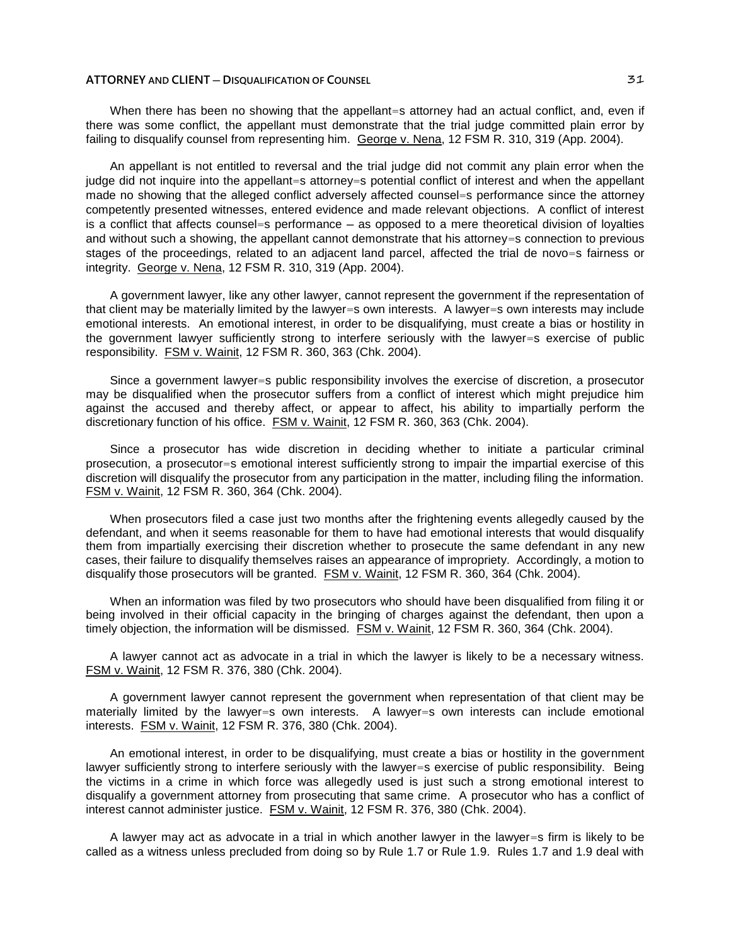When there has been no showing that the appellant=s attorney had an actual conflict, and, even if there was some conflict, the appellant must demonstrate that the trial judge committed plain error by failing to disqualify counsel from representing him. George v. Nena, 12 FSM R. 310, 319 (App. 2004).

An appellant is not entitled to reversal and the trial judge did not commit any plain error when the judge did not inquire into the appellant=s attorney=s potential conflict of interest and when the appellant made no showing that the alleged conflict adversely affected counsel=s performance since the attorney competently presented witnesses, entered evidence and made relevant objections. A conflict of interest is a conflict that affects counsel=s performance ─ as opposed to a mere theoretical division of loyalties and without such a showing, the appellant cannot demonstrate that his attorney=s connection to previous stages of the proceedings, related to an adjacent land parcel, affected the trial de novo=s fairness or integrity. George v. Nena, 12 FSM R. 310, 319 (App. 2004).

A government lawyer, like any other lawyer, cannot represent the government if the representation of that client may be materially limited by the lawyer=s own interests. A lawyer=s own interests may include emotional interests. An emotional interest, in order to be disqualifying, must create a bias or hostility in the government lawyer sufficiently strong to interfere seriously with the lawyer=s exercise of public responsibility. FSM v. Wainit, 12 FSM R. 360, 363 (Chk. 2004).

Since a government lawyer=s public responsibility involves the exercise of discretion, a prosecutor may be disqualified when the prosecutor suffers from a conflict of interest which might prejudice him against the accused and thereby affect, or appear to affect, his ability to impartially perform the discretionary function of his office. FSM v. Wainit, 12 FSM R. 360, 363 (Chk. 2004).

Since a prosecutor has wide discretion in deciding whether to initiate a particular criminal prosecution, a prosecutor=s emotional interest sufficiently strong to impair the impartial exercise of this discretion will disqualify the prosecutor from any participation in the matter, including filing the information. FSM v. Wainit, 12 FSM R. 360, 364 (Chk. 2004).

When prosecutors filed a case just two months after the frightening events allegedly caused by the defendant, and when it seems reasonable for them to have had emotional interests that would disqualify them from impartially exercising their discretion whether to prosecute the same defendant in any new cases, their failure to disqualify themselves raises an appearance of impropriety. Accordingly, a motion to disqualify those prosecutors will be granted. FSM v. Wainit, 12 FSM R. 360, 364 (Chk. 2004).

When an information was filed by two prosecutors who should have been disqualified from filing it or being involved in their official capacity in the bringing of charges against the defendant, then upon a timely objection, the information will be dismissed. FSM v. Wainit, 12 FSM R. 360, 364 (Chk. 2004).

A lawyer cannot act as advocate in a trial in which the lawyer is likely to be a necessary witness. FSM v. Wainit, 12 FSM R. 376, 380 (Chk. 2004).

A government lawyer cannot represent the government when representation of that client may be materially limited by the lawyer=s own interests. A lawyer=s own interests can include emotional interests. FSM v. Wainit, 12 FSM R. 376, 380 (Chk. 2004).

An emotional interest, in order to be disqualifying, must create a bias or hostility in the government lawyer sufficiently strong to interfere seriously with the lawyer=s exercise of public responsibility. Being the victims in a crime in which force was allegedly used is just such a strong emotional interest to disqualify a government attorney from prosecuting that same crime. A prosecutor who has a conflict of interest cannot administer justice. FSM v. Wainit, 12 FSM R. 376, 380 (Chk. 2004).

A lawyer may act as advocate in a trial in which another lawyer in the lawyer=s firm is likely to be called as a witness unless precluded from doing so by Rule 1.7 or Rule 1.9. Rules 1.7 and 1.9 deal with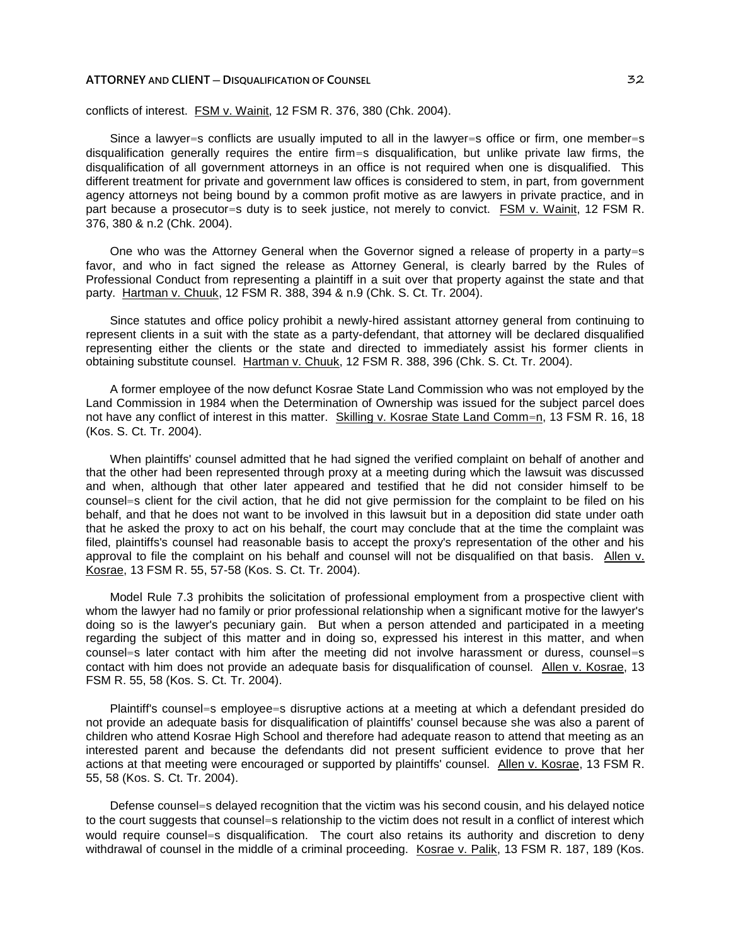conflicts of interest. **FSM v. Wainit, 12 FSM R. 376, 380 (Chk. 2004).** 

Since a lawyer=s conflicts are usually imputed to all in the lawyer=s office or firm, one member=s disqualification generally requires the entire firm=s disqualification, but unlike private law firms, the disqualification of all government attorneys in an office is not required when one is disqualified. This different treatment for private and government law offices is considered to stem, in part, from government agency attorneys not being bound by a common profit motive as are lawyers in private practice, and in part because a prosecutor=s duty is to seek justice, not merely to convict. FSM v. Wainit, 12 FSM R. 376, 380 & n.2 (Chk. 2004).

One who was the Attorney General when the Governor signed a release of property in a party=s favor, and who in fact signed the release as Attorney General, is clearly barred by the Rules of Professional Conduct from representing a plaintiff in a suit over that property against the state and that party. Hartman v. Chuuk, 12 FSM R. 388, 394 & n.9 (Chk. S. Ct. Tr. 2004).

Since statutes and office policy prohibit a newly-hired assistant attorney general from continuing to represent clients in a suit with the state as a party-defendant, that attorney will be declared disqualified representing either the clients or the state and directed to immediately assist his former clients in obtaining substitute counsel. Hartman v. Chuuk, 12 FSM R. 388, 396 (Chk. S. Ct. Tr. 2004).

A former employee of the now defunct Kosrae State Land Commission who was not employed by the Land Commission in 1984 when the Determination of Ownership was issued for the subject parcel does not have any conflict of interest in this matter. Skilling v. Kosrae State Land Comm=n, 13 FSM R. 16, 18 (Kos. S. Ct. Tr. 2004).

When plaintiffs' counsel admitted that he had signed the verified complaint on behalf of another and that the other had been represented through proxy at a meeting during which the lawsuit was discussed and when, although that other later appeared and testified that he did not consider himself to be counsel=s client for the civil action, that he did not give permission for the complaint to be filed on his behalf, and that he does not want to be involved in this lawsuit but in a deposition did state under oath that he asked the proxy to act on his behalf, the court may conclude that at the time the complaint was filed, plaintiffs's counsel had reasonable basis to accept the proxy's representation of the other and his approval to file the complaint on his behalf and counsel will not be disqualified on that basis. Allen v. Kosrae, 13 FSM R. 55, 57-58 (Kos. S. Ct. Tr. 2004).

Model Rule 7.3 prohibits the solicitation of professional employment from a prospective client with whom the lawyer had no family or prior professional relationship when a significant motive for the lawyer's doing so is the lawyer's pecuniary gain. But when a person attended and participated in a meeting regarding the subject of this matter and in doing so, expressed his interest in this matter, and when counsel=s later contact with him after the meeting did not involve harassment or duress, counsel=s contact with him does not provide an adequate basis for disqualification of counsel. Allen v. Kosrae, 13 FSM R. 55, 58 (Kos. S. Ct. Tr. 2004).

Plaintiff's counsel=s employee=s disruptive actions at a meeting at which a defendant presided do not provide an adequate basis for disqualification of plaintiffs' counsel because she was also a parent of children who attend Kosrae High School and therefore had adequate reason to attend that meeting as an interested parent and because the defendants did not present sufficient evidence to prove that her actions at that meeting were encouraged or supported by plaintiffs' counsel. Allen v. Kosrae, 13 FSM R. 55, 58 (Kos. S. Ct. Tr. 2004).

Defense counsel=s delayed recognition that the victim was his second cousin, and his delayed notice to the court suggests that counsel=s relationship to the victim does not result in a conflict of interest which would require counsel=s disqualification. The court also retains its authority and discretion to deny withdrawal of counsel in the middle of a criminal proceeding. Kosrae v. Palik, 13 FSM R. 187, 189 (Kos.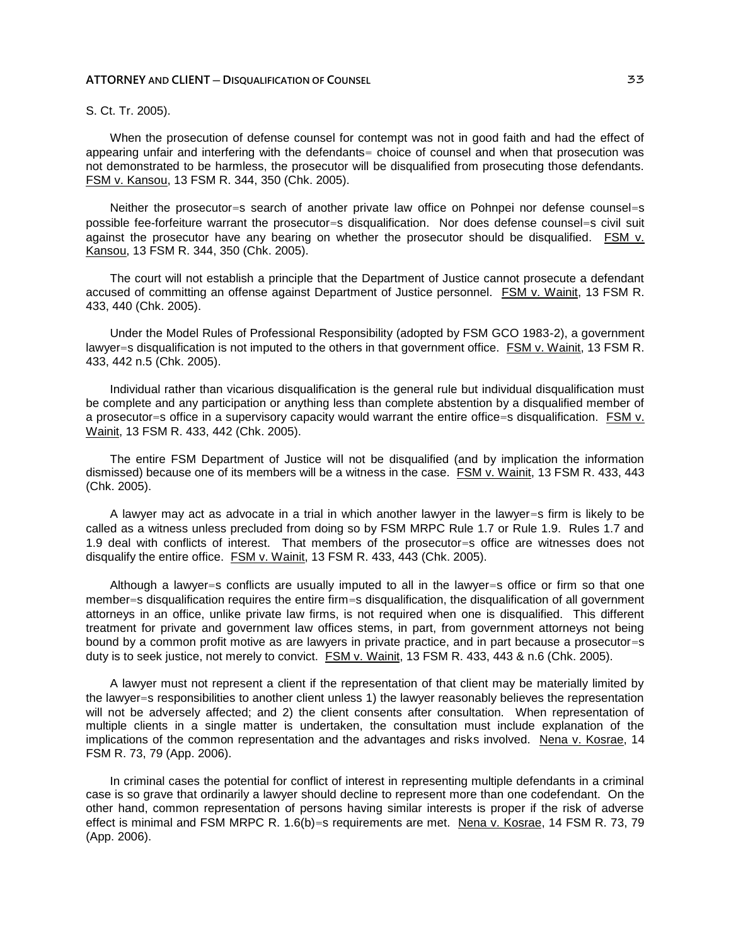S. Ct. Tr. 2005).

When the prosecution of defense counsel for contempt was not in good faith and had the effect of appearing unfair and interfering with the defendants= choice of counsel and when that prosecution was not demonstrated to be harmless, the prosecutor will be disqualified from prosecuting those defendants. FSM v. Kansou, 13 FSM R. 344, 350 (Chk. 2005).

Neither the prosecutor=s search of another private law office on Pohnpei nor defense counsel=s possible fee-forfeiture warrant the prosecutor=s disqualification. Nor does defense counsel=s civil suit against the prosecutor have any bearing on whether the prosecutor should be disqualified. FSM v. Kansou, 13 FSM R. 344, 350 (Chk. 2005).

The court will not establish a principle that the Department of Justice cannot prosecute a defendant accused of committing an offense against Department of Justice personnel. FSM v. Wainit, 13 FSM R. 433, 440 (Chk. 2005).

Under the Model Rules of Professional Responsibility (adopted by FSM GCO 1983-2), a government lawyer=s disqualification is not imputed to the others in that government office. FSM v. Wainit, 13 FSM R. 433, 442 n.5 (Chk. 2005).

Individual rather than vicarious disqualification is the general rule but individual disqualification must be complete and any participation or anything less than complete abstention by a disqualified member of a prosecutor=s office in a supervisory capacity would warrant the entire office=s disqualification. FSM v. Wainit, 13 FSM R. 433, 442 (Chk. 2005).

The entire FSM Department of Justice will not be disqualified (and by implication the information dismissed) because one of its members will be a witness in the case. FSM v. Wainit, 13 FSM R. 433, 443 (Chk. 2005).

A lawyer may act as advocate in a trial in which another lawyer in the lawyer=s firm is likely to be called as a witness unless precluded from doing so by FSM MRPC Rule 1.7 or Rule 1.9. Rules 1.7 and 1.9 deal with conflicts of interest. That members of the prosecutor=s office are witnesses does not disqualify the entire office. FSM v. Wainit, 13 FSM R. 433, 443 (Chk. 2005).

Although a lawyer=s conflicts are usually imputed to all in the lawyer=s office or firm so that one member=s disqualification requires the entire firm=s disqualification, the disqualification of all government attorneys in an office, unlike private law firms, is not required when one is disqualified. This different treatment for private and government law offices stems, in part, from government attorneys not being bound by a common profit motive as are lawyers in private practice, and in part because a prosecutor=s duty is to seek justice, not merely to convict. FSM v. Wainit, 13 FSM R. 433, 443 & n.6 (Chk. 2005).

A lawyer must not represent a client if the representation of that client may be materially limited by the lawyer=s responsibilities to another client unless 1) the lawyer reasonably believes the representation will not be adversely affected; and 2) the client consents after consultation. When representation of multiple clients in a single matter is undertaken, the consultation must include explanation of the implications of the common representation and the advantages and risks involved. Nena v. Kosrae, 14 FSM R. 73, 79 (App. 2006).

In criminal cases the potential for conflict of interest in representing multiple defendants in a criminal case is so grave that ordinarily a lawyer should decline to represent more than one codefendant. On the other hand, common representation of persons having similar interests is proper if the risk of adverse effect is minimal and FSM MRPC R. 1.6(b)=s requirements are met. Nena v. Kosrae, 14 FSM R. 73, 79 (App. 2006).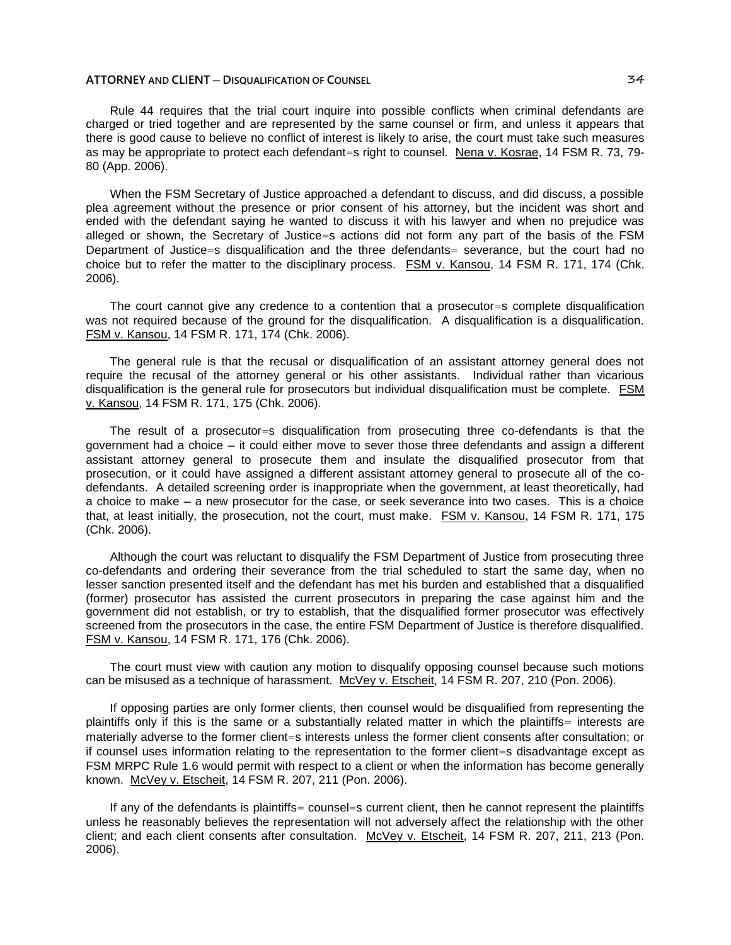Rule 44 requires that the trial court inquire into possible conflicts when criminal defendants are charged or tried together and are represented by the same counsel or firm, and unless it appears that there is good cause to believe no conflict of interest is likely to arise, the court must take such measures as may be appropriate to protect each defendant=s right to counsel. Nena v. Kosrae, 14 FSM R. 73, 79- 80 (App. 2006).

When the FSM Secretary of Justice approached a defendant to discuss, and did discuss, a possible plea agreement without the presence or prior consent of his attorney, but the incident was short and ended with the defendant saying he wanted to discuss it with his lawyer and when no prejudice was alleged or shown, the Secretary of Justice=s actions did not form any part of the basis of the FSM Department of Justice=s disqualification and the three defendants= severance, but the court had no choice but to refer the matter to the disciplinary process. FSM v. Kansou, 14 FSM R. 171, 174 (Chk. 2006).

The court cannot give any credence to a contention that a prosecutor=s complete disqualification was not required because of the ground for the disqualification. A disqualification is a disqualification. FSM v. Kansou, 14 FSM R. 171, 174 (Chk. 2006).

The general rule is that the recusal or disqualification of an assistant attorney general does not require the recusal of the attorney general or his other assistants. Individual rather than vicarious disqualification is the general rule for prosecutors but individual disqualification must be complete. FSM v. Kansou, 14 FSM R. 171, 175 (Chk. 2006).

The result of a prosecutor=s disqualification from prosecuting three co-defendants is that the government had a choice - it could either move to sever those three defendants and assign a different assistant attorney general to prosecute them and insulate the disqualified prosecutor from that prosecution, or it could have assigned a different assistant attorney general to prosecute all of the codefendants. A detailed screening order is inappropriate when the government, at least theoretically, had a choice to make ─ a new prosecutor for the case, or seek severance into two cases. This is a choice that, at least initially, the prosecution, not the court, must make. FSM v. Kansou, 14 FSM R. 171, 175 (Chk. 2006).

Although the court was reluctant to disqualify the FSM Department of Justice from prosecuting three co-defendants and ordering their severance from the trial scheduled to start the same day, when no lesser sanction presented itself and the defendant has met his burden and established that a disqualified (former) prosecutor has assisted the current prosecutors in preparing the case against him and the government did not establish, or try to establish, that the disqualified former prosecutor was effectively screened from the prosecutors in the case, the entire FSM Department of Justice is therefore disqualified. FSM v. Kansou, 14 FSM R. 171, 176 (Chk. 2006).

The court must view with caution any motion to disqualify opposing counsel because such motions can be misused as a technique of harassment. McVey v. Etscheit, 14 FSM R. 207, 210 (Pon. 2006).

If opposing parties are only former clients, then counsel would be disqualified from representing the plaintiffs only if this is the same or a substantially related matter in which the plaintiffs= interests are materially adverse to the former client=s interests unless the former client consents after consultation; or if counsel uses information relating to the representation to the former client=s disadvantage except as FSM MRPC Rule 1.6 would permit with respect to a client or when the information has become generally known. McVey v. Etscheit, 14 FSM R. 207, 211 (Pon. 2006).

If any of the defendants is plaintiffs= counsel=s current client, then he cannot represent the plaintiffs unless he reasonably believes the representation will not adversely affect the relationship with the other client; and each client consents after consultation. McVey v. Etscheit, 14 FSM R. 207, 211, 213 (Pon. 2006).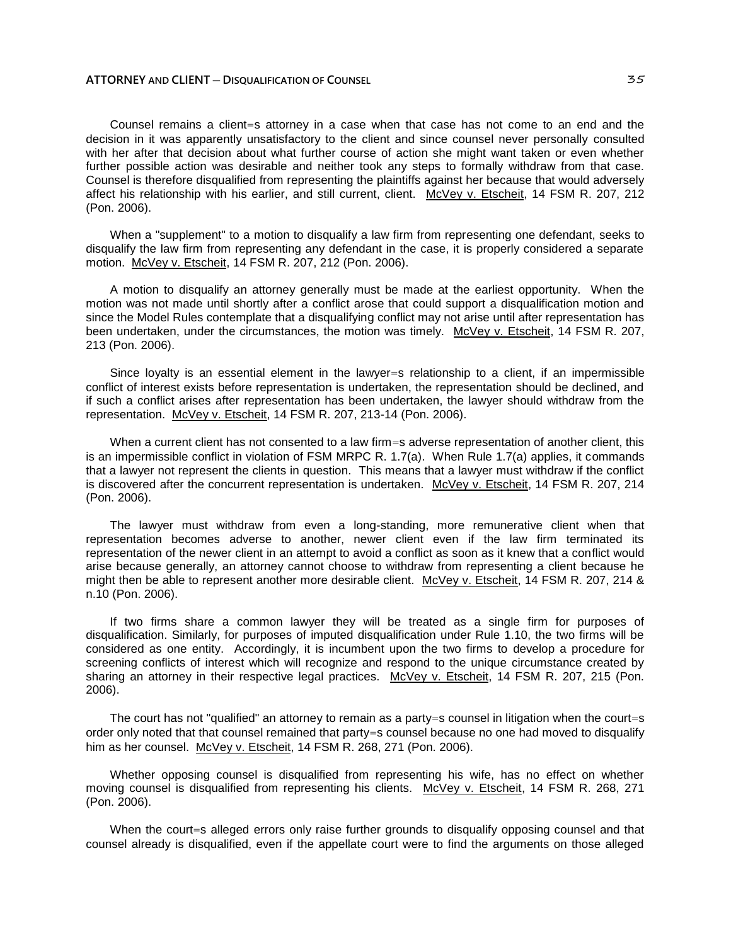Counsel remains a client=s attorney in a case when that case has not come to an end and the decision in it was apparently unsatisfactory to the client and since counsel never personally consulted with her after that decision about what further course of action she might want taken or even whether further possible action was desirable and neither took any steps to formally withdraw from that case. Counsel is therefore disqualified from representing the plaintiffs against her because that would adversely affect his relationship with his earlier, and still current, client. McVey v. Etscheit, 14 FSM R. 207, 212 (Pon. 2006).

When a "supplement" to a motion to disqualify a law firm from representing one defendant, seeks to disqualify the law firm from representing any defendant in the case, it is properly considered a separate motion. McVey v. Etscheit, 14 FSM R. 207, 212 (Pon. 2006).

A motion to disqualify an attorney generally must be made at the earliest opportunity. When the motion was not made until shortly after a conflict arose that could support a disqualification motion and since the Model Rules contemplate that a disqualifying conflict may not arise until after representation has been undertaken, under the circumstances, the motion was timely. McVey v. Etscheit, 14 FSM R. 207, 213 (Pon. 2006).

Since loyalty is an essential element in the lawyer=s relationship to a client, if an impermissible conflict of interest exists before representation is undertaken, the representation should be declined, and if such a conflict arises after representation has been undertaken, the lawyer should withdraw from the representation. McVey v. Etscheit, 14 FSM R. 207, 213-14 (Pon. 2006).

When a current client has not consented to a law firm=s adverse representation of another client, this is an impermissible conflict in violation of FSM MRPC R. 1.7(a). When Rule 1.7(a) applies, it commands that a lawyer not represent the clients in question. This means that a lawyer must withdraw if the conflict is discovered after the concurrent representation is undertaken. McVey v. Etscheit, 14 FSM R. 207, 214 (Pon. 2006).

The lawyer must withdraw from even a long-standing, more remunerative client when that representation becomes adverse to another, newer client even if the law firm terminated its representation of the newer client in an attempt to avoid a conflict as soon as it knew that a conflict would arise because generally, an attorney cannot choose to withdraw from representing a client because he might then be able to represent another more desirable client. McVey v. Etscheit, 14 FSM R. 207, 214 & n.10 (Pon. 2006).

If two firms share a common lawyer they will be treated as a single firm for purposes of disqualification. Similarly, for purposes of imputed disqualification under Rule 1.10, the two firms will be considered as one entity. Accordingly, it is incumbent upon the two firms to develop a procedure for screening conflicts of interest which will recognize and respond to the unique circumstance created by sharing an attorney in their respective legal practices. McVey v. Etscheit, 14 FSM R. 207, 215 (Pon. 2006).

The court has not "qualified" an attorney to remain as a party=s counsel in litigation when the court=s order only noted that that counsel remained that party=s counsel because no one had moved to disqualify him as her counsel. McVey v. Etscheit, 14 FSM R. 268, 271 (Pon. 2006).

Whether opposing counsel is disqualified from representing his wife, has no effect on whether moving counsel is disqualified from representing his clients. McVey v. Etscheit, 14 FSM R. 268, 271 (Pon. 2006).

When the court=s alleged errors only raise further grounds to disqualify opposing counsel and that counsel already is disqualified, even if the appellate court were to find the arguments on those alleged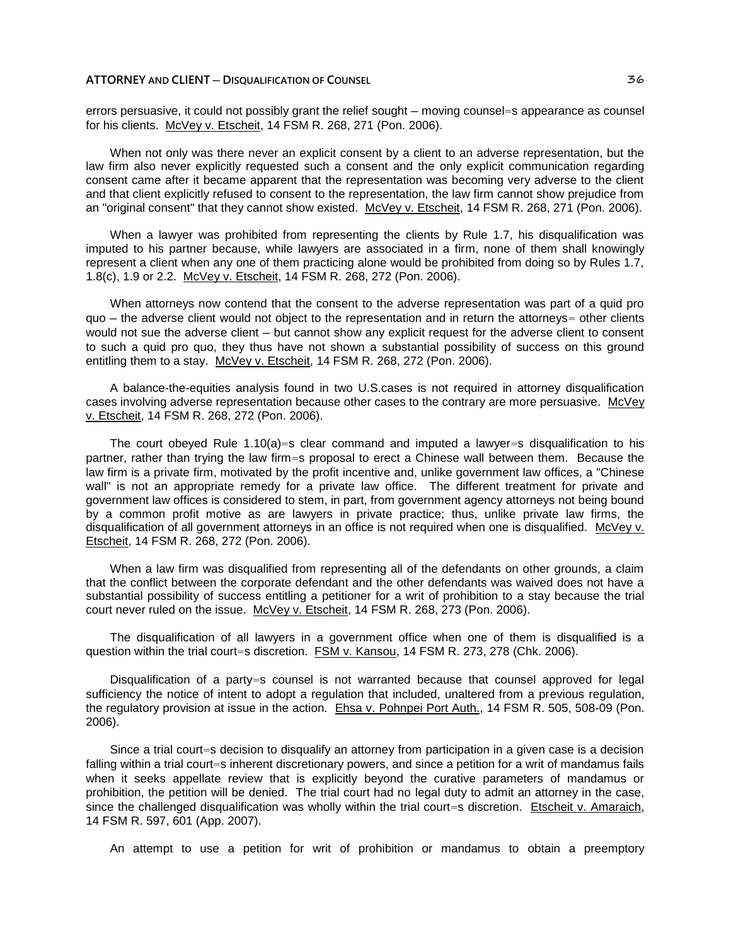errors persuasive, it could not possibly grant the relief sought — moving counsel=s appearance as counsel for his clients. McVey v. Etscheit, 14 FSM R. 268, 271 (Pon. 2006).

When not only was there never an explicit consent by a client to an adverse representation, but the law firm also never explicitly requested such a consent and the only explicit communication regarding consent came after it became apparent that the representation was becoming very adverse to the client and that client explicitly refused to consent to the representation, the law firm cannot show prejudice from an "original consent" that they cannot show existed. McVey v. Etscheit, 14 FSM R. 268, 271 (Pon. 2006).

When a lawyer was prohibited from representing the clients by Rule 1.7, his disqualification was imputed to his partner because, while lawyers are associated in a firm, none of them shall knowingly represent a client when any one of them practicing alone would be prohibited from doing so by Rules 1.7, 1.8(c), 1.9 or 2.2. McVey v. Etscheit, 14 FSM R. 268, 272 (Pon. 2006).

When attorneys now contend that the consent to the adverse representation was part of a quid pro quo ─ the adverse client would not object to the representation and in return the attorneys= other clients would not sue the adverse client – but cannot show any explicit request for the adverse client to consent to such a quid pro quo, they thus have not shown a substantial possibility of success on this ground entitling them to a stay. McVey v. Etscheit, 14 FSM R. 268, 272 (Pon. 2006).

A balance-the-equities analysis found in two U.S.cases is not required in attorney disqualification cases involving adverse representation because other cases to the contrary are more persuasive. McVey v. Etscheit, 14 FSM R. 268, 272 (Pon. 2006).

The court obeyed Rule  $1.10(a)=s$  clear command and imputed a lawyer s disqualification to his partner, rather than trying the law firm=s proposal to erect a Chinese wall between them. Because the law firm is a private firm, motivated by the profit incentive and, unlike government law offices, a "Chinese wall" is not an appropriate remedy for a private law office. The different treatment for private and government law offices is considered to stem, in part, from government agency attorneys not being bound by a common profit motive as are lawyers in private practice; thus, unlike private law firms, the disqualification of all government attorneys in an office is not required when one is disqualified. McVey v. Etscheit, 14 FSM R. 268, 272 (Pon. 2006).

When a law firm was disqualified from representing all of the defendants on other grounds, a claim that the conflict between the corporate defendant and the other defendants was waived does not have a substantial possibility of success entitling a petitioner for a writ of prohibition to a stay because the trial court never ruled on the issue. McVey v. Etscheit, 14 FSM R. 268, 273 (Pon. 2006).

The disqualification of all lawyers in a government office when one of them is disqualified is a question within the trial court=s discretion. FSM v. Kansou, 14 FSM R. 273, 278 (Chk. 2006).

Disqualification of a party=s counsel is not warranted because that counsel approved for legal sufficiency the notice of intent to adopt a regulation that included, unaltered from a previous regulation, the regulatory provision at issue in the action. Ehsa v. Pohnpei Port Auth., 14 FSM R. 505, 508-09 (Pon. 2006).

Since a trial court=s decision to disqualify an attorney from participation in a given case is a decision falling within a trial court=s inherent discretionary powers, and since a petition for a writ of mandamus fails when it seeks appellate review that is explicitly beyond the curative parameters of mandamus or prohibition, the petition will be denied. The trial court had no legal duty to admit an attorney in the case, since the challenged disqualification was wholly within the trial court=s discretion. Etscheit v. Amaraich, 14 FSM R. 597, 601 (App. 2007).

An attempt to use a petition for writ of prohibition or mandamus to obtain a preemptory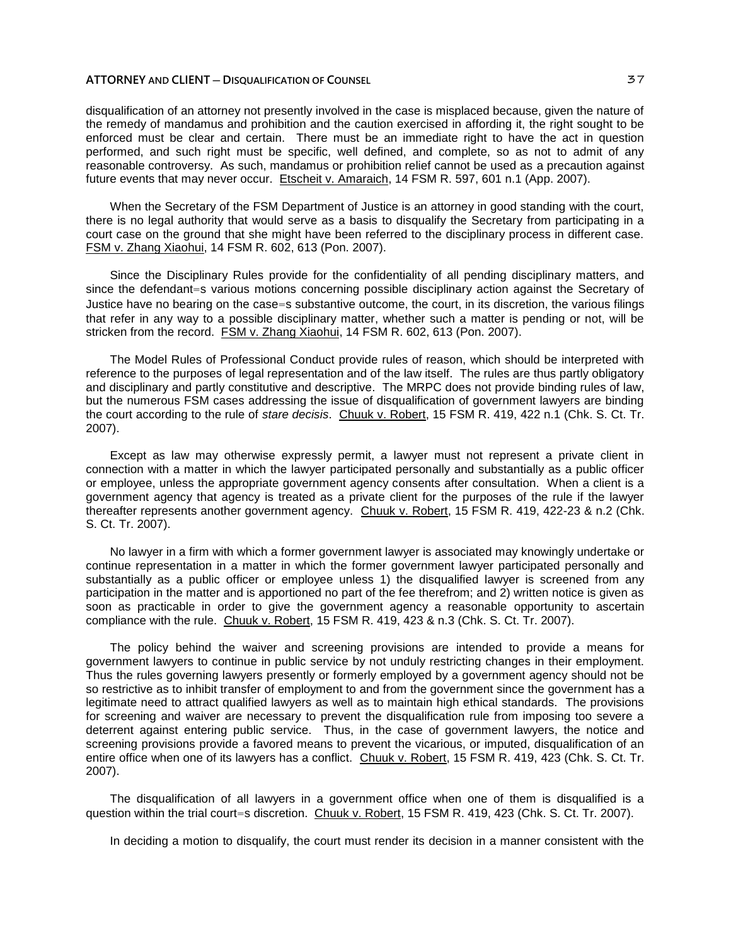disqualification of an attorney not presently involved in the case is misplaced because, given the nature of the remedy of mandamus and prohibition and the caution exercised in affording it, the right sought to be enforced must be clear and certain. There must be an immediate right to have the act in question performed, and such right must be specific, well defined, and complete, so as not to admit of any reasonable controversy. As such, mandamus or prohibition relief cannot be used as a precaution against future events that may never occur. Etscheit v. Amaraich, 14 FSM R. 597, 601 n.1 (App. 2007).

When the Secretary of the FSM Department of Justice is an attorney in good standing with the court, there is no legal authority that would serve as a basis to disqualify the Secretary from participating in a court case on the ground that she might have been referred to the disciplinary process in different case. FSM v. Zhang Xiaohui, 14 FSM R. 602, 613 (Pon. 2007).

Since the Disciplinary Rules provide for the confidentiality of all pending disciplinary matters, and since the defendant=s various motions concerning possible disciplinary action against the Secretary of Justice have no bearing on the case=s substantive outcome, the court, in its discretion, the various filings that refer in any way to a possible disciplinary matter, whether such a matter is pending or not, will be stricken from the record. FSM v. Zhang Xiaohui, 14 FSM R. 602, 613 (Pon. 2007).

The Model Rules of Professional Conduct provide rules of reason, which should be interpreted with reference to the purposes of legal representation and of the law itself. The rules are thus partly obligatory and disciplinary and partly constitutive and descriptive. The MRPC does not provide binding rules of law, but the numerous FSM cases addressing the issue of disqualification of government lawyers are binding the court according to the rule of *stare decisis*. Chuuk v. Robert, 15 FSM R. 419, 422 n.1 (Chk. S. Ct. Tr. 2007).

Except as law may otherwise expressly permit, a lawyer must not represent a private client in connection with a matter in which the lawyer participated personally and substantially as a public officer or employee, unless the appropriate government agency consents after consultation. When a client is a government agency that agency is treated as a private client for the purposes of the rule if the lawyer thereafter represents another government agency. Chuuk v. Robert, 15 FSM R. 419, 422-23 & n.2 (Chk. S. Ct. Tr. 2007).

No lawyer in a firm with which a former government lawyer is associated may knowingly undertake or continue representation in a matter in which the former government lawyer participated personally and substantially as a public officer or employee unless 1) the disqualified lawyer is screened from any participation in the matter and is apportioned no part of the fee therefrom; and 2) written notice is given as soon as practicable in order to give the government agency a reasonable opportunity to ascertain compliance with the rule. Chuuk v. Robert, 15 FSM R. 419, 423 & n.3 (Chk. S. Ct. Tr. 2007).

The policy behind the waiver and screening provisions are intended to provide a means for government lawyers to continue in public service by not unduly restricting changes in their employment. Thus the rules governing lawyers presently or formerly employed by a government agency should not be so restrictive as to inhibit transfer of employment to and from the government since the government has a legitimate need to attract qualified lawyers as well as to maintain high ethical standards. The provisions for screening and waiver are necessary to prevent the disqualification rule from imposing too severe a deterrent against entering public service. Thus, in the case of government lawyers, the notice and screening provisions provide a favored means to prevent the vicarious, or imputed, disqualification of an entire office when one of its lawyers has a conflict. Chuuk v. Robert, 15 FSM R. 419, 423 (Chk. S. Ct. Tr. 2007).

The disqualification of all lawyers in a government office when one of them is disqualified is a question within the trial court=s discretion. Chuuk v. Robert, 15 FSM R. 419, 423 (Chk. S. Ct. Tr. 2007).

In deciding a motion to disqualify, the court must render its decision in a manner consistent with the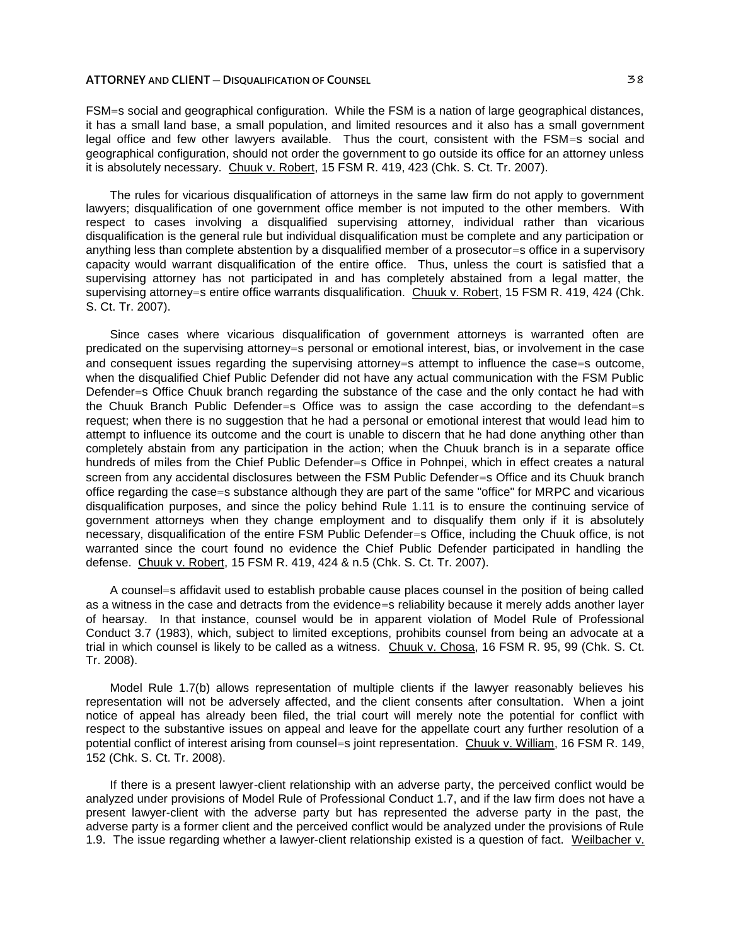FSM=s social and geographical configuration. While the FSM is a nation of large geographical distances, it has a small land base, a small population, and limited resources and it also has a small government legal office and few other lawyers available. Thus the court, consistent with the FSM=s social and geographical configuration, should not order the government to go outside its office for an attorney unless it is absolutely necessary. Chuuk v. Robert, 15 FSM R. 419, 423 (Chk. S. Ct. Tr. 2007).

The rules for vicarious disqualification of attorneys in the same law firm do not apply to government lawyers; disqualification of one government office member is not imputed to the other members. With respect to cases involving a disqualified supervising attorney, individual rather than vicarious disqualification is the general rule but individual disqualification must be complete and any participation or anything less than complete abstention by a disqualified member of a prosecutor=s office in a supervisory capacity would warrant disqualification of the entire office. Thus, unless the court is satisfied that a supervising attorney has not participated in and has completely abstained from a legal matter, the supervising attorney=s entire office warrants disqualification. Chuuk v. Robert, 15 FSM R. 419, 424 (Chk. S. Ct. Tr. 2007).

Since cases where vicarious disqualification of government attorneys is warranted often are predicated on the supervising attorney=s personal or emotional interest, bias, or involvement in the case and consequent issues regarding the supervising attorney=s attempt to influence the case=s outcome, when the disqualified Chief Public Defender did not have any actual communication with the FSM Public Defender=s Office Chuuk branch regarding the substance of the case and the only contact he had with the Chuuk Branch Public Defender=s Office was to assign the case according to the defendant=s request; when there is no suggestion that he had a personal or emotional interest that would lead him to attempt to influence its outcome and the court is unable to discern that he had done anything other than completely abstain from any participation in the action; when the Chuuk branch is in a separate office hundreds of miles from the Chief Public Defender=s Office in Pohnpei, which in effect creates a natural screen from any accidental disclosures between the FSM Public Defender=s Office and its Chuuk branch office regarding the case=s substance although they are part of the same "office" for MRPC and vicarious disqualification purposes, and since the policy behind Rule 1.11 is to ensure the continuing service of government attorneys when they change employment and to disqualify them only if it is absolutely necessary, disqualification of the entire FSM Public Defender=s Office, including the Chuuk office, is not warranted since the court found no evidence the Chief Public Defender participated in handling the defense. Chuuk v. Robert, 15 FSM R. 419, 424 & n.5 (Chk. S. Ct. Tr. 2007).

A counsel=s affidavit used to establish probable cause places counsel in the position of being called as a witness in the case and detracts from the evidence=s reliability because it merely adds another layer of hearsay. In that instance, counsel would be in apparent violation of Model Rule of Professional Conduct 3.7 (1983), which, subject to limited exceptions, prohibits counsel from being an advocate at a trial in which counsel is likely to be called as a witness. Chuuk v. Chosa, 16 FSM R. 95, 99 (Chk. S. Ct. Tr. 2008).

Model Rule 1.7(b) allows representation of multiple clients if the lawyer reasonably believes his representation will not be adversely affected, and the client consents after consultation. When a joint notice of appeal has already been filed, the trial court will merely note the potential for conflict with respect to the substantive issues on appeal and leave for the appellate court any further resolution of a potential conflict of interest arising from counsel=s joint representation. Chuuk v. William, 16 FSM R. 149, 152 (Chk. S. Ct. Tr. 2008).

If there is a present lawyer-client relationship with an adverse party, the perceived conflict would be analyzed under provisions of Model Rule of Professional Conduct 1.7, and if the law firm does not have a present lawyer-client with the adverse party but has represented the adverse party in the past, the adverse party is a former client and the perceived conflict would be analyzed under the provisions of Rule 1.9. The issue regarding whether a lawyer-client relationship existed is a question of fact. Weilbacher v.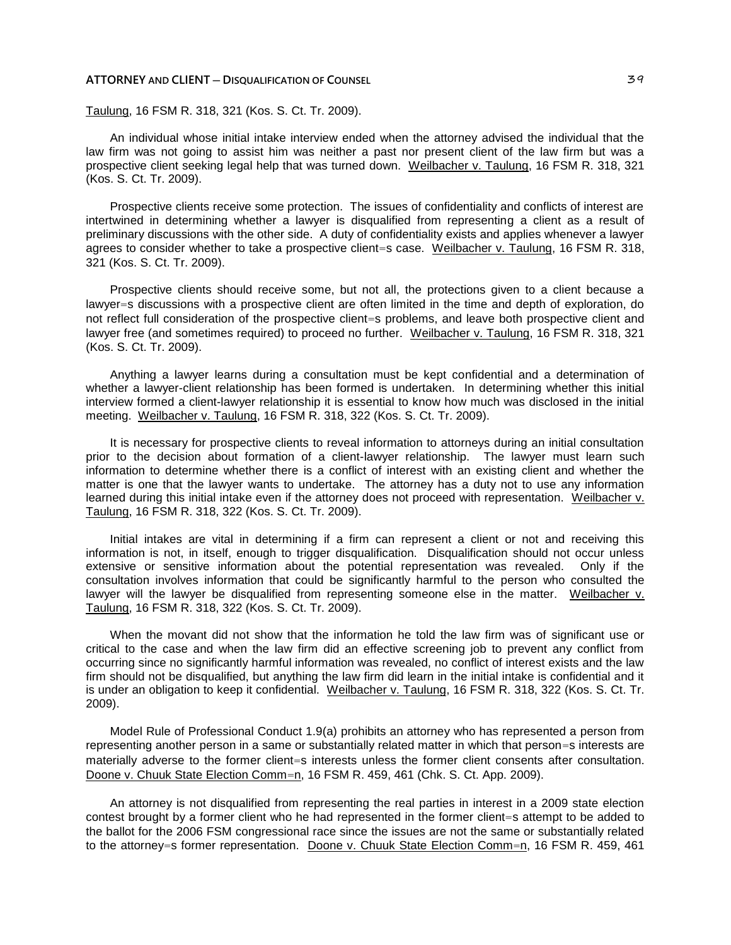### **ATTORNEY** AND **CLIENT** — DISQUALIFICATION OF COUNSEL **AND AND AND 29 39**

Taulung, 16 FSM R. 318, 321 (Kos. S. Ct. Tr. 2009).

An individual whose initial intake interview ended when the attorney advised the individual that the law firm was not going to assist him was neither a past nor present client of the law firm but was a prospective client seeking legal help that was turned down. Weilbacher v. Taulung, 16 FSM R. 318, 321 (Kos. S. Ct. Tr. 2009).

Prospective clients receive some protection. The issues of confidentiality and conflicts of interest are intertwined in determining whether a lawyer is disqualified from representing a client as a result of preliminary discussions with the other side. A duty of confidentiality exists and applies whenever a lawyer agrees to consider whether to take a prospective client=s case. Weilbacher v. Taulung, 16 FSM R. 318, 321 (Kos. S. Ct. Tr. 2009).

Prospective clients should receive some, but not all, the protections given to a client because a lawyer=s discussions with a prospective client are often limited in the time and depth of exploration, do not reflect full consideration of the prospective client=s problems, and leave both prospective client and lawyer free (and sometimes required) to proceed no further. Weilbacher v. Taulung, 16 FSM R. 318, 321 (Kos. S. Ct. Tr. 2009).

Anything a lawyer learns during a consultation must be kept confidential and a determination of whether a lawyer-client relationship has been formed is undertaken. In determining whether this initial interview formed a client-lawyer relationship it is essential to know how much was disclosed in the initial meeting. Weilbacher v. Taulung, 16 FSM R. 318, 322 (Kos. S. Ct. Tr. 2009).

It is necessary for prospective clients to reveal information to attorneys during an initial consultation prior to the decision about formation of a client-lawyer relationship. The lawyer must learn such information to determine whether there is a conflict of interest with an existing client and whether the matter is one that the lawyer wants to undertake. The attorney has a duty not to use any information learned during this initial intake even if the attorney does not proceed with representation. Weilbacher v. Taulung, 16 FSM R. 318, 322 (Kos. S. Ct. Tr. 2009).

Initial intakes are vital in determining if a firm can represent a client or not and receiving this information is not, in itself, enough to trigger disqualification. Disqualification should not occur unless extensive or sensitive information about the potential representation was revealed. Only if the consultation involves information that could be significantly harmful to the person who consulted the lawyer will the lawyer be disqualified from representing someone else in the matter. Weilbacher v. Taulung, 16 FSM R. 318, 322 (Kos. S. Ct. Tr. 2009).

When the movant did not show that the information he told the law firm was of significant use or critical to the case and when the law firm did an effective screening job to prevent any conflict from occurring since no significantly harmful information was revealed, no conflict of interest exists and the law firm should not be disqualified, but anything the law firm did learn in the initial intake is confidential and it is under an obligation to keep it confidential. Weilbacher v. Taulung, 16 FSM R. 318, 322 (Kos. S. Ct. Tr. 2009).

Model Rule of Professional Conduct 1.9(a) prohibits an attorney who has represented a person from representing another person in a same or substantially related matter in which that person=s interests are materially adverse to the former client=s interests unless the former client consents after consultation. Doone v. Chuuk State Election Comm=n, 16 FSM R. 459, 461 (Chk. S. Ct. App. 2009).

An attorney is not disqualified from representing the real parties in interest in a 2009 state election contest brought by a former client who he had represented in the former client=s attempt to be added to the ballot for the 2006 FSM congressional race since the issues are not the same or substantially related to the attorney=s former representation. Doone v. Chuuk State Election Comm=n, 16 FSM R. 459, 461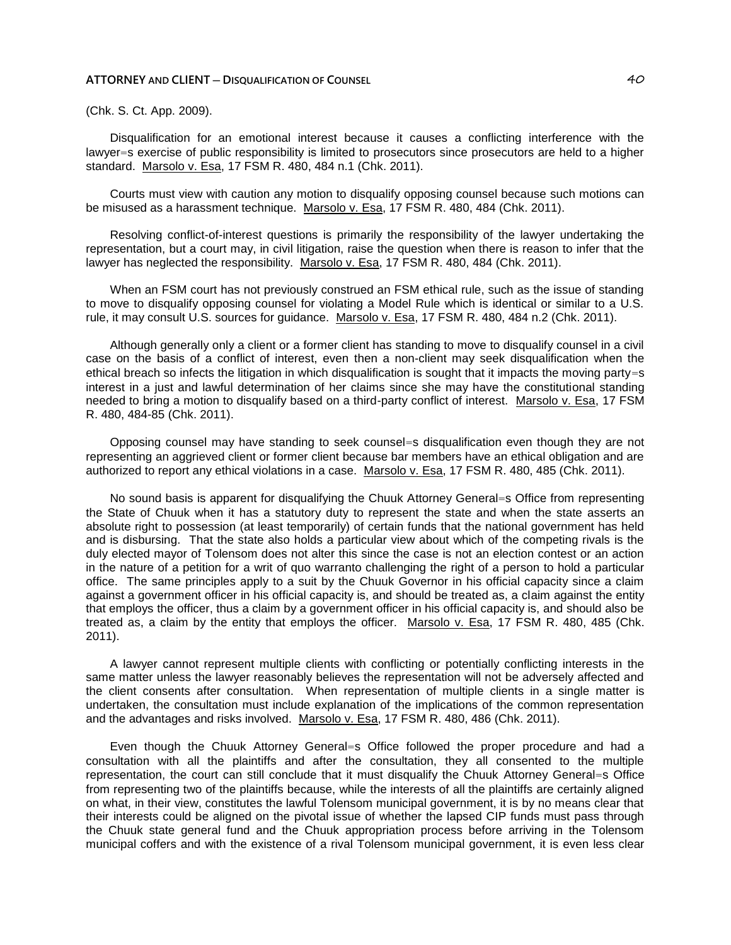(Chk. S. Ct. App. 2009).

Disqualification for an emotional interest because it causes a conflicting interference with the lawyer=s exercise of public responsibility is limited to prosecutors since prosecutors are held to a higher standard. Marsolo v. Esa, 17 FSM R. 480, 484 n.1 (Chk. 2011).

Courts must view with caution any motion to disqualify opposing counsel because such motions can be misused as a harassment technique. Marsolo v. Esa, 17 FSM R. 480, 484 (Chk. 2011).

Resolving conflict-of-interest questions is primarily the responsibility of the lawyer undertaking the representation, but a court may, in civil litigation, raise the question when there is reason to infer that the lawyer has neglected the responsibility. Marsolo v. Esa, 17 FSM R. 480, 484 (Chk. 2011).

When an FSM court has not previously construed an FSM ethical rule, such as the issue of standing to move to disqualify opposing counsel for violating a Model Rule which is identical or similar to a U.S. rule, it may consult U.S. sources for guidance. Marsolo v. Esa, 17 FSM R. 480, 484 n.2 (Chk. 2011).

Although generally only a client or a former client has standing to move to disqualify counsel in a civil case on the basis of a conflict of interest, even then a non-client may seek disqualification when the ethical breach so infects the litigation in which disqualification is sought that it impacts the moving party=s interest in a just and lawful determination of her claims since she may have the constitutional standing needed to bring a motion to disqualify based on a third-party conflict of interest. Marsolo v. Esa, 17 FSM R. 480, 484-85 (Chk. 2011).

Opposing counsel may have standing to seek counsel=s disqualification even though they are not representing an aggrieved client or former client because bar members have an ethical obligation and are authorized to report any ethical violations in a case. Marsolo v. Esa, 17 FSM R. 480, 485 (Chk. 2011).

No sound basis is apparent for disqualifying the Chuuk Attorney General=s Office from representing the State of Chuuk when it has a statutory duty to represent the state and when the state asserts an absolute right to possession (at least temporarily) of certain funds that the national government has held and is disbursing. That the state also holds a particular view about which of the competing rivals is the duly elected mayor of Tolensom does not alter this since the case is not an election contest or an action in the nature of a petition for a writ of quo warranto challenging the right of a person to hold a particular office. The same principles apply to a suit by the Chuuk Governor in his official capacity since a claim against a government officer in his official capacity is, and should be treated as, a claim against the entity that employs the officer, thus a claim by a government officer in his official capacity is, and should also be treated as, a claim by the entity that employs the officer. Marsolo v. Esa, 17 FSM R. 480, 485 (Chk. 2011).

A lawyer cannot represent multiple clients with conflicting or potentially conflicting interests in the same matter unless the lawyer reasonably believes the representation will not be adversely affected and the client consents after consultation. When representation of multiple clients in a single matter is undertaken, the consultation must include explanation of the implications of the common representation and the advantages and risks involved. Marsolo v. Esa, 17 FSM R. 480, 486 (Chk. 2011).

Even though the Chuuk Attorney General=s Office followed the proper procedure and had a consultation with all the plaintiffs and after the consultation, they all consented to the multiple representation, the court can still conclude that it must disqualify the Chuuk Attorney General=s Office from representing two of the plaintiffs because, while the interests of all the plaintiffs are certainly aligned on what, in their view, constitutes the lawful Tolensom municipal government, it is by no means clear that their interests could be aligned on the pivotal issue of whether the lapsed CIP funds must pass through the Chuuk state general fund and the Chuuk appropriation process before arriving in the Tolensom municipal coffers and with the existence of a rival Tolensom municipal government, it is even less clear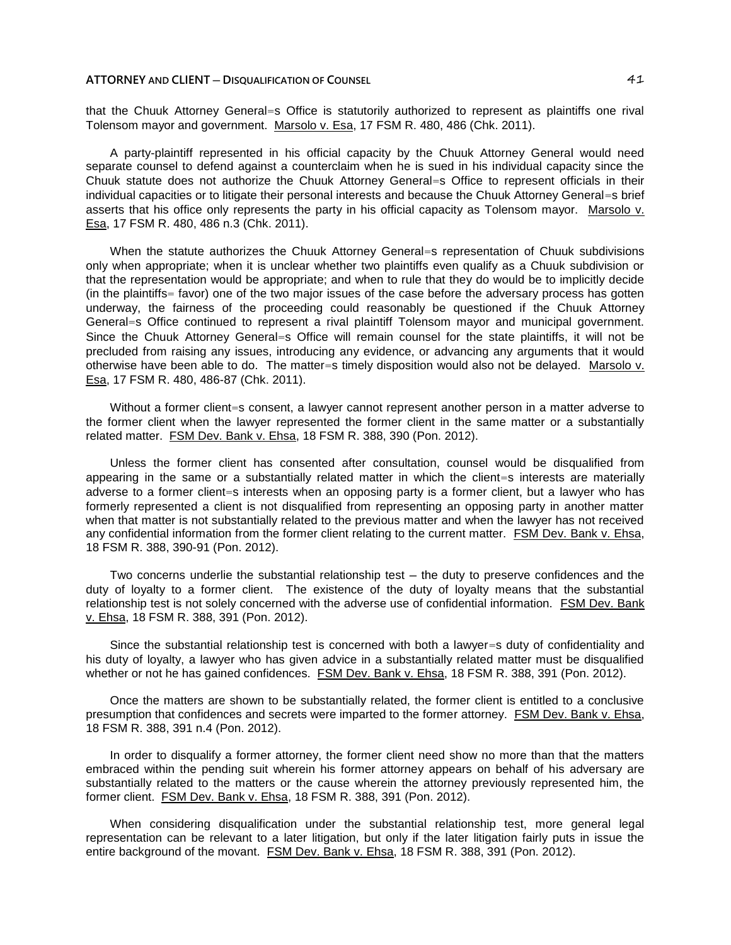that the Chuuk Attorney General=s Office is statutorily authorized to represent as plaintiffs one rival Tolensom mayor and government. Marsolo v. Esa, 17 FSM R. 480, 486 (Chk. 2011).

A party-plaintiff represented in his official capacity by the Chuuk Attorney General would need separate counsel to defend against a counterclaim when he is sued in his individual capacity since the Chuuk statute does not authorize the Chuuk Attorney General=s Office to represent officials in their individual capacities or to litigate their personal interests and because the Chuuk Attorney General=s brief asserts that his office only represents the party in his official capacity as Tolensom mayor. Marsolo v. Esa, 17 FSM R. 480, 486 n.3 (Chk. 2011).

When the statute authorizes the Chuuk Attorney General=s representation of Chuuk subdivisions only when appropriate; when it is unclear whether two plaintiffs even qualify as a Chuuk subdivision or that the representation would be appropriate; and when to rule that they do would be to implicitly decide (in the plaintiffs= favor) one of the two major issues of the case before the adversary process has gotten underway, the fairness of the proceeding could reasonably be questioned if the Chuuk Attorney General=s Office continued to represent a rival plaintiff Tolensom mayor and municipal government. Since the Chuuk Attorney General=s Office will remain counsel for the state plaintiffs, it will not be precluded from raising any issues, introducing any evidence, or advancing any arguments that it would otherwise have been able to do. The matter=s timely disposition would also not be delayed. Marsolo v. Esa, 17 FSM R. 480, 486-87 (Chk. 2011).

Without a former client=s consent, a lawyer cannot represent another person in a matter adverse to the former client when the lawyer represented the former client in the same matter or a substantially related matter. FSM Dev. Bank v. Ehsa, 18 FSM R. 388, 390 (Pon. 2012).

Unless the former client has consented after consultation, counsel would be disqualified from appearing in the same or a substantially related matter in which the client=s interests are materially adverse to a former client=s interests when an opposing party is a former client, but a lawyer who has formerly represented a client is not disqualified from representing an opposing party in another matter when that matter is not substantially related to the previous matter and when the lawyer has not received any confidential information from the former client relating to the current matter. FSM Dev. Bank v. Ehsa, 18 FSM R. 388, 390-91 (Pon. 2012).

Two concerns underlie the substantial relationship test — the duty to preserve confidences and the duty of loyalty to a former client. The existence of the duty of loyalty means that the substantial relationship test is not solely concerned with the adverse use of confidential information. FSM Dev. Bank v. Ehsa, 18 FSM R. 388, 391 (Pon. 2012).

Since the substantial relationship test is concerned with both a lawyer=s duty of confidentiality and his duty of loyalty, a lawyer who has given advice in a substantially related matter must be disqualified whether or not he has gained confidences. FSM Dev. Bank v. Ehsa, 18 FSM R. 388, 391 (Pon. 2012).

Once the matters are shown to be substantially related, the former client is entitled to a conclusive presumption that confidences and secrets were imparted to the former attorney. FSM Dev. Bank v. Ehsa, 18 FSM R. 388, 391 n.4 (Pon. 2012).

In order to disqualify a former attorney, the former client need show no more than that the matters embraced within the pending suit wherein his former attorney appears on behalf of his adversary are substantially related to the matters or the cause wherein the attorney previously represented him, the former client. FSM Dev. Bank v. Ehsa, 18 FSM R. 388, 391 (Pon. 2012).

When considering disqualification under the substantial relationship test, more general legal representation can be relevant to a later litigation, but only if the later litigation fairly puts in issue the entire background of the movant. FSM Dev. Bank v. Ehsa, 18 FSM R. 388, 391 (Pon. 2012).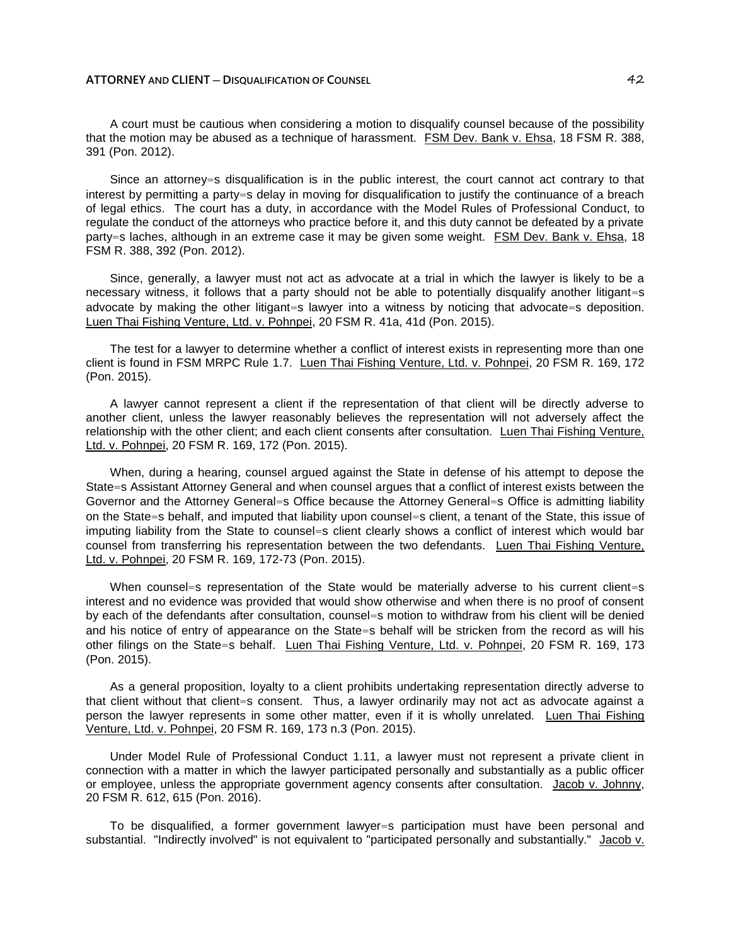A court must be cautious when considering a motion to disqualify counsel because of the possibility that the motion may be abused as a technique of harassment. **FSM Dev. Bank v. Ehsa, 18 FSM R. 388**, 391 (Pon. 2012).

Since an attorney=s disqualification is in the public interest, the court cannot act contrary to that interest by permitting a party=s delay in moving for disqualification to justify the continuance of a breach of legal ethics. The court has a duty, in accordance with the Model Rules of Professional Conduct, to regulate the conduct of the attorneys who practice before it, and this duty cannot be defeated by a private party=s laches, although in an extreme case it may be given some weight. FSM Dev. Bank v. Ehsa, 18 FSM R. 388, 392 (Pon. 2012).

Since, generally, a lawyer must not act as advocate at a trial in which the lawyer is likely to be a necessary witness, it follows that a party should not be able to potentially disqualify another litigant=s advocate by making the other litigant=s lawyer into a witness by noticing that advocate=s deposition. Luen Thai Fishing Venture, Ltd. v. Pohnpei, 20 FSM R. 41a, 41d (Pon. 2015).

The test for a lawyer to determine whether a conflict of interest exists in representing more than one client is found in FSM MRPC Rule 1.7. Luen Thai Fishing Venture, Ltd. v. Pohnpei, 20 FSM R. 169, 172 (Pon. 2015).

A lawyer cannot represent a client if the representation of that client will be directly adverse to another client, unless the lawyer reasonably believes the representation will not adversely affect the relationship with the other client; and each client consents after consultation. Luen Thai Fishing Venture, Ltd. v. Pohnpei, 20 FSM R. 169, 172 (Pon. 2015).

When, during a hearing, counsel argued against the State in defense of his attempt to depose the State=s Assistant Attorney General and when counsel argues that a conflict of interest exists between the Governor and the Attorney General=s Office because the Attorney General=s Office is admitting liability on the State=s behalf, and imputed that liability upon counsel=s client, a tenant of the State, this issue of imputing liability from the State to counsel=s client clearly shows a conflict of interest which would bar counsel from transferring his representation between the two defendants. Luen Thai Fishing Venture, Ltd. v. Pohnpei, 20 FSM R. 169, 172-73 (Pon. 2015).

When counsel=s representation of the State would be materially adverse to his current client=s interest and no evidence was provided that would show otherwise and when there is no proof of consent by each of the defendants after consultation, counsel=s motion to withdraw from his client will be denied and his notice of entry of appearance on the State=s behalf will be stricken from the record as will his other filings on the State=s behalf. Luen Thai Fishing Venture, Ltd. v. Pohnpei, 20 FSM R. 169, 173 (Pon. 2015).

As a general proposition, loyalty to a client prohibits undertaking representation directly adverse to that client without that client=s consent. Thus, a lawyer ordinarily may not act as advocate against a person the lawyer represents in some other matter, even if it is wholly unrelated. Luen Thai Fishing Venture, Ltd. v. Pohnpei, 20 FSM R. 169, 173 n.3 (Pon. 2015).

Under Model Rule of Professional Conduct 1.11, a lawyer must not represent a private client in connection with a matter in which the lawyer participated personally and substantially as a public officer or employee, unless the appropriate government agency consents after consultation. Jacob v. Johnny, 20 FSM R. 612, 615 (Pon. 2016).

To be disqualified, a former government lawyer=s participation must have been personal and substantial. "Indirectly involved" is not equivalent to "participated personally and substantially." Jacob v.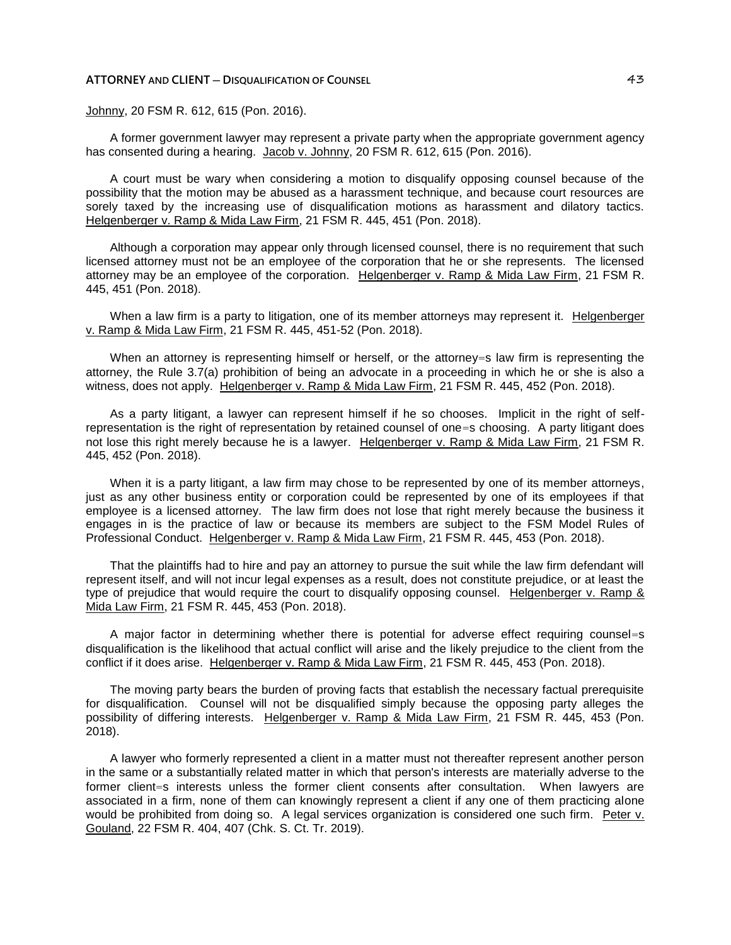Johnny, 20 FSM R. 612, 615 (Pon. 2016).

A former government lawyer may represent a private party when the appropriate government agency has consented during a hearing. Jacob v. Johnny, 20 FSM R. 612, 615 (Pon. 2016).

A court must be wary when considering a motion to disqualify opposing counsel because of the possibility that the motion may be abused as a harassment technique, and because court resources are sorely taxed by the increasing use of disqualification motions as harassment and dilatory tactics. Helgenberger v. Ramp & Mida Law Firm, 21 FSM R. 445, 451 (Pon. 2018).

Although a corporation may appear only through licensed counsel, there is no requirement that such licensed attorney must not be an employee of the corporation that he or she represents. The licensed attorney may be an employee of the corporation. Helgenberger v. Ramp & Mida Law Firm, 21 FSM R. 445, 451 (Pon. 2018).

When a law firm is a party to litigation, one of its member attorneys may represent it. Helgenberger v. Ramp & Mida Law Firm, 21 FSM R. 445, 451-52 (Pon. 2018).

When an attorney is representing himself or herself, or the attorney=s law firm is representing the attorney, the Rule 3.7(a) prohibition of being an advocate in a proceeding in which he or she is also a witness, does not apply. Helgenberger v. Ramp & Mida Law Firm, 21 FSM R. 445, 452 (Pon. 2018).

As a party litigant, a lawyer can represent himself if he so chooses. Implicit in the right of selfrepresentation is the right of representation by retained counsel of one=s choosing. A party litigant does not lose this right merely because he is a lawyer. Helgenberger v. Ramp & Mida Law Firm, 21 FSM R. 445, 452 (Pon. 2018).

When it is a party litigant, a law firm may chose to be represented by one of its member attorneys, just as any other business entity or corporation could be represented by one of its employees if that employee is a licensed attorney. The law firm does not lose that right merely because the business it engages in is the practice of law or because its members are subject to the FSM Model Rules of Professional Conduct. Helgenberger v. Ramp & Mida Law Firm, 21 FSM R. 445, 453 (Pon. 2018).

That the plaintiffs had to hire and pay an attorney to pursue the suit while the law firm defendant will represent itself, and will not incur legal expenses as a result, does not constitute prejudice, or at least the type of prejudice that would require the court to disqualify opposing counsel. Helgenberger v. Ramp & Mida Law Firm, 21 FSM R. 445, 453 (Pon. 2018).

A major factor in determining whether there is potential for adverse effect requiring counsel=s disqualification is the likelihood that actual conflict will arise and the likely prejudice to the client from the conflict if it does arise. Helgenberger v. Ramp & Mida Law Firm, 21 FSM R. 445, 453 (Pon. 2018).

The moving party bears the burden of proving facts that establish the necessary factual prerequisite for disqualification. Counsel will not be disqualified simply because the opposing party alleges the possibility of differing interests. Helgenberger v. Ramp & Mida Law Firm, 21 FSM R. 445, 453 (Pon. 2018).

A lawyer who formerly represented a client in a matter must not thereafter represent another person in the same or a substantially related matter in which that person's interests are materially adverse to the former client=s interests unless the former client consents after consultation. When lawyers are associated in a firm, none of them can knowingly represent a client if any one of them practicing alone would be prohibited from doing so. A legal services organization is considered one such firm. Peter v. Gouland, 22 FSM R. 404, 407 (Chk. S. Ct. Tr. 2019).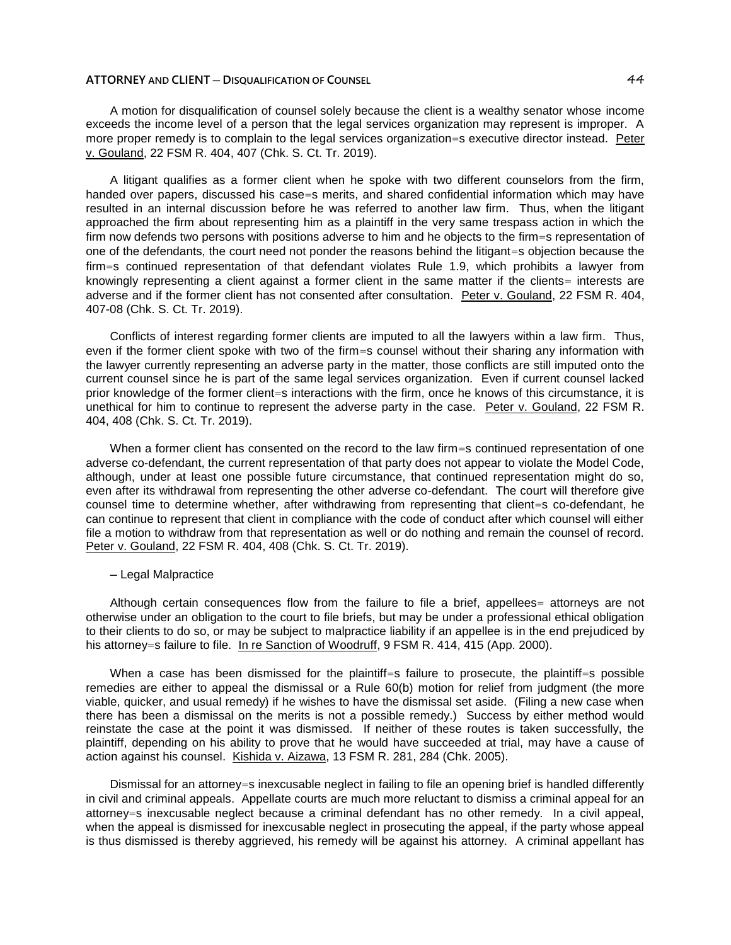A motion for disqualification of counsel solely because the client is a wealthy senator whose income exceeds the income level of a person that the legal services organization may represent is improper. A more proper remedy is to complain to the legal services organization=s executive director instead. Peter v. Gouland, 22 FSM R. 404, 407 (Chk. S. Ct. Tr. 2019).

A litigant qualifies as a former client when he spoke with two different counselors from the firm, handed over papers, discussed his case=s merits, and shared confidential information which may have resulted in an internal discussion before he was referred to another law firm. Thus, when the litigant approached the firm about representing him as a plaintiff in the very same trespass action in which the firm now defends two persons with positions adverse to him and he objects to the firm=s representation of one of the defendants, the court need not ponder the reasons behind the litigant=s objection because the firm=s continued representation of that defendant violates Rule 1.9, which prohibits a lawyer from knowingly representing a client against a former client in the same matter if the clients= interests are adverse and if the former client has not consented after consultation. Peter v. Gouland, 22 FSM R. 404, 407-08 (Chk. S. Ct. Tr. 2019).

Conflicts of interest regarding former clients are imputed to all the lawyers within a law firm. Thus, even if the former client spoke with two of the firm=s counsel without their sharing any information with the lawyer currently representing an adverse party in the matter, those conflicts are still imputed onto the current counsel since he is part of the same legal services organization. Even if current counsel lacked prior knowledge of the former client=s interactions with the firm, once he knows of this circumstance, it is unethical for him to continue to represent the adverse party in the case. Peter v. Gouland, 22 FSM R. 404, 408 (Chk. S. Ct. Tr. 2019).

When a former client has consented on the record to the law firm=s continued representation of one adverse co-defendant, the current representation of that party does not appear to violate the Model Code, although, under at least one possible future circumstance, that continued representation might do so, even after its withdrawal from representing the other adverse co-defendant. The court will therefore give counsel time to determine whether, after withdrawing from representing that client=s co-defendant, he can continue to represent that client in compliance with the code of conduct after which counsel will either file a motion to withdraw from that representation as well or do nothing and remain the counsel of record. Peter v. Gouland, 22 FSM R. 404, 408 (Chk. S. Ct. Tr. 2019).

### ─ Legal Malpractice

Although certain consequences flow from the failure to file a brief, appellees= attorneys are not otherwise under an obligation to the court to file briefs, but may be under a professional ethical obligation to their clients to do so, or may be subject to malpractice liability if an appellee is in the end prejudiced by his attorney=s failure to file. In re Sanction of Woodruff, 9 FSM R. 414, 415 (App. 2000).

When a case has been dismissed for the plaintiff=s failure to prosecute, the plaintiff=s possible remedies are either to appeal the dismissal or a Rule 60(b) motion for relief from judgment (the more viable, quicker, and usual remedy) if he wishes to have the dismissal set aside. (Filing a new case when there has been a dismissal on the merits is not a possible remedy.) Success by either method would reinstate the case at the point it was dismissed. If neither of these routes is taken successfully, the plaintiff, depending on his ability to prove that he would have succeeded at trial, may have a cause of action against his counsel. Kishida v. Aizawa, 13 FSM R. 281, 284 (Chk. 2005).

Dismissal for an attorney=s inexcusable neglect in failing to file an opening brief is handled differently in civil and criminal appeals. Appellate courts are much more reluctant to dismiss a criminal appeal for an attorney=s inexcusable neglect because a criminal defendant has no other remedy. In a civil appeal, when the appeal is dismissed for inexcusable neglect in prosecuting the appeal, if the party whose appeal is thus dismissed is thereby aggrieved, his remedy will be against his attorney. A criminal appellant has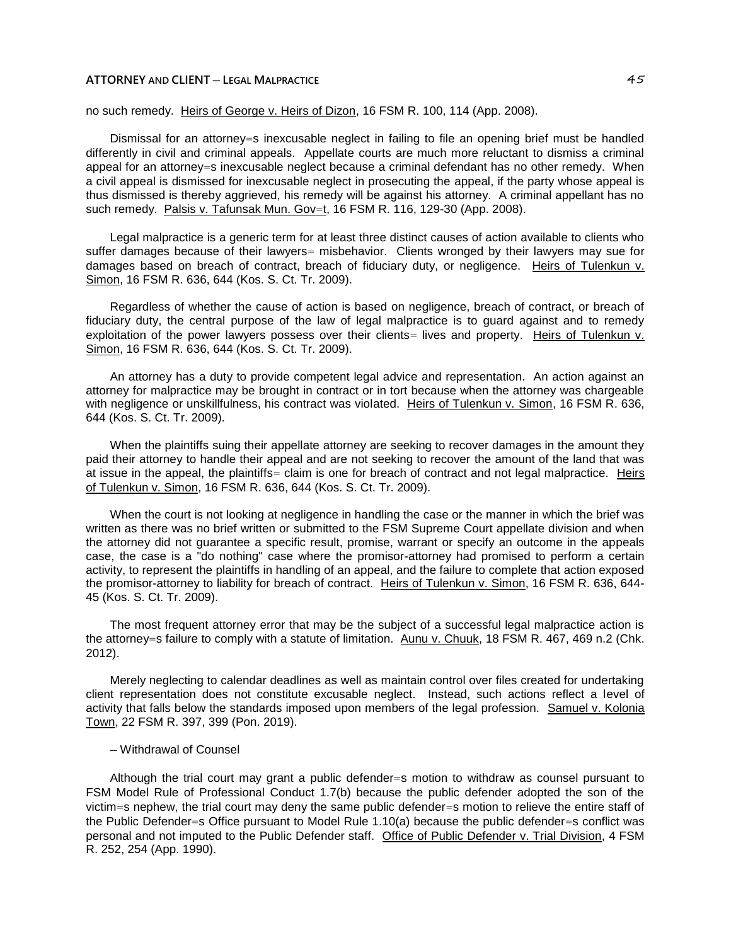### **ATTORNEY AND CLIENT ─ LEGAL MALPRACTICE** 45

no such remedy. Heirs of George v. Heirs of Dizon, 16 FSM R. 100, 114 (App. 2008).

Dismissal for an attorney=s inexcusable neglect in failing to file an opening brief must be handled differently in civil and criminal appeals. Appellate courts are much more reluctant to dismiss a criminal appeal for an attorney=s inexcusable neglect because a criminal defendant has no other remedy. When a civil appeal is dismissed for inexcusable neglect in prosecuting the appeal, if the party whose appeal is thus dismissed is thereby aggrieved, his remedy will be against his attorney. A criminal appellant has no such remedy. Palsis v. Tafunsak Mun. Gov=t, 16 FSM R. 116, 129-30 (App. 2008).

Legal malpractice is a generic term for at least three distinct causes of action available to clients who suffer damages because of their lawyers= misbehavior. Clients wronged by their lawyers may sue for damages based on breach of contract, breach of fiduciary duty, or negligence. Heirs of Tulenkun v. Simon, 16 FSM R. 636, 644 (Kos. S. Ct. Tr. 2009).

Regardless of whether the cause of action is based on negligence, breach of contract, or breach of fiduciary duty, the central purpose of the law of legal malpractice is to guard against and to remedy exploitation of the power lawyers possess over their clients= lives and property. Heirs of Tulenkun v. Simon, 16 FSM R. 636, 644 (Kos. S. Ct. Tr. 2009).

An attorney has a duty to provide competent legal advice and representation. An action against an attorney for malpractice may be brought in contract or in tort because when the attorney was chargeable with negligence or unskillfulness, his contract was violated. Heirs of Tulenkun v. Simon, 16 FSM R. 636, 644 (Kos. S. Ct. Tr. 2009).

When the plaintiffs suing their appellate attorney are seeking to recover damages in the amount they paid their attorney to handle their appeal and are not seeking to recover the amount of the land that was at issue in the appeal, the plaintiffs= claim is one for breach of contract and not legal malpractice. Heirs of Tulenkun v. Simon, 16 FSM R. 636, 644 (Kos. S. Ct. Tr. 2009).

When the court is not looking at negligence in handling the case or the manner in which the brief was written as there was no brief written or submitted to the FSM Supreme Court appellate division and when the attorney did not guarantee a specific result, promise, warrant or specify an outcome in the appeals case, the case is a "do nothing" case where the promisor-attorney had promised to perform a certain activity, to represent the plaintiffs in handling of an appeal, and the failure to complete that action exposed the promisor-attorney to liability for breach of contract. Heirs of Tulenkun v. Simon, 16 FSM R. 636, 644- 45 (Kos. S. Ct. Tr. 2009).

The most frequent attorney error that may be the subject of a successful legal malpractice action is the attorney=s failure to comply with a statute of limitation. Aunu v. Chuuk, 18 FSM R. 467, 469 n.2 (Chk. 2012).

Merely neglecting to calendar deadlines as well as maintain control over files created for undertaking client representation does not constitute excusable neglect. Instead, such actions reflect a level of activity that falls below the standards imposed upon members of the legal profession. Samuel v. Kolonia Town, 22 FSM R. 397, 399 (Pon. 2019).

#### ─ Withdrawal of Counsel

Although the trial court may grant a public defender=s motion to withdraw as counsel pursuant to FSM Model Rule of Professional Conduct 1.7(b) because the public defender adopted the son of the victim=s nephew, the trial court may deny the same public defender=s motion to relieve the entire staff of the Public Defender=s Office pursuant to Model Rule 1.10(a) because the public defender=s conflict was personal and not imputed to the Public Defender staff. Office of Public Defender v. Trial Division, 4 FSM R. 252, 254 (App. 1990).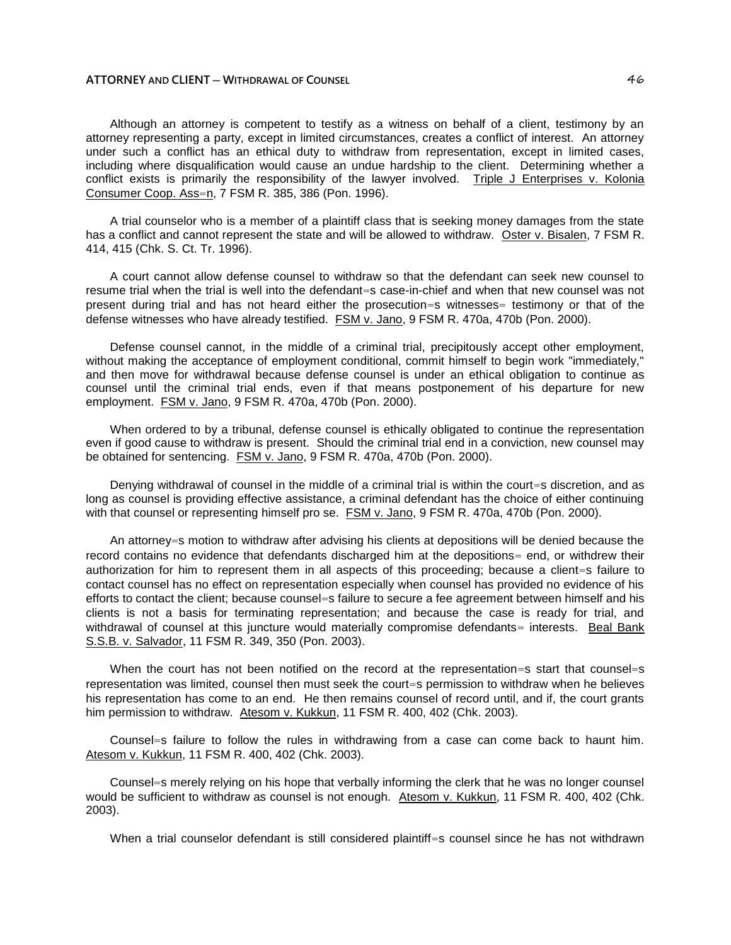### **ATTORNEY AND CLIENT ─ WITHDRAWAL OF COUNSEL** 46

Although an attorney is competent to testify as a witness on behalf of a client, testimony by an attorney representing a party, except in limited circumstances, creates a conflict of interest. An attorney under such a conflict has an ethical duty to withdraw from representation, except in limited cases, including where disqualification would cause an undue hardship to the client. Determining whether a conflict exists is primarily the responsibility of the lawyer involved. Triple J Enterprises v. Kolonia Consumer Coop. Ass=n, 7 FSM R. 385, 386 (Pon. 1996).

A trial counselor who is a member of a plaintiff class that is seeking money damages from the state has a conflict and cannot represent the state and will be allowed to withdraw. Oster v. Bisalen, 7 FSM R. 414, 415 (Chk. S. Ct. Tr. 1996).

A court cannot allow defense counsel to withdraw so that the defendant can seek new counsel to resume trial when the trial is well into the defendant=s case-in-chief and when that new counsel was not present during trial and has not heard either the prosecution=s witnesses= testimony or that of the defense witnesses who have already testified. FSM v. Jano, 9 FSM R. 470a, 470b (Pon. 2000).

Defense counsel cannot, in the middle of a criminal trial, precipitously accept other employment, without making the acceptance of employment conditional, commit himself to begin work "immediately," and then move for withdrawal because defense counsel is under an ethical obligation to continue as counsel until the criminal trial ends, even if that means postponement of his departure for new employment. FSM v. Jano, 9 FSM R. 470a, 470b (Pon. 2000).

When ordered to by a tribunal, defense counsel is ethically obligated to continue the representation even if good cause to withdraw is present. Should the criminal trial end in a conviction, new counsel may be obtained for sentencing. FSM v. Jano, 9 FSM R. 470a, 470b (Pon. 2000).

Denying withdrawal of counsel in the middle of a criminal trial is within the court=s discretion, and as long as counsel is providing effective assistance, a criminal defendant has the choice of either continuing with that counsel or representing himself pro se. FSM v. Jano, 9 FSM R. 470a, 470b (Pon. 2000).

An attorney=s motion to withdraw after advising his clients at depositions will be denied because the record contains no evidence that defendants discharged him at the depositions= end, or withdrew their authorization for him to represent them in all aspects of this proceeding; because a client=s failure to contact counsel has no effect on representation especially when counsel has provided no evidence of his efforts to contact the client; because counsel=s failure to secure a fee agreement between himself and his clients is not a basis for terminating representation; and because the case is ready for trial, and withdrawal of counsel at this juncture would materially compromise defendants= interests. Beal Bank S.S.B. v. Salvador, 11 FSM R. 349, 350 (Pon. 2003).

When the court has not been notified on the record at the representation=s start that counsel=s representation was limited, counsel then must seek the court=s permission to withdraw when he believes his representation has come to an end. He then remains counsel of record until, and if, the court grants him permission to withdraw. Atesom v. Kukkun, 11 FSM R. 400, 402 (Chk. 2003).

Counsel=s failure to follow the rules in withdrawing from a case can come back to haunt him. Atesom v. Kukkun, 11 FSM R. 400, 402 (Chk. 2003).

Counsel=s merely relying on his hope that verbally informing the clerk that he was no longer counsel would be sufficient to withdraw as counsel is not enough. Atesom v. Kukkun, 11 FSM R. 400, 402 (Chk. 2003).

When a trial counselor defendant is still considered plaintiff=s counsel since he has not withdrawn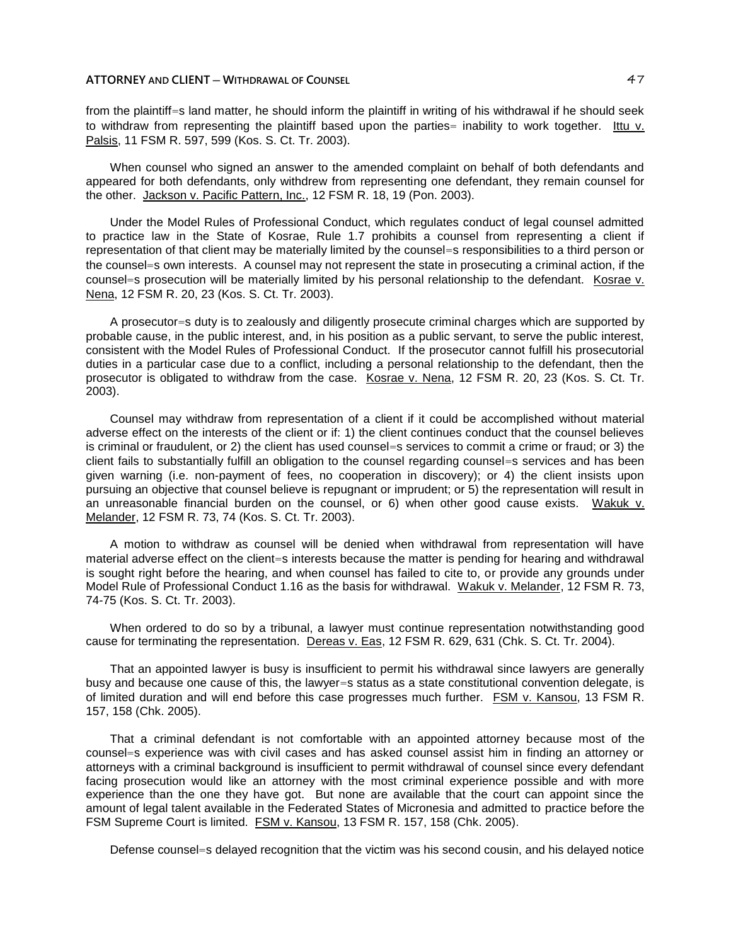### **ATTORNEY** AND **CLIENT** — **WITHDRAWAL OF COUNSEL AT ALCOHOLY AND AT**

from the plaintiff=s land matter, he should inform the plaintiff in writing of his withdrawal if he should seek to withdraw from representing the plaintiff based upon the parties= inability to work together. Ittu v. Palsis, 11 FSM R. 597, 599 (Kos. S. Ct. Tr. 2003).

When counsel who signed an answer to the amended complaint on behalf of both defendants and appeared for both defendants, only withdrew from representing one defendant, they remain counsel for the other. Jackson v. Pacific Pattern, Inc., 12 FSM R. 18, 19 (Pon. 2003).

Under the Model Rules of Professional Conduct, which regulates conduct of legal counsel admitted to practice law in the State of Kosrae, Rule 1.7 prohibits a counsel from representing a client if representation of that client may be materially limited by the counsel=s responsibilities to a third person or the counsel=s own interests. A counsel may not represent the state in prosecuting a criminal action, if the counsel=s prosecution will be materially limited by his personal relationship to the defendant. Kosrae v. Nena, 12 FSM R. 20, 23 (Kos. S. Ct. Tr. 2003).

A prosecutor=s duty is to zealously and diligently prosecute criminal charges which are supported by probable cause, in the public interest, and, in his position as a public servant, to serve the public interest, consistent with the Model Rules of Professional Conduct. If the prosecutor cannot fulfill his prosecutorial duties in a particular case due to a conflict, including a personal relationship to the defendant, then the prosecutor is obligated to withdraw from the case. Kosrae v. Nena, 12 FSM R. 20, 23 (Kos. S. Ct. Tr. 2003).

Counsel may withdraw from representation of a client if it could be accomplished without material adverse effect on the interests of the client or if: 1) the client continues conduct that the counsel believes is criminal or fraudulent, or 2) the client has used counsel=s services to commit a crime or fraud; or 3) the client fails to substantially fulfill an obligation to the counsel regarding counsel=s services and has been given warning (i.e. non-payment of fees, no cooperation in discovery); or 4) the client insists upon pursuing an objective that counsel believe is repugnant or imprudent; or 5) the representation will result in an unreasonable financial burden on the counsel, or 6) when other good cause exists. Wakuk v. Melander, 12 FSM R. 73, 74 (Kos. S. Ct. Tr. 2003).

A motion to withdraw as counsel will be denied when withdrawal from representation will have material adverse effect on the client=s interests because the matter is pending for hearing and withdrawal is sought right before the hearing, and when counsel has failed to cite to, or provide any grounds under Model Rule of Professional Conduct 1.16 as the basis for withdrawal. Wakuk v. Melander, 12 FSM R. 73, 74-75 (Kos. S. Ct. Tr. 2003).

When ordered to do so by a tribunal, a lawyer must continue representation notwithstanding good cause for terminating the representation. Dereas v. Eas, 12 FSM R. 629, 631 (Chk. S. Ct. Tr. 2004).

That an appointed lawyer is busy is insufficient to permit his withdrawal since lawyers are generally busy and because one cause of this, the lawyer=s status as a state constitutional convention delegate, is of limited duration and will end before this case progresses much further. FSM v. Kansou, 13 FSM R. 157, 158 (Chk. 2005).

That a criminal defendant is not comfortable with an appointed attorney because most of the counsel=s experience was with civil cases and has asked counsel assist him in finding an attorney or attorneys with a criminal background is insufficient to permit withdrawal of counsel since every defendant facing prosecution would like an attorney with the most criminal experience possible and with more experience than the one they have got. But none are available that the court can appoint since the amount of legal talent available in the Federated States of Micronesia and admitted to practice before the FSM Supreme Court is limited. FSM v. Kansou, 13 FSM R. 157, 158 (Chk. 2005).

Defense counsel=s delayed recognition that the victim was his second cousin, and his delayed notice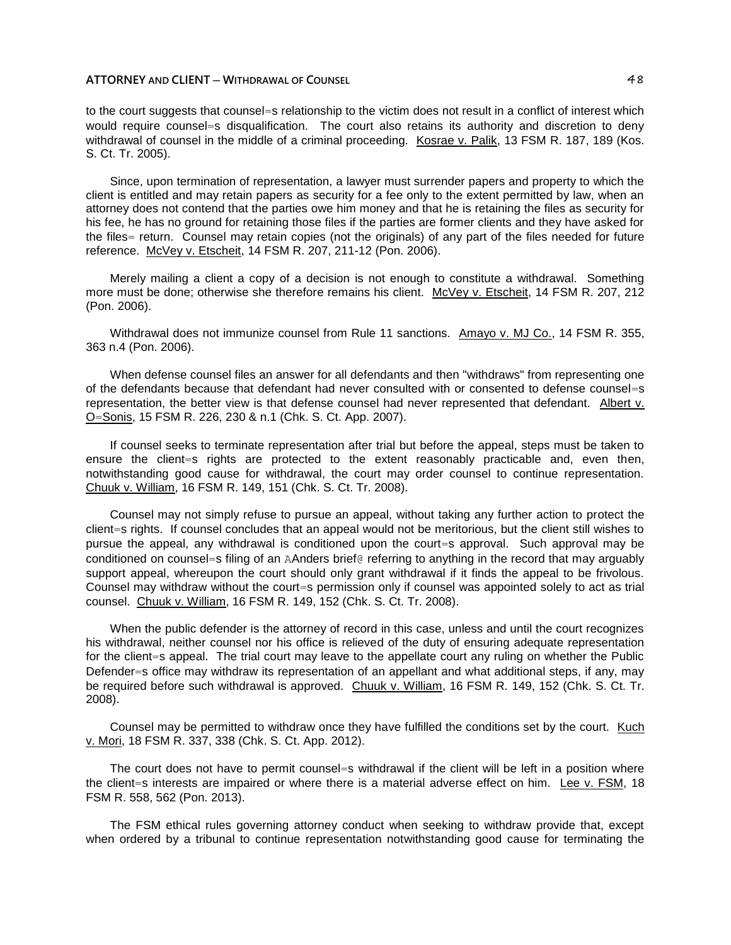### **ATTORNEY AND CLIENT ─ WITHDRAWAL OF COUNSEL** 48

to the court suggests that counsel=s relationship to the victim does not result in a conflict of interest which would require counsel=s disqualification. The court also retains its authority and discretion to deny withdrawal of counsel in the middle of a criminal proceeding. Kosrae v. Palik, 13 FSM R. 187, 189 (Kos. S. Ct. Tr. 2005).

Since, upon termination of representation, a lawyer must surrender papers and property to which the client is entitled and may retain papers as security for a fee only to the extent permitted by law, when an attorney does not contend that the parties owe him money and that he is retaining the files as security for his fee, he has no ground for retaining those files if the parties are former clients and they have asked for the files= return. Counsel may retain copies (not the originals) of any part of the files needed for future reference. McVey v. Etscheit, 14 FSM R. 207, 211-12 (Pon. 2006).

Merely mailing a client a copy of a decision is not enough to constitute a withdrawal. Something more must be done; otherwise she therefore remains his client. McVey v. Etscheit, 14 FSM R. 207, 212 (Pon. 2006).

Withdrawal does not immunize counsel from Rule 11 sanctions. Amayo v. MJ Co., 14 FSM R. 355, 363 n.4 (Pon. 2006).

When defense counsel files an answer for all defendants and then "withdraws" from representing one of the defendants because that defendant had never consulted with or consented to defense counsel=s representation, the better view is that defense counsel had never represented that defendant. Albert v. O=Sonis, 15 FSM R. 226, 230 & n.1 (Chk. S. Ct. App. 2007).

If counsel seeks to terminate representation after trial but before the appeal, steps must be taken to ensure the client=s rights are protected to the extent reasonably practicable and, even then, notwithstanding good cause for withdrawal, the court may order counsel to continue representation. Chuuk v. William, 16 FSM R. 149, 151 (Chk. S. Ct. Tr. 2008).

Counsel may not simply refuse to pursue an appeal, without taking any further action to protect the client=s rights. If counsel concludes that an appeal would not be meritorious, but the client still wishes to pursue the appeal, any withdrawal is conditioned upon the court=s approval. Such approval may be conditioned on counsel=s filing of an AAnders brief@ referring to anything in the record that may arguably support appeal, whereupon the court should only grant withdrawal if it finds the appeal to be frivolous. Counsel may withdraw without the court=s permission only if counsel was appointed solely to act as trial counsel. Chuuk v. William, 16 FSM R. 149, 152 (Chk. S. Ct. Tr. 2008).

When the public defender is the attorney of record in this case, unless and until the court recognizes his withdrawal, neither counsel nor his office is relieved of the duty of ensuring adequate representation for the client=s appeal. The trial court may leave to the appellate court any ruling on whether the Public Defender=s office may withdraw its representation of an appellant and what additional steps, if any, may be required before such withdrawal is approved. Chuuk v. William, 16 FSM R. 149, 152 (Chk. S. Ct. Tr. 2008).

Counsel may be permitted to withdraw once they have fulfilled the conditions set by the court. Kuch v. Mori, 18 FSM R. 337, 338 (Chk. S. Ct. App. 2012).

The court does not have to permit counsel=s withdrawal if the client will be left in a position where the client=s interests are impaired or where there is a material adverse effect on him. Lee v. FSM, 18 FSM R. 558, 562 (Pon. 2013).

The FSM ethical rules governing attorney conduct when seeking to withdraw provide that, except when ordered by a tribunal to continue representation notwithstanding good cause for terminating the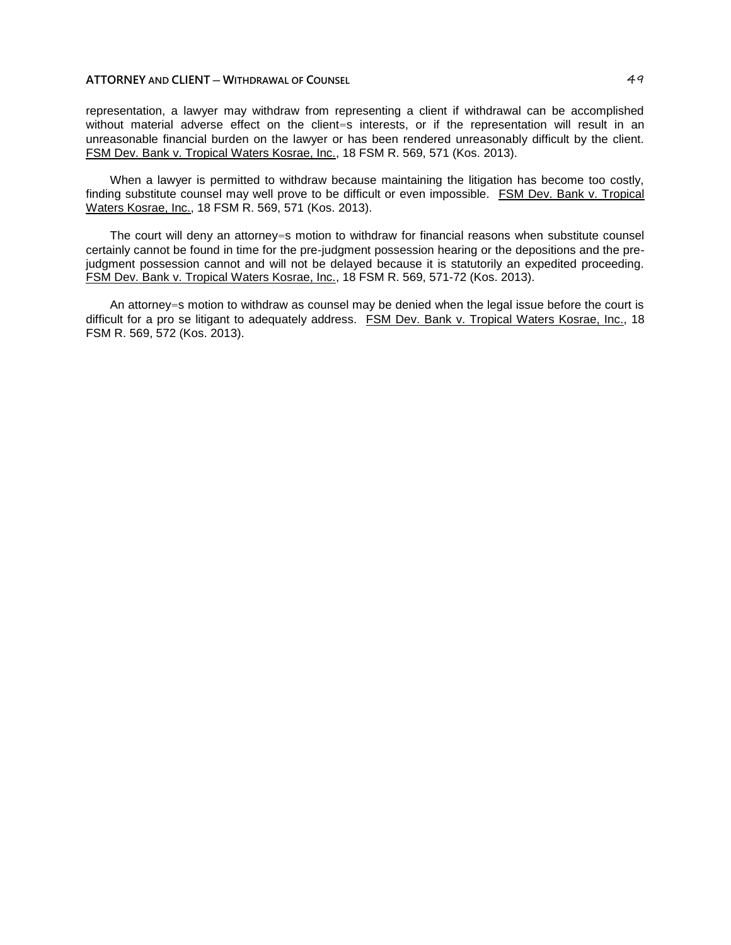# **ATTORNEY** AND **CLIENT** — **WITHDRAWAL OF COUNSEL AND**   $49$

representation, a lawyer may withdraw from representing a client if withdrawal can be accomplished without material adverse effect on the client=s interests, or if the representation will result in an unreasonable financial burden on the lawyer or has been rendered unreasonably difficult by the client. FSM Dev. Bank v. Tropical Waters Kosrae, Inc., 18 FSM R. 569, 571 (Kos. 2013).

When a lawyer is permitted to withdraw because maintaining the litigation has become too costly, finding substitute counsel may well prove to be difficult or even impossible. FSM Dev. Bank v. Tropical Waters Kosrae, Inc., 18 FSM R. 569, 571 (Kos. 2013).

The court will deny an attorney=s motion to withdraw for financial reasons when substitute counsel certainly cannot be found in time for the pre-judgment possession hearing or the depositions and the prejudgment possession cannot and will not be delayed because it is statutorily an expedited proceeding. FSM Dev. Bank v. Tropical Waters Kosrae, Inc., 18 FSM R. 569, 571-72 (Kos. 2013).

An attorney=s motion to withdraw as counsel may be denied when the legal issue before the court is difficult for a pro se litigant to adequately address. FSM Dev. Bank v. Tropical Waters Kosrae, Inc., 18 FSM R. 569, 572 (Kos. 2013).